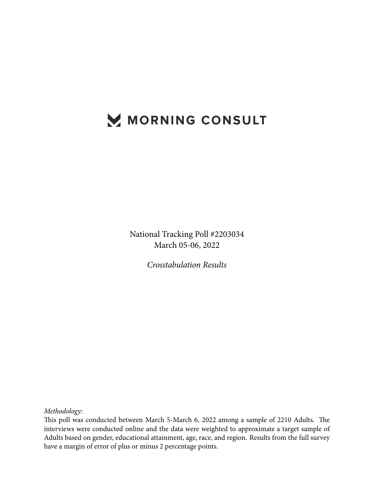# MORNING CONSULT

National Tracking Poll #2203034 March 05-06, 2022

*Crosstabulation Results*

*Methodology:*

This poll was conducted between March 5-March 6, 2022 among a sample of 2210 Adults. The interviews were conducted online and the data were weighted to approximate a target sample of Adults based on gender, educational attainment, age, race, and region. Results from the full survey have a margin of error of plus or minus 2 percentage points.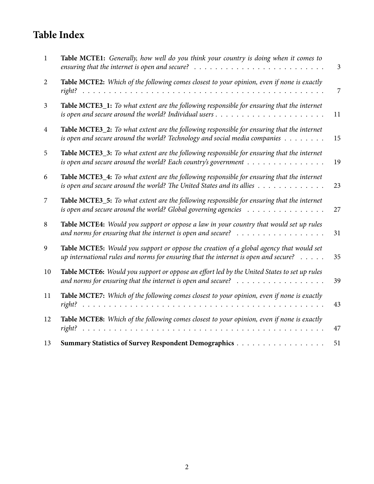# **Table Index**

| 1              | Table MCTE1: Generally, how well do you think your country is doing when it comes to<br>ensuring that the internet is open and secure? $\ldots \ldots \ldots \ldots \ldots \ldots \ldots \ldots \ldots$ | $\mathfrak{Z}$ |
|----------------|---------------------------------------------------------------------------------------------------------------------------------------------------------------------------------------------------------|----------------|
| 2              | Table MCTE2: Which of the following comes closest to your opinion, even if none is exactly                                                                                                              | 7              |
| $\mathfrak{Z}$ | Table MCTE3_1: To what extent are the following responsible for ensuring that the internet                                                                                                              | 11             |
| $\overline{4}$ | Table MCTE3_2: To what extent are the following responsible for ensuring that the internet<br>is open and secure around the world? Technology and social media companies $\dots \dots$                  | 15             |
| 5              | Table MCTE3_3: To what extent are the following responsible for ensuring that the internet<br>is open and secure around the world? Each country's government $\dots \dots \dots \dots \dots$            | 19             |
| 6              | Table MCTE3_4: To what extent are the following responsible for ensuring that the internet<br>is open and secure around the world? The United States and its allies $\dots \dots \dots \dots$           | 23             |
| 7              | Table MCTE3_5: To what extent are the following responsible for ensuring that the internet<br>is open and secure around the world? Global governing agencies $\ldots \ldots \ldots \ldots \ldots$       | 27             |
| 8              | Table MCTE4: Would you support or oppose a law in your country that would set up rules<br>and norms for ensuring that the internet is open and secure? $\dots \dots \dots \dots \dots \dots$            | 31             |
| 9              | Table MCTE5: Would you support or oppose the creation of a global agency that would set<br>up international rules and norms for ensuring that the internet is open and secure? $\dots$ .                | 35             |
| 10             | Table MCTE6: Would you support or oppose an effort led by the United States to set up rules<br>and norms for ensuring that the internet is open and secure? $\ldots \ldots \ldots \ldots \ldots$        | 39             |
| 11             | Table MCTE7: Which of the following comes closest to your opinion, even if none is exactly                                                                                                              | 43             |
| 12             | Table MCTE8: Which of the following comes closest to your opinion, even if none is exactly<br>right?                                                                                                    | 47             |
| 13             | Summary Statistics of Survey Respondent Demographics                                                                                                                                                    | 51             |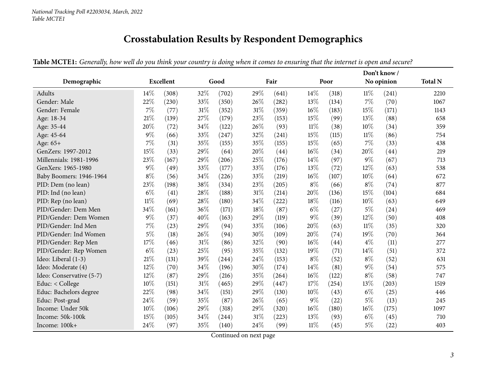# **Crosstabulation Results by Respondent Demographics**

<span id="page-2-0"></span>

|                          |        |                  |        |       |     |       |        |       |        | Don't know/ |                |  |  |  |  |
|--------------------------|--------|------------------|--------|-------|-----|-------|--------|-------|--------|-------------|----------------|--|--|--|--|
| Demographic              |        | <b>Excellent</b> |        | Good  |     | Fair  |        | Poor  |        | No opinion  | <b>Total N</b> |  |  |  |  |
| Adults                   | 14\%   | (308)            | 32\%   | (702) | 29% | (641) | 14\%   | (318) | $11\%$ | (241)       | 2210           |  |  |  |  |
| Gender: Male             | 22%    | (230)            | 33%    | (350) | 26% | (282) | 13%    | (134) | 7%     | (70)        | 1067           |  |  |  |  |
| Gender: Female           | 7%     | (77)             | 31%    | (352) | 31% | (359) | 16%    | (183) | 15%    | (171)       | 1143           |  |  |  |  |
| Age: 18-34               | 21%    | (139)            | 27%    | (179) | 23% | (153) | 15%    | (99)  | 13%    | (88)        | 658            |  |  |  |  |
| Age: 35-44               | 20%    | (72)             | 34\%   | (122) | 26% | (93)  | $11\%$ | (38)  | 10%    | (34)        | 359            |  |  |  |  |
| Age: 45-64               | 9%     | (66)             | 33%    | (247) | 32% | (241) | 15%    | (115) | $11\%$ | (86)        | 754            |  |  |  |  |
| Age: 65+                 | 7%     | (31)             | 35%    | (155) | 35% | (155) | 15%    | (65)  | 7%     | (33)        | 438            |  |  |  |  |
| GenZers: 1997-2012       | 15%    | (33)             | 29%    | (64)  | 20% | (44)  | 16%    | (34)  | 20%    | (44)        | 219            |  |  |  |  |
| Millennials: 1981-1996   | 23%    | (167)            | 29%    | (206) | 25% | (176) | 14%    | (97)  | $9\%$  | (67)        | 713            |  |  |  |  |
| GenXers: 1965-1980       | $9\%$  | (49)             | 33%    | (177) | 33% | (176) | 13%    | (72)  | 12%    | (63)        | 538            |  |  |  |  |
| Baby Boomers: 1946-1964  | $8\%$  | (56)             | 34%    | (226) | 33% | (219) | 16%    | (107) | 10%    | (64)        | 672            |  |  |  |  |
| PID: Dem (no lean)       | 23%    | (198)            | 38%    | (334) | 23% | (205) | $8\%$  | (66)  | $8\%$  | (74)        | 877            |  |  |  |  |
| PID: Ind (no lean)       | $6\%$  | (41)             | 28\%   | (188) | 31% | (214) | 20%    | (136) | 15%    | (104)       | 684            |  |  |  |  |
| PID: Rep (no lean)       | $11\%$ | (69)             | 28%    | (180) | 34% | (222) | 18%    | (116) | 10%    | (63)        | 649            |  |  |  |  |
| PID/Gender: Dem Men      | 34%    | (161)            | 36%    | (171) | 18% | (87)  | $6\%$  | (27)  | $5\%$  | (24)        | 469            |  |  |  |  |
| PID/Gender: Dem Women    | 9%     | (37)             | 40%    | (163) | 29% | (119) | 9%     | (39)  | 12%    | (50)        | 408            |  |  |  |  |
| PID/Gender: Ind Men      | 7%     | (23)             | 29%    | (94)  | 33% | (106) | 20%    | (63)  | $11\%$ | (35)        | 320            |  |  |  |  |
| PID/Gender: Ind Women    | 5%     | (18)             | 26\%   | (94)  | 30% | (109) | 20%    | (74)  | 19%    | (70)        | 364            |  |  |  |  |
| PID/Gender: Rep Men      | 17%    | (46)             | $31\%$ | (86)  | 32% | (90)  | 16%    | (44)  | $4\%$  | (11)        | 277            |  |  |  |  |
| PID/Gender: Rep Women    | $6\%$  | (23)             | 25%    | (95)  | 35% | (132) | 19%    | (71)  | 14%    | (51)        | 372            |  |  |  |  |
| Ideo: Liberal (1-3)      | 21%    | (131)            | 39%    | (244) | 24% | (153) | $8\%$  | (52)  | $8\%$  | (52)        | 631            |  |  |  |  |
| Ideo: Moderate (4)       | 12%    | (70)             | 34%    | (196) | 30% | (174) | 14%    | (81)  | $9\%$  | (54)        | 575            |  |  |  |  |
| Ideo: Conservative (5-7) | 12%    | (87)             | 29%    | (216) | 35% | (264) | 16%    | (122) | $8\%$  | (58)        | 747            |  |  |  |  |
| Educ: < College          | 10%    | (151)            | $31\%$ | (465) | 29% | (447) | 17%    | (254) | 13%    | (203)       | 1519           |  |  |  |  |
| Educ: Bachelors degree   | 22%    | (98)             | $34\%$ | (151) | 29% | (130) | 10%    | (43)  | $6\%$  | (25)        | 446            |  |  |  |  |
| Educ: Post-grad          | 24%    | (59)             | 35%    | (87)  | 26% | (65)  | $9\%$  | (22)  | 5%     | (13)        | 245            |  |  |  |  |
| Income: Under 50k        | 10%    | (106)            | 29%    | (318) | 29% | (320) | 16%    | (180) | 16%    | (175)       | 1097           |  |  |  |  |
| Income: 50k-100k         | 15%    | (105)            | 34%    | (244) | 31% | (223) | 13%    | (93)  | $6\%$  | (45)        | 710            |  |  |  |  |
| Income: 100k+            | 24%    | (97)             | 35%    | (140) | 24% | (99)  | $11\%$ | (45)  | $5\%$  | (22)        | 403            |  |  |  |  |

Table MCTE1: Generally, how well do you think your country is doing when it comes to ensuring that the internet is open and secure?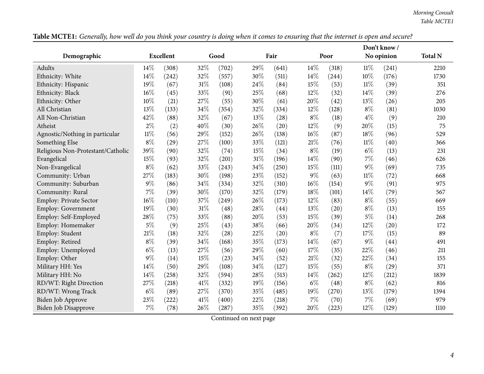|                                   |        |                  |        |       |     |       |       |       | Don't know/ |            |                |
|-----------------------------------|--------|------------------|--------|-------|-----|-------|-------|-------|-------------|------------|----------------|
| Demographic                       |        | <b>Excellent</b> |        | Good  |     | Fair  |       | Poor  |             | No opinion | <b>Total N</b> |
| Adults                            | 14%    | (308)            | 32%    | (702) | 29% | (641) | 14%   | (318) | $11\%$      | (241)      | 2210           |
| Ethnicity: White                  | 14%    | (242)            | 32%    | (557) | 30% | (511) | 14%   | (244) | 10%         | (176)      | 1730           |
| Ethnicity: Hispanic               | 19%    | (67)             | 31%    | (108) | 24% | (84)  | 15%   | (53)  | $11\%$      | (39)       | 351            |
| Ethnicity: Black                  | 16%    | (45)             | 33%    | (91)  | 25% | (68)  | 12%   | (32)  | 14%         | (39)       | 276            |
| Ethnicity: Other                  | 10%    | (21)             | 27%    | (55)  | 30% | (61)  | 20%   | (42)  | 13%         | (26)       | 205            |
| All Christian                     | 13%    | (133)            | 34%    | (354) | 32% | (334) | 12%   | (128) | $8\%$       | (81)       | 1030           |
| All Non-Christian                 | 42%    | (88)             | 32%    | (67)  | 13% | (28)  | $8\%$ | (18)  | $4\%$       | (9)        | 210            |
| Atheist                           | $2\%$  | (2)              | 40%    | (30)  | 26% | (20)  | 12%   | (9)   | 20%         | (15)       | 75             |
| Agnostic/Nothing in particular    | $11\%$ | (56)             | 29%    | (152) | 26% | (138) | 16%   | (87)  | 18%         | (96)       | 529            |
| Something Else                    | $8\%$  | (29)             | 27%    | (100) | 33% | (121) | 21%   | (76)  | 11%         | (40)       | 366            |
| Religious Non-Protestant/Catholic | 39%    | (90)             | 32%    | (74)  | 15% | (34)  | $8\%$ | (19)  | $6\%$       | (13)       | 231            |
| Evangelical                       | 15%    | (93)             | 32%    | (201) | 31% | (196) | 14%   | (90)  | 7%          | (46)       | 626            |
| Non-Evangelical                   | $8\%$  | (62)             | 33%    | (243) | 34% | (250) | 15%   | (111) | 9%          | (69)       | 735            |
| Community: Urban                  | 27%    | (183)            | 30%    | (198) | 23% | (152) | 9%    | (63)  | $11\%$      | (72)       | 668            |
| Community: Suburban               | 9%     | (86)             | 34%    | (334) | 32% | (310) | 16%   | (154) | 9%          | (91)       | 975            |
| Community: Rural                  | 7%     | (39)             | 30%    | (170) | 32% | (179) | 18%   | (101) | 14%         | (79)       | 567            |
| Employ: Private Sector            | 16%    | (110)            | 37%    | (249) | 26% | (173) | 12%   | (83)  | $8\%$       | (55)       | 669            |
| Employ: Government                | 19%    | (30)             | $31\%$ | (48)  | 28% | (44)  | 13%   | (20)  | $8\%$       | (13)       | 155            |
| Employ: Self-Employed             | 28%    | (75)             | 33%    | (88)  | 20% | (53)  | 15%   | (39)  | 5%          | (14)       | 268            |
| Employ: Homemaker                 | $5\%$  | (9)              | 25%    | (43)  | 38% | (66)  | 20%   | (34)  | 12%         | (20)       | 172            |
| Employ: Student                   | 21%    | (18)             | 32%    | (28)  | 22% | (20)  | $8\%$ | (7)   | 17%         | (15)       | 89             |
| Employ: Retired                   | $8\%$  | (39)             | 34%    | (168) | 35% | (173) | 14%   | (67)  | 9%          | (44)       | 491            |
| Employ: Unemployed                | $6\%$  | (13)             | 27%    | (56)  | 29% | (60)  | 17%   | (35)  | 22%         | (46)       | 211            |
| Employ: Other                     | 9%     | (14)             | 15%    | (23)  | 34% | (52)  | 21%   | (32)  | 22%         | (34)       | 155            |
| Military HH: Yes                  | 14%    | (50)             | 29%    | (108) | 34% | (127) | 15%   | (55)  | $8\%$       | (29)       | 371            |
| Military HH: No                   | 14%    | (258)            | 32%    | (594) | 28% | (513) | 14%   | (262) | 12%         | (212)      | 1839           |
| RD/WT: Right Direction            | 27%    | (218)            | 41%    | (332) | 19% | (156) | $6\%$ | (48)  | $8\%$       | (62)       | 816            |
| RD/WT: Wrong Track                | $6\%$  | (89)             | 27%    | (370) | 35% | (485) | 19%   | (270) | 13%         | (179)      | 1394           |
| <b>Biden Job Approve</b>          | 23%    | (222)            | 41%    | (400) | 22% | (218) | 7%    | (70)  | $7\%$       | (69)       | 979            |
| Biden Job Disapprove              | 7%     | (78)             | 26%    | (287) | 35% | (392) | 20%   | (223) | 12%         | (129)      | 1110           |

Table MCTE1: Generally, how well do you think your country is doing when it comes to ensuring that the internet is open and secure?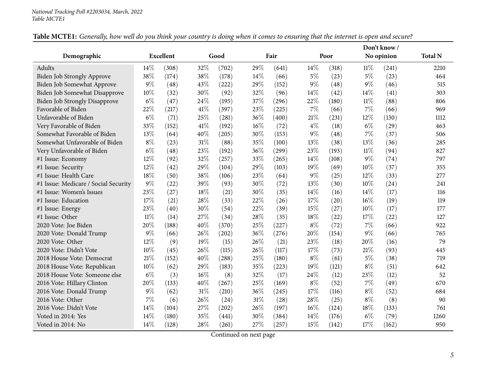|                                      |        |                  |     |       |        |       |       | Don't know / |        |            |                |
|--------------------------------------|--------|------------------|-----|-------|--------|-------|-------|--------------|--------|------------|----------------|
| Demographic                          |        | <b>Excellent</b> |     | Good  |        | Fair  |       | Poor         |        | No opinion | <b>Total N</b> |
| <b>Adults</b>                        | 14%    | (308)            | 32% | (702) | 29%    | (641) | 14%   | (318)        | $11\%$ | (241)      | 2210           |
| Biden Job Strongly Approve           | 38%    | (174)            | 38% | (178) | 14%    | (66)  | 5%    | (23)         | $5\%$  | (23)       | 464            |
| Biden Job Somewhat Approve           | 9%     | (48)             | 43% | (222) | 29%    | (152) | $9\%$ | (48)         | $9\%$  | (46)       | 515            |
| Biden Job Somewhat Disapprove        | 10%    | (32)             | 30% | (92)  | 32%    | (96)  | 14%   | (42)         | 14%    | (41)       | 303            |
| <b>Biden Job Strongly Disapprove</b> | $6\%$  | (47)             | 24% | (195) | 37%    | (296) | 22%   | (180)        | $11\%$ | (88)       | 806            |
| Favorable of Biden                   | 22%    | (217)            | 41% | (397) | 23%    | (225) | 7%    | (66)         | $7\%$  | (66)       | 969            |
| Unfavorable of Biden                 | $6\%$  | (71)             | 25% | (281) | 36%    | (400) | 21%   | (231)        | 12%    | (130)      | 1112           |
| Very Favorable of Biden              | 33%    | (152)            | 41% | (192) | $16\%$ | (72)  | $4\%$ | (18)         | $6\%$  | (29)       | 463            |
| Somewhat Favorable of Biden          | 13%    | (64)             | 40% | (205) | 30%    | (153) | $9\%$ | (48)         | 7%     | (37)       | 506            |
| Somewhat Unfavorable of Biden        | $8\%$  | (23)             | 31% | (88)  | 35%    | (100) | 13%   | (38)         | 13%    | (36)       | 285            |
| Very Unfavorable of Biden            | $6\%$  | (48)             | 23% | (192) | 36%    | (299) | 23%   | (193)        | $11\%$ | (94)       | 827            |
| #1 Issue: Economy                    | 12%    | (92)             | 32% | (257) | 33%    | (265) | 14%   | (108)        | 9%     | (74)       | 797            |
| #1 Issue: Security                   | 12%    | (42)             | 29% | (104) | 29%    | (103) | 19%   | (69)         | $10\%$ | (37)       | 355            |
| #1 Issue: Health Care                | $18\%$ | (50)             | 38% | (106) | 23%    | (64)  | 9%    | (25)         | 12%    | (33)       | 277            |
| #1 Issue: Medicare / Social Security | 9%     | (22)             | 39% | (93)  | 30%    | (72)  | 13%   | (30)         | 10%    | (24)       | 241            |
| #1 Issue: Women's Issues             | 23%    | (27)             | 18% | (21)  | 30%    | (35)  | 14%   | (16)         | 14%    | (17)       | 116            |
| #1 Issue: Education                  | 17%    | (21)             | 28% | (33)  | 22%    | (26)  | 17\%  | (20)         | $16\%$ | (19)       | 119            |
| #1 Issue: Energy                     | 23%    | (40)             | 30% | (54)  | 22%    | (39)  | 15%   | (27)         | 10%    | (17)       | 177            |
| #1 Issue: Other                      | $11\%$ | (14)             | 27% | (34)  | 28%    | (35)  | 18%   | (22)         | 17%    | (22)       | 127            |
| 2020 Vote: Joe Biden                 | 20%    | (188)            | 40% | (370) | 25%    | (227) | $8\%$ | (72)         | $7\%$  | (66)       | 922            |
| 2020 Vote: Donald Trump              | 9%     | (66)             | 26% | (202) | 36%    | (276) | 20%   | (154)        | 9%     | (66)       | 765            |
| 2020 Vote: Other                     | 12%    | (9)              | 19% | (15)  | 26%    | (21)  | 23%   | (18)         | 20%    | (16)       | 79             |
| 2020 Vote: Didn't Vote               | 10%    | (45)             | 26% | (115) | 26%    | (117) | 17%   | (73)         | 21%    | (93)       | 445            |
| 2018 House Vote: Democrat            | 21%    | (152)            | 40% | (288) | 25%    | (180) | $8\%$ | (61)         | $5\%$  | (38)       | 719            |
| 2018 House Vote: Republican          | 10%    | (62)             | 29% | (183) | 35%    | (223) | 19%   | (121)        | $8\%$  | (51)       | 642            |
| 2018 House Vote: Someone else        | $6\%$  | (3)              | 16% | (8)   | 32%    | (17)  | 24%   | (12)         | 23%    | (12)       | 52             |
| 2016 Vote: Hillary Clinton           | 20%    | (133)            | 40% | (267) | 25%    | (169) | $8\%$ | (52)         | $7\%$  | (49)       | 670            |
| 2016 Vote: Donald Trump              | $9\%$  | (62)             | 31% | (210) | 36%    | (245) | 17%   | (116)        | $8\%$  | (52)       | 684            |
| 2016 Vote: Other                     | 7%     | (6)              | 26% | (24)  | 31%    | (28)  | 28%   | (25)         | $8\%$  | (8)        | 90             |
| 2016 Vote: Didn't Vote               | 14\%   | (104)            | 27% | (202) | 26%    | (197) | 16%   | (124)        | 18%    | (133)      | 761            |
| Voted in 2014: Yes                   | 14%    | (180)            | 35% | (441) | 30%    | (384) | 14%   | (176)        | $6\%$  | (79)       | 1260           |
| Voted in 2014: No                    | 14%    | (128)            | 28% | (261) | 27%    | (257) | 15%   | (142)        | 17%    | (162)      | 950            |

#### Table MCTE1: Generally, how well do you think your country is doing when it comes to ensuring that the internet is open and secure?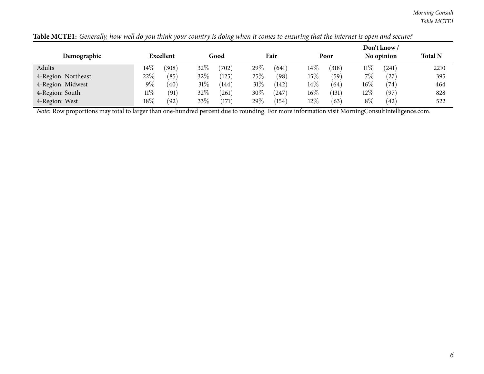| Demographic         |        | Excellent |        | Good      |        | Fair  |        | Poor  |        | Don't know/<br>No opinion | <b>Total N</b> |
|---------------------|--------|-----------|--------|-----------|--------|-------|--------|-------|--------|---------------------------|----------------|
| Adults              | $14\%$ | (308)     | $32\%$ | (702)     | 29%    | (641) | $14\%$ | (318) | $11\%$ | (241)                     | 2210           |
| 4-Region: Northeast | 22\%   | (85)      | 32%    | (125)     | $25\%$ | (98)  | 15%    | (59)  | $7\%$  | (27)                      | 395            |
| 4-Region: Midwest   | $9\%$  | (40)      | $31\%$ | (144)     | $31\%$ | (142) | $14\%$ | (64)  | $16\%$ | (74)                      | 464            |
| 4-Region: South     | $11\%$ | (91)      | $32\%$ | $^{'}261$ | $30\%$ | (247) | $16\%$ | (131) | $12\%$ | (97`                      | 828            |
| 4-Region: West      | $18\%$ | (92)      | $33\%$ | (171)     | 29%    | (154) | 12%    | (63)  | $8\%$  | (42)                      | 522            |

Table MCTE1: Generally, how well do you think your country is doing when it comes to ensuring that the internet is open and secure?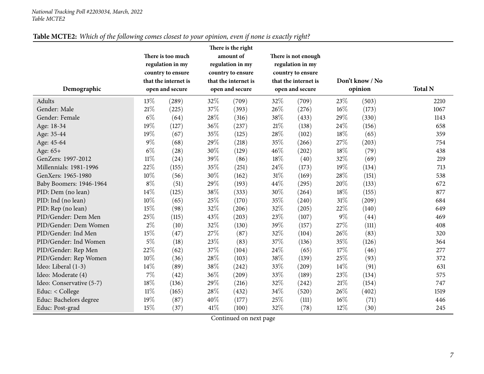<span id="page-6-0"></span>

|                          |        |                      |      | There is the right   |        |                      |        |                 |                |
|--------------------------|--------|----------------------|------|----------------------|--------|----------------------|--------|-----------------|----------------|
|                          |        | There is too much    |      | amount of            |        | There is not enough  |        |                 |                |
|                          |        | regulation in my     |      | regulation in my     |        | regulation in my     |        |                 |                |
|                          |        | country to ensure    |      | country to ensure    |        | country to ensure    |        |                 |                |
|                          |        | that the internet is |      | that the internet is |        | that the internet is |        | Don't know / No |                |
| Demographic              |        | open and secure      |      | open and secure      |        | open and secure      |        | opinion         | <b>Total N</b> |
| Adults                   | 13%    | (289)                | 32%  | (709)                | 32%    | (709)                | 23%    | (503)           | 2210           |
| Gender: Male             | 21%    | (225)                | 37%  | (393)                | 26%    | (276)                | 16%    | (173)           | 1067           |
| Gender: Female           | $6\%$  | (64)                 | 28%  | (316)                | 38%    | (433)                | 29%    | (330)           | 1143           |
| Age: 18-34               | 19%    | (127)                | 36%  | (237)                | 21\%   | (138)                | 24%    | (156)           | 658            |
| Age: 35-44               | 19%    | (67)                 | 35%  | (125)                | 28\%   | (102)                | 18%    | (65)            | 359            |
| Age: 45-64               | $9\%$  | (68)                 | 29%  | (218)                | 35%    | (266)                | 27%    | (203)           | 754            |
| Age: 65+                 | $6\%$  | (28)                 | 30%  | (129)                | 46%    | (202)                | 18%    | (79)            | 438            |
| GenZers: 1997-2012       | $11\%$ | (24)                 | 39%  | (86)                 | 18%    | (40)                 | 32%    | (69)            | 219            |
| Millennials: 1981-1996   | 22%    | (155)                | 35%  | (251)                | 24%    | (173)                | 19%    | (134)           | 713            |
| GenXers: 1965-1980       | 10%    | (56)                 | 30%  | (162)                | $31\%$ | (169)                | 28%    | (151)           | 538            |
| Baby Boomers: 1946-1964  | $8\%$  | (51)                 | 29%  | (193)                | 44%    | (295)                | 20%    | (133)           | 672            |
| PID: Dem (no lean)       | 14\%   | (125)                | 38%  | (333)                | $30\%$ | (264)                | 18%    | (155)           | 877            |
| PID: Ind (no lean)       | 10%    | (65)                 | 25%  | (170)                | 35%    | (240)                | $31\%$ | (209)           | 684            |
| PID: Rep (no lean)       | 15%    | (98)                 | 32%  | (206)                | 32%    | (205)                | 22%    | (140)           | 649            |
| PID/Gender: Dem Men      | 25%    | (115)                | 43%  | (203)                | 23%    | (107)                | $9\%$  | (44)            | 469            |
| PID/Gender: Dem Women    | $2\%$  | (10)                 | 32%  | (130)                | 39%    | (157)                | 27%    | (111)           | 408            |
| PID/Gender: Ind Men      | $15\%$ | (47)                 | 27%  | (87)                 | 32%    | (104)                | 26%    | (83)            | 320            |
| PID/Gender: Ind Women    | $5\%$  | (18)                 | 23%  | (83)                 | 37%    | (136)                | 35%    | (126)           | 364            |
| PID/Gender: Rep Men      | 22%    | (62)                 | 37%  | (104)                | 24\%   | (65)                 | 17\%   | (46)            | 277            |
| PID/Gender: Rep Women    | 10%    | (36)                 | 28%  | (103)                | 38%    | (139)                | 25%    | (93)            | 372            |
| Ideo: Liberal (1-3)      | 14\%   | (89)                 | 38%  | (242)                | 33%    | (209)                | 14\%   | (91)            | 631            |
| Ideo: Moderate (4)       | 7%     | (42)                 | 36%  | (209)                | 33%    | (189)                | 23%    | (134)           | 575            |
| Ideo: Conservative (5-7) | 18%    | (136)                | 29%  | (216)                | 32%    | (242)                | $21\%$ | (154)           | 747            |
| Educ: < College          | $11\%$ | (165)                | 28%  | (432)                | 34\%   | (520)                | 26%    | (402)           | 1519           |
| Educ: Bachelors degree   | 19%    | (87)                 | 40%  | (177)                | 25%    | (111)                | 16%    | (71)            | 446            |
| Educ: Post-grad          | 15%    | (37)                 | 41\% | (100)                | 32%    | (78)                 | 12%    | (30)            | 245            |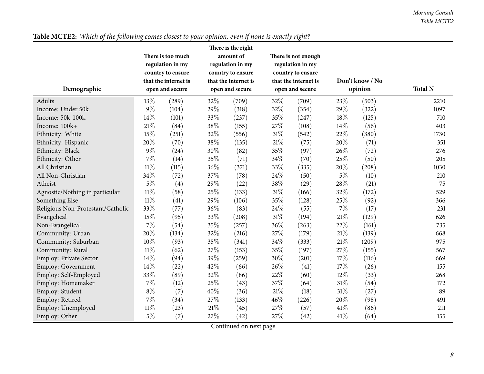| Demographic                       |        | There is too much<br>regulation in my<br>country to ensure<br>that the internet is<br>open and secure | There is the right<br>amount of<br>regulation in my<br>country to ensure<br>that the internet is<br>open and secure |       | There is not enough<br>regulation in my<br>country to ensure<br>that the internet is<br>open and secure |       |       | Don't know / No<br>opinion | <b>Total N</b> |
|-----------------------------------|--------|-------------------------------------------------------------------------------------------------------|---------------------------------------------------------------------------------------------------------------------|-------|---------------------------------------------------------------------------------------------------------|-------|-------|----------------------------|----------------|
| Adults                            | 13%    | (289)                                                                                                 | 32%                                                                                                                 | (709) | 32%                                                                                                     | (709) | 23%   | (503)                      | 2210           |
| Income: Under 50k                 | $9\%$  | (104)                                                                                                 | 29%                                                                                                                 | (318) | 32%                                                                                                     | (354) | 29%   | (322)                      | 1097           |
| Income: 50k-100k                  | 14%    | (101)                                                                                                 | 33%                                                                                                                 | (237) | 35%                                                                                                     | (247) | 18%   | (125)                      | 710            |
| Income: 100k+                     | 21\%   | (84)                                                                                                  | 38%                                                                                                                 | (155) | 27%                                                                                                     | (108) | 14%   | (56)                       | 403            |
| Ethnicity: White                  | 15%    | (251)                                                                                                 | 32%                                                                                                                 | (556) | 31%                                                                                                     | (542) | 22%   | (380)                      | 1730           |
| Ethnicity: Hispanic               | 20%    | (70)                                                                                                  | 38%                                                                                                                 | (135) | $21\%$                                                                                                  | (75)  | 20%   | (71)                       | 351            |
| Ethnicity: Black                  | $9\%$  | (24)                                                                                                  | 30%                                                                                                                 | (82)  | 35%                                                                                                     | (97)  | 26%   | (72)                       | 276            |
| Ethnicity: Other                  | 7%     | (14)                                                                                                  | 35%                                                                                                                 | (71)  | 34%                                                                                                     | (70)  | 25%   | (50)                       | 205            |
| All Christian                     | $11\%$ | (115)                                                                                                 | 36%                                                                                                                 | (371) | 33%                                                                                                     | (335) | 20%   | (208)                      | 1030           |
| All Non-Christian                 | 34%    | (72)                                                                                                  | 37%                                                                                                                 | (78)  | 24%                                                                                                     | (50)  | $5\%$ | (10)                       | 210            |
| Atheist                           | $5\%$  | (4)                                                                                                   | 29%                                                                                                                 | (22)  | 38%                                                                                                     | (29)  | 28%   | (21)                       | 75             |
| Agnostic/Nothing in particular    | $11\%$ | (58)                                                                                                  | 25%                                                                                                                 | (133) | 31%                                                                                                     | (166) | 32%   | (172)                      | 529            |
| Something Else                    | $11\%$ | (41)                                                                                                  | 29%                                                                                                                 | (106) | 35%                                                                                                     | (128) | 25%   | (92)                       | 366            |
| Religious Non-Protestant/Catholic | 33%    | (77)                                                                                                  | 36%                                                                                                                 | (83)  | 24%                                                                                                     | (55)  | $7\%$ | (17)                       | 231            |
| Evangelical                       | 15%    | (95)                                                                                                  | 33%                                                                                                                 | (208) | $31\%$                                                                                                  | (194) | 21%   | (129)                      | 626            |
| Non-Evangelical                   | $7\%$  | (54)                                                                                                  | 35%                                                                                                                 | (257) | 36%                                                                                                     | (263) | 22%   | (161)                      | 735            |
| Community: Urban                  | 20%    | (134)                                                                                                 | 32%                                                                                                                 | (216) | 27%                                                                                                     | (179) | 21%   | (139)                      | 668            |
| Community: Suburban               | 10%    | (93)                                                                                                  | 35%                                                                                                                 | (341) | 34%                                                                                                     | (333) | 21%   | (209)                      | 975            |
| Community: Rural                  | $11\%$ | (62)                                                                                                  | 27%                                                                                                                 | (153) | 35%                                                                                                     | (197) | 27%   | (155)                      | 567            |
| Employ: Private Sector            | 14%    | (94)                                                                                                  | 39%                                                                                                                 | (259) | 30%                                                                                                     | (201) | 17%   | (116)                      | 669            |
| Employ: Government                | 14%    | (22)                                                                                                  | 42%                                                                                                                 | (66)  | 26%                                                                                                     | (41)  | 17%   | (26)                       | 155            |
| Employ: Self-Employed             | 33%    | (89)                                                                                                  | 32%                                                                                                                 | (86)  | 22%                                                                                                     | (60)  | 12%   | (33)                       | 268            |
| Employ: Homemaker                 | $7\%$  | (12)                                                                                                  | 25%                                                                                                                 | (43)  | 37%                                                                                                     | (64)  | 31%   | (54)                       | 172            |
| Employ: Student                   | $8\%$  | (7)                                                                                                   | 40%                                                                                                                 | (36)  | $21\%$                                                                                                  | (18)  | 31%   | (27)                       | 89             |
| Employ: Retired                   | $7\%$  | (34)                                                                                                  | 27%                                                                                                                 | (133) | 46%                                                                                                     | (226) | 20%   | (98)                       | 491            |
| Employ: Unemployed                | $11\%$ | (23)                                                                                                  | 21%                                                                                                                 | (45)  | 27%                                                                                                     | (57)  | 41\%  | (86)                       | 211            |
| Employ: Other                     | $5\%$  | (7)                                                                                                   | 27%                                                                                                                 | (42)  | 27%                                                                                                     | (42)  | 41\%  | (64)                       | 155            |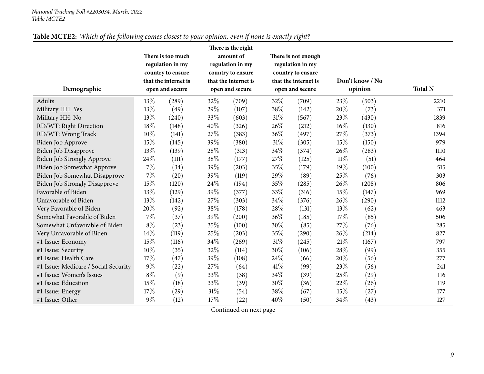| Demographic                          | There is too much<br>regulation in my<br>country to ensure<br>that the internet is<br>open and secure |       | There is the right<br>amount of<br>regulation in my<br>country to ensure<br>that the internet is<br>open and secure |                     |        | There is not enough<br>regulation in my<br>country to ensure<br>that the internet is<br>open and secure |        | Don't know / No<br>opinion | <b>Total N</b> |
|--------------------------------------|-------------------------------------------------------------------------------------------------------|-------|---------------------------------------------------------------------------------------------------------------------|---------------------|--------|---------------------------------------------------------------------------------------------------------|--------|----------------------------|----------------|
| Adults                               | 13%                                                                                                   | (289) |                                                                                                                     | (709)               | 32%    | (709)                                                                                                   | 23%    | (503)                      | 2210           |
| Military HH: Yes                     | 13%                                                                                                   | (49)  | 29%                                                                                                                 | (107)               | 38\%   | (142)                                                                                                   | 20%    | (73)                       | 371            |
| Military HH: No                      | 13%                                                                                                   | (240) | 33%                                                                                                                 | (603)               | 31\%   | (567)                                                                                                   | 23%    | (430)                      | 1839           |
| RD/WT: Right Direction               | 18%                                                                                                   | (148) | 40%                                                                                                                 | (326)               | 26%    | (212)                                                                                                   | 16%    | (130)                      | 816            |
| RD/WT: Wrong Track                   | 10%                                                                                                   | (141) | 27%                                                                                                                 | (383)               | 36%    | (497)                                                                                                   | 27%    | (373)                      | 1394           |
| Biden Job Approve                    | 15%                                                                                                   | (145) | 39%                                                                                                                 | (380)               | $31\%$ | (305)                                                                                                   | 15%    | (150)                      | 979            |
| Biden Job Disapprove                 | 13%                                                                                                   | (139) | 28%                                                                                                                 | (313)               | 34%    | (374)                                                                                                   | 26%    | (283)                      | 1110           |
| Biden Job Strongly Approve           | 24%                                                                                                   | (111) | 38%                                                                                                                 | (177)               | 27%    | (125)                                                                                                   | $11\%$ | (51)                       | 464            |
| Biden Job Somewhat Approve           | 7%                                                                                                    | (34)  | 39%                                                                                                                 | (203)               | 35%    | (179)                                                                                                   | 19%    | (100)                      | 515            |
| Biden Job Somewhat Disapprove        | 7%                                                                                                    | (20)  | 39%                                                                                                                 | (119)               | 29%    | (89)                                                                                                    | 25%    | (76)                       | 303            |
| <b>Biden Job Strongly Disapprove</b> | 15%                                                                                                   | (120) | 24\%                                                                                                                | (194)               | 35%    | (285)                                                                                                   | 26%    | (208)                      | 806            |
| Favorable of Biden                   | 13%                                                                                                   | (129) | 39%                                                                                                                 | (377)               | 33%    | (316)                                                                                                   | 15%    | (147)                      | 969            |
| Unfavorable of Biden                 | 13%                                                                                                   | (142) | 27%                                                                                                                 | (303)               | 34\%   | (376)                                                                                                   | 26%    | (290)                      | 1112           |
| Very Favorable of Biden              | 20%                                                                                                   | (92)  | 38%                                                                                                                 | (178)               | 28%    | (131)                                                                                                   | 13%    | (62)                       | 463            |
| Somewhat Favorable of Biden          | 7%                                                                                                    | (37)  | 39%                                                                                                                 | $\left( 200\right)$ | 36\%   | (185)                                                                                                   | 17\%   | (85)                       | 506            |
| Somewhat Unfavorable of Biden        | $8\%$                                                                                                 | (23)  | 35%                                                                                                                 | (100)               | 30%    | (85)                                                                                                    | 27%    | (76)                       | 285            |
| Very Unfavorable of Biden            | 14%                                                                                                   | (119) | 25%                                                                                                                 | (203)               | 35\%   | (290)                                                                                                   | 26%    | (214)                      | 827            |
| #1 Issue: Economy                    | 15%                                                                                                   | (116) | 34%                                                                                                                 | (269)               | 31%    | (245)                                                                                                   | 21%    | (167)                      | 797            |
| #1 Issue: Security                   | 10%                                                                                                   | (35)  | 32%                                                                                                                 | (114)               | 30%    | (106)                                                                                                   | 28%    | (99)                       | 355            |
| #1 Issue: Health Care                | 17%                                                                                                   | (47)  | 39%                                                                                                                 | (108)               | 24\%   | (66)                                                                                                    | 20%    | (56)                       | 277            |
| #1 Issue: Medicare / Social Security | $9\%$                                                                                                 | (22)  | 27%                                                                                                                 | (64)                | 41\%   | (99)                                                                                                    | 23%    | (56)                       | 241            |
| #1 Issue: Women's Issues             | $8\%$                                                                                                 | (9)   | 33%                                                                                                                 | (38)                | 34\%   | (39)                                                                                                    | 25%    | (29)                       | 116            |
| #1 Issue: Education                  | 15%                                                                                                   | (18)  | 33%                                                                                                                 | (39)                | 30%    | (36)                                                                                                    | 22%    | (26)                       | 119            |
| #1 Issue: Energy                     | 17%                                                                                                   | (29)  | 31%                                                                                                                 | (54)                | 38%    | (67)                                                                                                    | 15%    | (27)                       | 177            |
| #1 Issue: Other                      | $9\%$                                                                                                 | (12)  | 17%                                                                                                                 | (22)                | 40%    | (50)                                                                                                    | 34%    | (43)                       | 127            |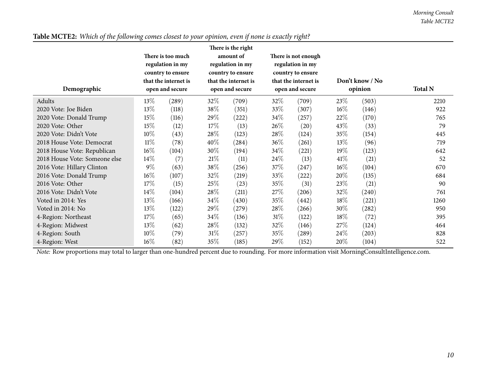| Demographic                   |        | There is too much<br>regulation in my<br>country to ensure<br>that the internet is<br>open and secure | There is the right<br>amount of<br>regulation in my<br>country to ensure<br>that the internet is<br>open and secure |       | There is not enough<br>regulation in my<br>country to ensure<br>that the internet is<br>open and secure |       | Don't know / No<br>opinion |       | <b>Total N</b> |
|-------------------------------|--------|-------------------------------------------------------------------------------------------------------|---------------------------------------------------------------------------------------------------------------------|-------|---------------------------------------------------------------------------------------------------------|-------|----------------------------|-------|----------------|
| Adults                        | $13\%$ | (289)                                                                                                 | 32\%                                                                                                                | (709) | 32\%                                                                                                    | (709) | 23\%                       | (503) | 2210           |
| 2020 Vote: Joe Biden          | 13\%   | (118)                                                                                                 | 38\%                                                                                                                | (351) | 33%                                                                                                     | (307) | $16\%$                     | (146) | 922            |
| 2020 Vote: Donald Trump       | 15%    | (116)                                                                                                 | 29%                                                                                                                 | (222) | 34\%                                                                                                    | (257) | 22%                        | (170) | 765            |
| 2020 Vote: Other              | 15%    | (12)                                                                                                  | 17%                                                                                                                 | (13)  | 26\%                                                                                                    | (20)  | 43\%                       | (33)  | 79             |
| 2020 Vote: Didn't Vote        | 10%    | (43)                                                                                                  | 28\%                                                                                                                | (123) | 28\%                                                                                                    | (124) | 35%                        | (154) | 445            |
| 2018 House Vote: Democrat     | $11\%$ | (78)                                                                                                  | 40%                                                                                                                 | (284) | 36\%                                                                                                    | (261) | $13\%$                     | (96)  | 719            |
| 2018 House Vote: Republican   | $16\%$ | (104)                                                                                                 | 30%                                                                                                                 | (194) | $34\%$                                                                                                  | (221) | 19%                        | (123) | 642            |
| 2018 House Vote: Someone else | $14\%$ | (7)                                                                                                   | 21%                                                                                                                 | (11)  | $24\%$                                                                                                  | (13)  | 41%                        | (21)  | 52             |
| 2016 Vote: Hillary Clinton    | $9\%$  | (63)                                                                                                  | 38\%                                                                                                                | (256) | 37\%                                                                                                    | (247) | $16\%$                     | (104) | 670            |
| 2016 Vote: Donald Trump       | $16\%$ | (107)                                                                                                 | $32\%$                                                                                                              | (219) | 33%                                                                                                     | (222) | 20%                        | (135) | 684            |
| 2016 Vote: Other              | 17%    | (15)                                                                                                  | 25\%                                                                                                                | (23)  | 35\%                                                                                                    | (31)  | 23\%                       | (21)  | 90             |
| 2016 Vote: Didn't Vote        | $14\%$ | (104)                                                                                                 | 28\%                                                                                                                | (211) | 27%                                                                                                     | (206) | 32\%                       | (240) | 761            |
| Voted in 2014: Yes            | $13\%$ | (166)                                                                                                 | 34\%                                                                                                                | (430) | 35\%                                                                                                    | (442) | 18%                        | (221) | 1260           |
| Voted in 2014: No             | 13\%   | (122)                                                                                                 | 29%                                                                                                                 | (279) | 28\%                                                                                                    | (266) | $30\%$                     | (282) | 950            |
| 4-Region: Northeast           | 17%    | (65)                                                                                                  | 34\%                                                                                                                | (136) | $31\%$                                                                                                  | (122) | 18%                        | (72)  | 395            |
| 4-Region: Midwest             | 13\%   | (62)                                                                                                  | 28\%                                                                                                                | (132) | $32\%$                                                                                                  | (146) | 27\%                       | (124) | 464            |
| 4-Region: South               | 10%    | (79)                                                                                                  | $31\%$                                                                                                              | (257) | 35\%                                                                                                    | (289) | 24\%                       | (203) | 828            |
| 4-Region: West                | $16\%$ | (82)                                                                                                  | 35%                                                                                                                 | (185) | $29\%$                                                                                                  | (152) | $20\%$                     | (104) | 522            |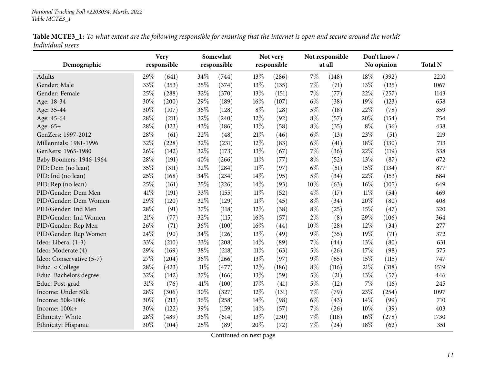| Table MCTE3_1: To what extent are the following responsible for ensuring that the internet is open and secure around the world? |  |
|---------------------------------------------------------------------------------------------------------------------------------|--|
| Individual users                                                                                                                |  |

<span id="page-10-0"></span>

| Demographic              |      | <b>Very</b><br>responsible |      | Somewhat<br>responsible |        | Not very<br>responsible |       | Not responsible<br>at all |        | Don't know /<br>No opinion | <b>Total N</b> |
|--------------------------|------|----------------------------|------|-------------------------|--------|-------------------------|-------|---------------------------|--------|----------------------------|----------------|
| Adults                   | 29%  | (641)                      | 34%  | (744)                   | 13%    | (286)                   | $7\%$ | (148)                     | 18%    | (392)                      | 2210           |
| Gender: Male             | 33%  | (353)                      | 35%  | (374)                   | 13%    | (135)                   | $7\%$ | (71)                      | 13%    | (135)                      | 1067           |
| Gender: Female           | 25%  | (288)                      | 32%  | (370)                   | 13%    | (151)                   | 7%    | (77)                      | 22%    | (257)                      | 1143           |
| Age: 18-34               | 30%  | (200)                      | 29%  | (189)                   | 16%    | (107)                   | $6\%$ | (38)                      | 19%    | (123)                      | 658            |
| Age: 35-44               | 30%  | (107)                      | 36%  | (128)                   | $8\%$  | (28)                    | $5\%$ | (18)                      | 22%    | (78)                       | 359            |
| Age: 45-64               | 28%  | (211)                      | 32%  | (240)                   | 12%    | (92)                    | $8\%$ | (57)                      | 20%    | (154)                      | 754            |
| Age: 65+                 | 28\% | (123)                      | 43%  | (186)                   | 13%    | (58)                    | $8\%$ | (35)                      | $8\%$  | (36)                       | 438            |
| GenZers: 1997-2012       | 28\% | (61)                       | 22%  | (48)                    | $21\%$ | (46)                    | $6\%$ | (13)                      | 23%    | (51)                       | 219            |
| Millennials: 1981-1996   | 32%  | (228)                      | 32%  | (231)                   | 12%    | (83)                    | $6\%$ | (41)                      | 18%    | (130)                      | 713            |
| GenXers: 1965-1980       | 26%  | (142)                      | 32%  | (173)                   | 13%    | (67)                    | 7%    | (36)                      | 22%    | (119)                      | 538            |
| Baby Boomers: 1946-1964  | 28%  | (191)                      | 40%  | (266)                   | $11\%$ | (77)                    | $8\%$ | (52)                      | 13%    | (87)                       | 672            |
| PID: Dem (no lean)       | 35%  | (311)                      | 32%  | (284)                   | $11\%$ | (97)                    | $6\%$ | (51)                      | 15%    | (134)                      | 877            |
| PID: Ind (no lean)       | 25%  | (168)                      | 34\% | (234)                   | 14%    | (95)                    | $5\%$ | (34)                      | 22%    | (153)                      | 684            |
| PID: Rep (no lean)       | 25%  | (161)                      | 35%  | (226)                   | 14%    | (93)                    | 10%   | (63)                      | 16%    | (105)                      | 649            |
| PID/Gender: Dem Men      | 41%  | (191)                      | 33%  | (155)                   | $11\%$ | (52)                    | $4\%$ | (17)                      | $11\%$ | (54)                       | 469            |
| PID/Gender: Dem Women    | 29%  | (120)                      | 32%  | (129)                   | $11\%$ | (45)                    | $8\%$ | (34)                      | 20%    | (80)                       | 408            |
| PID/Gender: Ind Men      | 28\% | (91)                       | 37%  | (118)                   | 12%    | (38)                    | $8\%$ | (25)                      | 15%    | (47)                       | 320            |
| PID/Gender: Ind Women    | 21\% | (77)                       | 32%  | (115)                   | 16%    | (57)                    | $2\%$ | (8)                       | 29%    | (106)                      | 364            |
| PID/Gender: Rep Men      | 26%  | (71)                       | 36%  | (100)                   | 16%    | (44)                    | 10%   | (28)                      | 12%    | (34)                       | 277            |
| PID/Gender: Rep Women    | 24%  | (90)                       | 34%  | (126)                   | 13%    | (49)                    | $9\%$ | (35)                      | 19%    | (71)                       | 372            |
| Ideo: Liberal (1-3)      | 33%  | (210)                      | 33%  | (208)                   | 14%    | (89)                    | 7%    | (44)                      | 13%    | (80)                       | 631            |
| Ideo: Moderate (4)       | 29%  | (169)                      | 38%  | (218)                   | $11\%$ | (63)                    | $5\%$ | (26)                      | 17%    | (98)                       | 575            |
| Ideo: Conservative (5-7) | 27%  | (204)                      | 36%  | (266)                   | 13%    | (97)                    | 9%    | (65)                      | 15%    | (115)                      | 747            |
| Educ: < College          | 28%  | (423)                      | 31%  | (477)                   | 12%    | (186)                   | $8\%$ | (116)                     | 21%    | (318)                      | 1519           |
| Educ: Bachelors degree   | 32%  | (142)                      | 37%  | (166)                   | 13%    | (59)                    | $5\%$ | (21)                      | 13%    | (57)                       | 446            |
| Educ: Post-grad          | 31%  | (76)                       | 41\% | (100)                   | 17%    | (41)                    | $5\%$ | (12)                      | $7\%$  | (16)                       | 245            |
| Income: Under 50k        | 28%  | (306)                      | 30%  | (327)                   | $12\%$ | (131)                   | $7\%$ | (79)                      | 23%    | (254)                      | 1097           |
| Income: 50k-100k         | 30%  | (213)                      | 36%  | (258)                   | 14%    | (98)                    | $6\%$ | (43)                      | 14\%   | (99)                       | 710            |
| Income: 100k+            | 30%  | (122)                      | 39%  | (159)                   | 14%    | (57)                    | $7\%$ | (26)                      | 10%    | (39)                       | 403            |
| Ethnicity: White         | 28%  | (489)                      | 36%  | (614)                   | 13%    | (230)                   | 7%    | (118)                     | 16%    | (278)                      | 1730           |
|                          | 30%  | (104)                      | 25%  | (89)                    | 20%    | (72)                    | $7\%$ |                           | 18%    |                            | 351            |
| Ethnicity: Hispanic      |      |                            |      |                         |        |                         |       | (24)                      |        | (62)                       |                |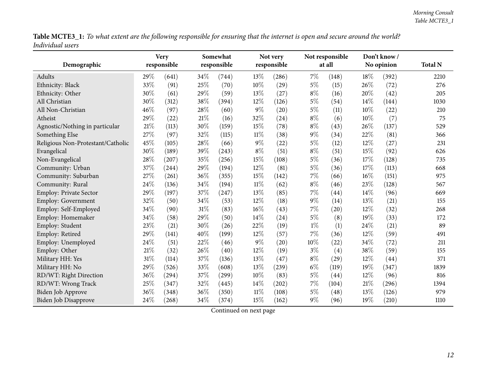Table MCTE3\_1: To what extent are the following responsible for ensuring that the internet is open and secure around the world? *Individual users*

| Demographic                       |     | <b>Very</b><br>responsible |      | Somewhat<br>Not very<br>responsible<br>responsible |        |       |       | Not responsible<br>at all |      | Don't know/<br>No opinion | <b>Total N</b> |
|-----------------------------------|-----|----------------------------|------|----------------------------------------------------|--------|-------|-------|---------------------------|------|---------------------------|----------------|
|                                   |     |                            |      |                                                    |        |       |       |                           |      |                           |                |
| Adults                            | 29% | (641)                      | 34\% | (744)                                              | 13\%   | (286) | 7%    | (148)                     | 18%  | (392)                     | 2210           |
| Ethnicity: Black                  | 33% | (91)                       | 25%  | (70)                                               | 10%    | (29)  | $5\%$ | (15)                      | 26%  | (72)                      | 276            |
| Ethnicity: Other                  | 30% | (61)                       | 29%  | (59)                                               | 13%    | (27)  | $8\%$ | (16)                      | 20%  | (42)                      | 205            |
| All Christian                     | 30% | (312)                      | 38%  | (394)                                              | 12%    | (126) | $5\%$ | (54)                      | 14\% | (144)                     | 1030           |
| All Non-Christian                 | 46% | (97)                       | 28%  | (60)                                               | $9\%$  | (20)  | $5\%$ | (11)                      | 10%  | (22)                      | 210            |
| Atheist                           | 29% | (22)                       | 21\% | (16)                                               | 32%    | (24)  | $8\%$ | (6)                       | 10%  | (7)                       | 75             |
| Agnostic/Nothing in particular    | 21% | (113)                      | 30%  | (159)                                              | 15%    | (78)  | $8\%$ | (43)                      | 26%  | (137)                     | 529            |
| Something Else                    | 27% | (97)                       | 32%  | (115)                                              | $11\%$ | (38)  | $9\%$ | (34)                      | 22%  | (81)                      | 366            |
| Religious Non-Protestant/Catholic | 45% | (105)                      | 28%  | (66)                                               | $9\%$  | (22)  | $5\%$ | (12)                      | 12%  | (27)                      | 231            |
| Evangelical                       | 30% | (189)                      | 39%  | (243)                                              | $8\%$  | (51)  | $8\%$ | (51)                      | 15%  | (92)                      | 626            |
| Non-Evangelical                   | 28% | (207)                      | 35%  | (256)                                              | 15%    | (108) | $5\%$ | (36)                      | 17%  | (128)                     | 735            |
| Community: Urban                  | 37% | (244)                      | 29%  | (194)                                              | $12\%$ | (81)  | $5\%$ | (36)                      | 17%  | (113)                     | 668            |
| Community: Suburban               | 27% | (261)                      | 36%  | (355)                                              | 15%    | (142) | 7%    | (66)                      | 16%  | (151)                     | 975            |
| Community: Rural                  | 24% | (136)                      | 34%  | (194)                                              | $11\%$ | (62)  | $8\%$ | (46)                      | 23%  | (128)                     | 567            |
| <b>Employ: Private Sector</b>     | 29% | (197)                      | 37%  | (247)                                              | $13\%$ | (85)  | $7\%$ | (44)                      | 14%  | (96)                      | 669            |
| Employ: Government                | 32% | (50)                       | 34%  | (53)                                               | 12%    | (18)  | $9\%$ | (14)                      | 13%  | (21)                      | 155            |
| Employ: Self-Employed             | 34% | (90)                       | 31%  | (83)                                               | 16%    | (43)  | 7%    | (20)                      | 12%  | (32)                      | 268            |
| Employ: Homemaker                 | 34% | (58)                       | 29%  | (50)                                               | 14%    | (24)  | $5\%$ | (8)                       | 19%  | (33)                      | 172            |
| Employ: Student                   | 23% | (21)                       | 30%  | (26)                                               | 22%    | (19)  | $1\%$ | (1)                       | 24%  | (21)                      | 89             |
| Employ: Retired                   | 29% | (141)                      | 40%  | (199)                                              | 12%    | (57)  | $7\%$ | (36)                      | 12%  | (59)                      | 491            |
| Employ: Unemployed                | 24% | (51)                       | 22%  | (46)                                               | $9\%$  | (20)  | 10%   | (22)                      | 34%  | (72)                      | 211            |
| Employ: Other                     | 21% | (32)                       | 26%  | (40)                                               | 12%    | (19)  | $3\%$ | (4)                       | 38%  | (59)                      | 155            |
| Military HH: Yes                  | 31% | (114)                      | 37%  | (136)                                              | 13%    | (47)  | $8\%$ | (29)                      | 12%  | (44)                      | 371            |
| Military HH: No                   | 29% | (526)                      | 33%  | (608)                                              | 13%    | (239) | $6\%$ | (119)                     | 19%  | (347)                     | 1839           |
| RD/WT: Right Direction            | 36% | (294)                      | 37%  | (299)                                              | 10%    | (83)  | $5\%$ | (44)                      | 12%  | (96)                      | 816            |
| RD/WT: Wrong Track                | 25% | (347)                      | 32%  | (445)                                              | $14\%$ | (202) | 7%    | (104)                     | 21%  | (296)                     | 1394           |
| Biden Job Approve                 | 36% | (348)                      | 36%  | (350)                                              | $11\%$ | (108) | $5\%$ | (48)                      | 13%  | (126)                     | 979            |
| Biden Job Disapprove              | 24% | (268)                      | 34%  | (374)                                              | 15%    | (162) | 9%    | (96)                      | 19%  | (210)                     | 1110           |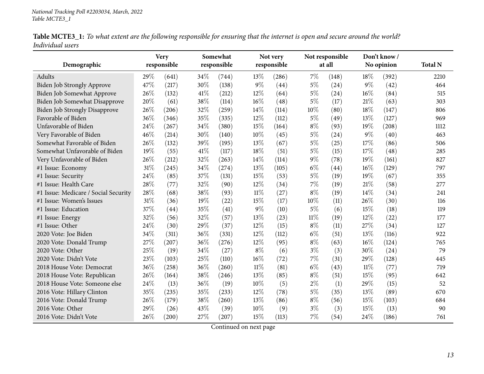| Table MCTE3_1: To what extent are the following responsible for ensuring that the internet is open and secure around the world? |  |
|---------------------------------------------------------------------------------------------------------------------------------|--|
| Individual users                                                                                                                |  |

| Demographic                          |     | <b>Very</b><br>responsible |      | Somewhat<br>responsible |        | Not very<br>responsible |        | Not responsible<br>at all |       | Don't know/<br>No opinion | <b>Total N</b> |
|--------------------------------------|-----|----------------------------|------|-------------------------|--------|-------------------------|--------|---------------------------|-------|---------------------------|----------------|
|                                      |     |                            |      |                         |        |                         |        |                           |       |                           |                |
| Adults                               | 29% | (641)                      | 34\% | (744)                   | 13%    | (286)                   | 7%     | (148)                     | 18%   | (392)                     | 2210           |
| Biden Job Strongly Approve           | 47% | (217)                      | 30%  | (138)                   | $9\%$  | (44)                    | $5\%$  | (24)                      | $9\%$ | (42)                      | 464            |
| Biden Job Somewhat Approve           | 26% | (132)                      | 41\% | (212)                   | 12%    | (64)                    | $5\%$  | (24)                      | 16%   | (84)                      | 515            |
| Biden Job Somewhat Disapprove        | 20% | (61)                       | 38%  | (114)                   | 16%    | (48)                    | $5\%$  | (17)                      | 21%   | (63)                      | 303            |
| Biden Job Strongly Disapprove        | 26% | (206)                      | 32%  | (259)                   | 14%    | (114)                   | 10%    | (80)                      | 18%   | (147)                     | 806            |
| Favorable of Biden                   | 36% | (346)                      | 35%  | (335)                   | 12%    | (112)                   | $5\%$  | (49)                      | 13%   | (127)                     | 969            |
| Unfavorable of Biden                 | 24% | (267)                      | 34%  | (380)                   | 15%    | (164)                   | $8\%$  | (93)                      | 19%   | (208)                     | 1112           |
| Very Favorable of Biden              | 46% | (214)                      | 30%  | (140)                   | 10%    | (45)                    | $5\%$  | (24)                      | 9%    | (40)                      | 463            |
| Somewhat Favorable of Biden          | 26% | (132)                      | 39%  | (195)                   | 13%    | (67)                    | $5\%$  | (25)                      | 17%   | (86)                      | 506            |
| Somewhat Unfavorable of Biden        | 19% | (55)                       | 41\% | (117)                   | 18%    | (51)                    | $5\%$  | (15)                      | 17%   | (48)                      | 285            |
| Very Unfavorable of Biden            | 26% | (212)                      | 32%  | (263)                   | 14%    | (114)                   | 9%     | (78)                      | 19%   | (161)                     | 827            |
| #1 Issue: Economy                    | 31% | (245)                      | 34%  | (274)                   | 13%    | (105)                   | $6\%$  | (44)                      | 16%   | (129)                     | 797            |
| #1 Issue: Security                   | 24% | (85)                       | 37%  | (131)                   | 15%    | (53)                    | $5\%$  | (19)                      | 19%   | (67)                      | 355            |
| #1 Issue: Health Care                | 28% | (77)                       | 32%  | (90)                    | 12%    | (34)                    | 7%     | (19)                      | 21%   | (58)                      | 277            |
| #1 Issue: Medicare / Social Security | 28% | (68)                       | 38%  | (93)                    | $11\%$ | (27)                    | $8\%$  | (19)                      | 14%   | (34)                      | 241            |
| #1 Issue: Women's Issues             | 31% | (36)                       | 19%  | (22)                    | 15%    | (17)                    | 10%    | (11)                      | 26%   | (30)                      | 116            |
| #1 Issue: Education                  | 37% | (44)                       | 35%  | (41)                    | $9\%$  | (10)                    | 5%     | (6)                       | 15%   | (18)                      | 119            |
| #1 Issue: Energy                     | 32% | (56)                       | 32%  | (57)                    | 13%    | (23)                    | $11\%$ | (19)                      | 12%   | (22)                      | 177            |
| #1 Issue: Other                      | 24% | (30)                       | 29%  | (37)                    | 12%    | (15)                    | $8\%$  | (11)                      | 27%   | (34)                      | 127            |
| 2020 Vote: Joe Biden                 | 34% | (311)                      | 36%  | (331)                   | 12%    | (112)                   | $6\%$  | (51)                      | 13%   | (116)                     | 922            |
| 2020 Vote: Donald Trump              | 27% | (207)                      | 36%  | (276)                   | 12%    | (95)                    | $8\%$  | (63)                      | 16%   | (124)                     | 765            |
| 2020 Vote: Other                     | 25% | (19)                       | 34%  | (27)                    | $8\%$  | (6)                     | $3\%$  | (3)                       | 30%   | (24)                      | 79             |
| 2020 Vote: Didn't Vote               | 23% | (103)                      | 25%  | (110)                   | 16%    | (72)                    | 7%     | (31)                      | 29%   | (128)                     | 445            |
| 2018 House Vote: Democrat            | 36% | (258)                      | 36%  | (260)                   | $11\%$ | (81)                    | $6\%$  | (43)                      | 11%   | (77)                      | 719            |
| 2018 House Vote: Republican          | 26% | (164)                      | 38%  | (246)                   | 13%    | (85)                    | $8\%$  | (51)                      | 15%   | (95)                      | 642            |
| 2018 House Vote: Someone else        | 24% | (13)                       | 36%  | (19)                    | 10%    | (5)                     | $2\%$  | (1)                       | 29%   | (15)                      | 52             |
| 2016 Vote: Hillary Clinton           | 35% | (235)                      | 35%  | (233)                   | 12%    | (78)                    | $5\%$  | (35)                      | 13%   | (89)                      | 670            |
| 2016 Vote: Donald Trump              | 26% | (179)                      | 38%  | (260)                   | 13%    | (86)                    | $8\%$  | (56)                      | 15%   | (103)                     | 684            |
| 2016 Vote: Other                     | 29% | (26)                       | 43%  | (39)                    | 10%    | (9)                     | $3\%$  | (3)                       | 15%   | (13)                      | 90             |
| 2016 Vote: Didn't Vote               | 26% | (200)                      | 27%  | (207)                   | 15%    | (113)                   | 7%     | (54)                      | 24%   | (186)                     | 761            |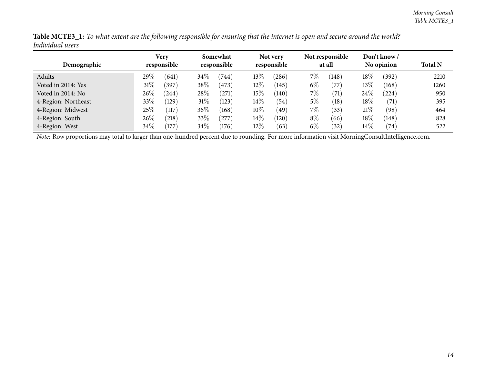| Table MCTE3_1: To what extent are the following responsible for ensuring that the internet is open and secure around the world? |  |
|---------------------------------------------------------------------------------------------------------------------------------|--|
| Individual users                                                                                                                |  |

|                     | Very            | Somewhat           | Not very        | Not responsible | Don't know /         |                |
|---------------------|-----------------|--------------------|-----------------|-----------------|----------------------|----------------|
| Demographic         | responsible     | responsible        | responsible     | at all          | No opinion           | <b>Total N</b> |
| Adults              | 29\%<br>(641)   | $34\%$<br>(744)    | 13\%<br>(286)   | $7\%$<br>(148)  | $18\%$<br>(392)      | 2210           |
| Voted in 2014: Yes  | $31\%$<br>(397) | $38\%$<br>(473)    | $12\%$<br>(145) | $6\%$<br>(77)   | $13\%$<br>(168)      | 1260           |
| Voted in 2014: No   | 26%<br>(244)    | 28\%<br>$^{'}271)$ | $15\%$<br>(140) | $7\%$<br>(71)   | $24\%$<br>$^{(224)}$ | 950            |
| 4-Region: Northeast | 33%<br>(129)    | $31\%$<br>(123)    | $14\%$<br>(54)  | $5\%$<br>(18)   | $18\%$<br>(71)       | 395            |
| 4-Region: Midwest   | 25%<br>(117)    | $36\%$<br>(168)    | $10\%$<br>(49)  | $7\%$<br>(33)   | 21%<br>(98)          | 464            |
| 4-Region: South     | $26\%$<br>(218) | $33\%$<br>(277)    | $14\%$<br>(120) | $8\%$<br>(66)   | $18\%$<br>(148)      | 828            |
| 4-Region: West      | $34\%$<br>(177) | $34\%$<br>(176)    | $12\%$<br>(63)  | $6\%$<br>(32)   | $14\%$<br>(74)       | 522            |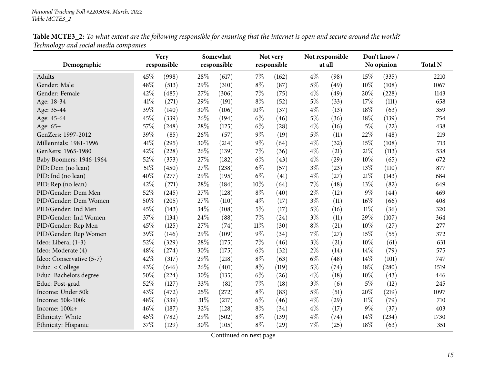| Table MCTE3_2: To what extent are the following responsible for ensuring that the internet is open and secure around the world? |  |
|---------------------------------------------------------------------------------------------------------------------------------|--|
| Technology and social media companies                                                                                           |  |

<span id="page-14-0"></span>

|                          |        | Very        |        | Somewhat    |        | Not very    |       | Not responsible |        | Don't know/ |                |
|--------------------------|--------|-------------|--------|-------------|--------|-------------|-------|-----------------|--------|-------------|----------------|
| Demographic              |        | responsible |        | responsible |        | responsible |       | at all          |        | No opinion  | <b>Total N</b> |
| Adults                   | 45%    | (998)       | 28\%   | (617)       | $7\%$  | (162)       | $4\%$ | (98)            | 15%    | (335)       | 2210           |
| Gender: Male             | 48%    | (513)       | 29%    | (310)       | $8\%$  | (87)        | $5\%$ | (49)            | $10\%$ | (108)       | 1067           |
| Gender: Female           | 42%    | (485)       | 27%    | (306)       | 7%     | (75)        | $4\%$ | (49)            | 20%    | (228)       | 1143           |
| Age: 18-34               | 41\%   | (271)       | 29%    | (191)       | $8\%$  | (52)        | $5\%$ | (33)            | 17%    | (111)       | 658            |
| Age: 35-44               | 39%    | (140)       | 30%    | (106)       | 10%    | (37)        | $4\%$ | (13)            | 18%    | (63)        | 359            |
| Age: 45-64               | 45%    | (339)       | 26%    | (194)       | $6\%$  | (46)        | $5\%$ | (36)            | 18%    | (139)       | 754            |
| Age: 65+                 | 57%    | (248)       | 28%    | (125)       | $6\%$  | (28)        | $4\%$ | (16)            | $5\%$  | (22)        | 438            |
| GenZers: 1997-2012       | 39%    | (85)        | 26%    | (57)        | $9\%$  | (19)        | $5\%$ | (11)            | 22%    | (48)        | 219            |
| Millennials: 1981-1996   | 41\%   | (295)       | 30%    | (214)       | $9\%$  | (64)        | $4\%$ | (32)            | 15%    | (108)       | 713            |
| GenXers: 1965-1980       | 42%    | (228)       | 26%    | (139)       | 7%     | (36)        | $4\%$ | (21)            | 21%    | (113)       | 538            |
| Baby Boomers: 1946-1964  | 52%    | (353)       | 27%    | (182)       | $6\%$  | (43)        | $4\%$ | (29)            | 10%    | (65)        | 672            |
| PID: Dem (no lean)       | $51\%$ | (450)       | 27%    | (238)       | $6\%$  | (57)        | $3\%$ | (23)            | 13%    | (110)       | 877            |
| PID: Ind (no lean)       | 40%    | (277)       | 29%    | (195)       | $6\%$  | (41)        | $4\%$ | (27)            | 21\%   | (143)       | 684            |
| PID: Rep (no lean)       | 42%    | (271)       | 28%    | (184)       | 10%    | (64)        | 7%    | (48)            | 13\%   | (82)        | 649            |
| PID/Gender: Dem Men      | 52%    | (245)       | 27%    | (128)       | $8\%$  | (40)        | $2\%$ | (12)            | 9%     | (44)        | 469            |
| PID/Gender: Dem Women    | 50%    | (205)       | 27%    | (110)       | $4\%$  | (17)        | $3\%$ | (11)            | 16%    | (66)        | 408            |
| PID/Gender: Ind Men      | 45%    | (143)       | 34%    | (108)       | $5\%$  | (17)        | $5\%$ | (16)            | $11\%$ | (36)        | 320            |
| PID/Gender: Ind Women    | 37%    | (134)       | 24\%   | (88)        | $7\%$  | (24)        | $3\%$ | (11)            | 29%    | (107)       | 364            |
| PID/Gender: Rep Men      | 45%    | (125)       | 27%    | (74)        | $11\%$ | (30)        | $8\%$ | (21)            | $10\%$ | (27)        | 277            |
| PID/Gender: Rep Women    | 39%    | (146)       | 29%    | (109)       | $9\%$  | (34)        | 7%    | (27)            | 15%    | (55)        | 372            |
| Ideo: Liberal (1-3)      | 52%    | (329)       | 28%    | (175)       | $7\%$  | (46)        | $3\%$ | (21)            | $10\%$ | (61)        | 631            |
| Ideo: Moderate (4)       | 48%    | (274)       | 30%    | (175)       | $6\%$  | (32)        | $2\%$ | (14)            | 14\%   | (79)        | 575            |
| Ideo: Conservative (5-7) | 42%    | (317)       | 29%    | (218)       | $8\%$  | (63)        | $6\%$ | (48)            | 14%    | (101)       | 747            |
| Educ: < College          | 43%    | (646)       | 26%    | (401)       | $8\%$  | (119)       | $5\%$ | (74)            | 18%    | (280)       | 1519           |
| Educ: Bachelors degree   | 50%    | (224)       | 30%    | (135)       | $6\%$  | (26)        | $4\%$ | (18)            | 10%    | (43)        | 446            |
| Educ: Post-grad          | 52%    | (127)       | 33%    | (81)        | $7\%$  | (18)        | $3\%$ | (6)             | $5\%$  | (12)        | 245            |
| Income: Under 50k        | 43%    | (472)       | 25%    | (272)       | $8\%$  | (83)        | $5\%$ | (51)            | 20%    | (219)       | 1097           |
| Income: 50k-100k         | 48%    | (339)       | $31\%$ | (217)       | $6\%$  | (46)        | $4\%$ | (29)            | $11\%$ | (79)        | 710            |
| Income: 100k+            | 46%    | (187)       | 32%    | (128)       | $8\%$  | (34)        | $4\%$ | (17)            | $9\%$  | (37)        | 403            |
| Ethnicity: White         | 45%    | (782)       | 29%    | (502)       | $8\%$  | (139)       | $4\%$ | (74)            | 14%    | (234)       | 1730           |
| Ethnicity: Hispanic      | 37%    | (129)       | 30%    | (105)       | $8\%$  | (29)        | $7\%$ | (25)            | 18%    | (63)        | 351            |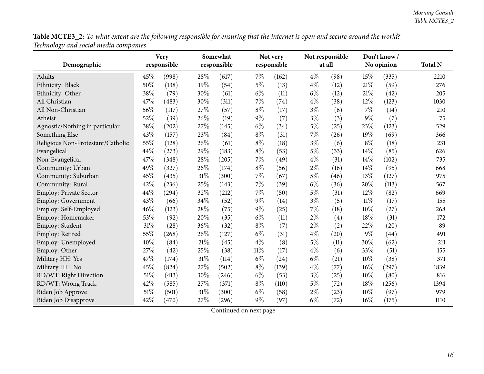| Table MCTE3_2: To what extent are the following responsible for ensuring that the internet is open and secure around the world? |
|---------------------------------------------------------------------------------------------------------------------------------|
| Technology and social media companies                                                                                           |

| ້<br>Demographic                  |      | <b>Very</b><br>responsible |        | Somewhat<br>responsible |        | Not very<br>responsible |       | Not responsible<br>at all |        | Don't know/<br>No opinion | <b>Total N</b> |
|-----------------------------------|------|----------------------------|--------|-------------------------|--------|-------------------------|-------|---------------------------|--------|---------------------------|----------------|
| Adults                            | 45\% | (998)                      | 28\%   | (617)                   | 7%     | (162)                   | $4\%$ | (98)                      | 15%    | (335)                     | 2210           |
| Ethnicity: Black                  | 50%  | (138)                      | 19%    | (54)                    | $5\%$  | (13)                    | $4\%$ | (12)                      | 21%    | (59)                      | 276            |
| Ethnicity: Other                  | 38%  | (79)                       | 30%    | (61)                    | $6\%$  | (11)                    | $6\%$ | (12)                      | 21%    | (42)                      | 205            |
| All Christian                     | 47%  | (483)                      | 30%    | (311)                   | 7%     | (74)                    | $4\%$ | (38)                      | 12%    | (123)                     | 1030           |
| All Non-Christian                 | 56%  | (117)                      | 27%    | (57)                    | $8\%$  | (17)                    | $3\%$ | (6)                       | 7%     | (14)                      | 210            |
| Atheist                           | 52%  | (39)                       | 26%    | (19)                    | 9%     | (7)                     | $3\%$ | (3)                       | 9%     | (7)                       | 75             |
| Agnostic/Nothing in particular    | 38%  | (202)                      | $27\%$ | (145)                   | $6\%$  | (34)                    | $5\%$ | (25)                      | 23%    | (123)                     | 529            |
| Something Else                    | 43%  | (157)                      | 23%    | (84)                    | $8\%$  | (31)                    | 7%    | (26)                      | 19%    | (69)                      | 366            |
| Religious Non-Protestant/Catholic | 55%  | (128)                      | 26%    | (61)                    | $8\%$  | (18)                    | $3\%$ | (6)                       | $8\%$  | (18)                      | 231            |
| Evangelical                       | 44%  | (273)                      | 29%    | (183)                   | $8\%$  | (53)                    | $5\%$ | (33)                      | 14%    | (85)                      | 626            |
| Non-Evangelical                   | 47%  | (348)                      | 28\%   | (205)                   | $7\%$  | (49)                    | $4\%$ | (31)                      | 14%    | (102)                     | 735            |
| Community: Urban                  | 49%  | (327)                      | 26%    | (174)                   | $8\%$  | (56)                    | $2\%$ | (16)                      | 14%    | (95)                      | 668            |
| Community: Suburban               | 45%  | (435)                      | 31%    | (300)                   | 7%     | (67)                    | $5\%$ | (46)                      | 13%    | (127)                     | 975            |
| Community: Rural                  | 42%  | (236)                      | 25%    | (143)                   | 7%     | (39)                    | $6\%$ | (36)                      | 20%    | (113)                     | 567            |
| Employ: Private Sector            | 44%  | (294)                      | 32%    | (212)                   | 7%     | (50)                    | $5\%$ | (31)                      | 12%    | (82)                      | 669            |
| Employ: Government                | 43%  | (66)                       | $34\%$ | (52)                    | 9%     | (14)                    | $3\%$ | (5)                       | $11\%$ | (17)                      | 155            |
| Employ: Self-Employed             | 46%  | (123)                      | 28%    | (75)                    | $9\%$  | (25)                    | 7%    | (18)                      | 10%    | (27)                      | 268            |
| Employ: Homemaker                 | 53%  | (92)                       | 20%    | (35)                    | $6\%$  | (11)                    | $2\%$ | (4)                       | 18%    | (31)                      | 172            |
| Employ: Student                   | 31%  | (28)                       | 36%    | (32)                    | $8\%$  | (7)                     | $2\%$ | (2)                       | 22%    | (20)                      | 89             |
| Employ: Retired                   | 55%  | (268)                      | 26%    | (127)                   | $6\%$  | (31)                    | $4\%$ | (20)                      | 9%     | (44)                      | 491            |
| Employ: Unemployed                | 40%  | (84)                       | $21\%$ | (45)                    | $4\%$  | (8)                     | $5\%$ | (11)                      | 30%    | (62)                      | 211            |
| Employ: Other                     | 27%  | (42)                       | 25%    | (38)                    | $11\%$ | (17)                    | $4\%$ | (6)                       | 33%    | (51)                      | 155            |
| Military HH: Yes                  | 47%  | (174)                      | $31\%$ | (114)                   | $6\%$  | (24)                    | $6\%$ | (21)                      | 10%    | (38)                      | 371            |
| Military HH: No                   | 45%  | (824)                      | 27%    | (502)                   | $8\%$  | (139)                   | $4\%$ | (77)                      | 16%    | (297)                     | 1839           |
| RD/WT: Right Direction            | 51%  | (413)                      | 30%    | (246)                   | $6\%$  | (53)                    | $3\%$ | (25)                      | 10%    | (80)                      | 816            |
| RD/WT: Wrong Track                | 42%  | (585)                      | 27%    | (371)                   | $8\%$  | (110)                   | $5\%$ | (72)                      | 18%    | (256)                     | 1394           |
| Biden Job Approve                 | 51%  | (501)                      | 31%    | (300)                   | $6\%$  | (58)                    | $2\%$ | (23)                      | 10%    | (97)                      | 979            |
| <b>Biden Job Disapprove</b>       | 42%  | (470)                      | 27%    | (296)                   | $9\%$  | (97)                    | $6\%$ | (72)                      | 16%    | (175)                     | 1110           |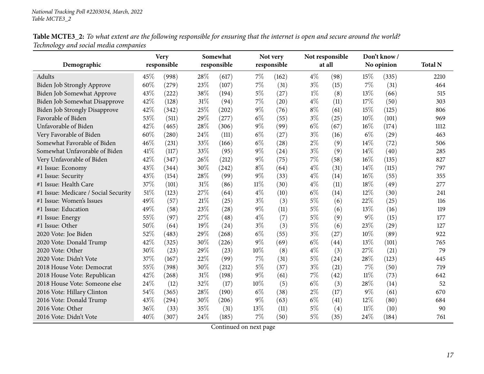Table MCTE3\_2: To what extent are the following responsible for ensuring that the internet is open and secure around the world? *Technology and social media companies*

|                                      |     | <b>Very</b> |     | Somewhat    |        | Not very    |       | Not responsible |        | Don't know/ |                |
|--------------------------------------|-----|-------------|-----|-------------|--------|-------------|-------|-----------------|--------|-------------|----------------|
| Demographic                          |     | responsible |     | responsible |        | responsible |       | at all          |        | No opinion  | <b>Total N</b> |
| Adults                               | 45% | (998)       | 28% | (617)       | $7\%$  | (162)       | $4\%$ | (98)            | 15%    | (335)       | 2210           |
| <b>Biden Job Strongly Approve</b>    | 60% | (279)       | 23% | (107)       | $7\%$  | (31)        | $3\%$ | (15)            | 7%     | (31)        | 464            |
| Biden Job Somewhat Approve           | 43% | (222)       | 38% | (194)       | $5\%$  | (27)        | $1\%$ | (8)             | 13%    | (66)        | 515            |
| Biden Job Somewhat Disapprove        | 42% | (128)       | 31% | (94)        | $7\%$  | (20)        | $4\%$ | (11)            | 17%    | (50)        | 303            |
| <b>Biden Job Strongly Disapprove</b> | 42% | (342)       | 25% | (202)       | $9\%$  | (76)        | $8\%$ | (61)            | 15%    | (125)       | 806            |
| Favorable of Biden                   | 53% | (511)       | 29% | (277)       | $6\%$  | (55)        | $3\%$ | (25)            | 10%    | (101)       | 969            |
| Unfavorable of Biden                 | 42% | (465)       | 28% | (306)       | $9\%$  | (99)        | $6\%$ | (67)            | 16%    | (174)       | 1112           |
| Very Favorable of Biden              | 60% | (280)       | 24% | (111)       | $6\%$  | (27)        | $3\%$ | (16)            | $6\%$  | (29)        | 463            |
| Somewhat Favorable of Biden          | 46% | (231)       | 33% | (166)       | $6\%$  | (28)        | $2\%$ | (9)             | 14\%   | (72)        | 506            |
| Somewhat Unfavorable of Biden        | 41% | (117)       | 33% | (95)        | $9\%$  | (24)        | $3\%$ | (9)             | 14%    | (40)        | 285            |
| Very Unfavorable of Biden            | 42% | (347)       | 26% | (212)       | $9\%$  | (75)        | 7%    | (58)            | 16%    | (135)       | 827            |
| #1 Issue: Economy                    | 43% | (344)       | 30% | (242)       | $8\%$  | (64)        | $4\%$ | (31)            | 14%    | (115)       | 797            |
| #1 Issue: Security                   | 43% | (154)       | 28% | (99)        | $9\%$  | (33)        | $4\%$ | (14)            | 16%    | (55)        | 355            |
| #1 Issue: Health Care                | 37% | (101)       | 31% | (86)        | $11\%$ | (30)        | $4\%$ | (11)            | 18%    | (49)        | 277            |
| #1 Issue: Medicare / Social Security | 51% | (123)       | 27% | (64)        | $4\%$  | (10)        | $6\%$ | (14)            | $12\%$ | (30)        | 241            |
| #1 Issue: Women's Issues             | 49% | (57)        | 21% | (25)        | $3\%$  | (3)         | $5\%$ | (6)             | 22%    | (25)        | 116            |
| #1 Issue: Education                  | 49% | (58)        | 23% | (28)        | $9\%$  | (11)        | $5\%$ | (6)             | 13%    | (16)        | 119            |
| #1 Issue: Energy                     | 55% | (97)        | 27% | (48)        | $4\%$  | (7)         | $5\%$ | (9)             | $9\%$  | (15)        | 177            |
| #1 Issue: Other                      | 50% | (64)        | 19% | (24)        | $3\%$  | (3)         | $5\%$ | (6)             | 23%    | (29)        | 127            |
| 2020 Vote: Joe Biden                 | 52% | (483)       | 29% | (268)       | $6\%$  | (55)        | $3\%$ | (27)            | 10%    | (89)        | 922            |
| 2020 Vote: Donald Trump              | 42% | (325)       | 30% | (226)       | $9\%$  | (69)        | $6\%$ | (44)            | 13%    | (101)       | 765            |
| 2020 Vote: Other                     | 30% | (23)        | 29% | (23)        | 10%    | (8)         | $4\%$ | (3)             | 27%    | (21)        | 79             |
| 2020 Vote: Didn't Vote               | 37% | (167)       | 22% | (99)        | 7%     | (31)        | 5%    | (24)            | 28%    | (123)       | 445            |
| 2018 House Vote: Democrat            | 55% | (398)       | 30% | (212)       | $5\%$  | (37)        | $3\%$ | (21)            | 7%     | (50)        | 719            |
| 2018 House Vote: Republican          | 42% | (268)       | 31% | (198)       | $9\%$  | (61)        | 7%    | (42)            | $11\%$ | (73)        | 642            |
| 2018 House Vote: Someone else        | 24% | (12)        | 32% | (17)        | 10%    | (5)         | $6\%$ | (3)             | 28%    | (14)        | 52             |
| 2016 Vote: Hillary Clinton           | 54% | (365)       | 28% | (190)       | $6\%$  | (38)        | $2\%$ | (17)            | $9\%$  | (61)        | 670            |
| 2016 Vote: Donald Trump              | 43% | (294)       | 30% | (206)       | $9\%$  | (63)        | $6\%$ | (41)            | $12\%$ | (80)        | 684            |
| 2016 Vote: Other                     | 36% | (33)        | 35% | (31)        | 13%    | (11)        | $5\%$ | (4)             | $11\%$ | (10)        | 90             |
| 2016 Vote: Didn't Vote               | 40% | (307)       | 24% | (185)       | $7\%$  | (50)        | $5\%$ | (35)            | 24\%   | (184)       | 761            |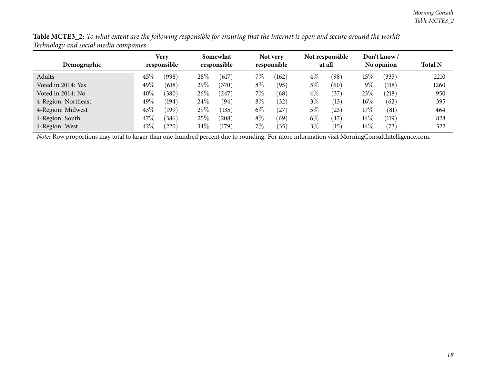| Demographic         |      | <b>Very</b><br>responsible |        | Somewhat<br>responsible |       | Not very<br>responsible |       | Not responsible<br>at all |        | Don't know /<br>No opinion | <b>Total N</b> |
|---------------------|------|----------------------------|--------|-------------------------|-------|-------------------------|-------|---------------------------|--------|----------------------------|----------------|
| Adults              | 45%  | (998)                      | 28%    | (617)                   | $7\%$ | (162)                   | $4\%$ | (98)                      | $15\%$ | (335)                      | 2210           |
| Voted in 2014: Yes  | 49\% | (618)                      | $29\%$ | (370)                   | $8\%$ | (95)                    | $5\%$ | (60)                      | $9\%$  | (118)                      | 1260           |
| Voted in 2014: No   | 40%  | (380)                      | $26\%$ | $^{'}247$               | $7\%$ | (68)                    | $4\%$ | $^{'}37$                  | 23\%   | (218)                      | 950            |
| 4-Region: Northeast | 49\% | (194)                      | $24\%$ | (94)                    | $8\%$ | 32)                     | $3\%$ | (13)                      | $16\%$ | (62)                       | 395            |
| 4-Region: Midwest   | 43%  | $^{\prime}$ 199)           | $29\%$ | (135)                   | $6\%$ | $^{'}27$                | $5\%$ | (23)                      | $17\%$ | (81)                       | 464            |
| 4-Region: South     | 47\% | (386)                      | 25%    | (208)                   | $8\%$ | (69)                    | $6\%$ | 47                        | $14\%$ | (119)                      | 828            |
| 4-Region: West      | 42%  | (220)                      | $34\%$ | (179)                   | $7\%$ | $^{\prime}35)$          | $3\%$ | $\left(15\right)$         | $14\%$ | (73)                       | 522            |

Table MCTE3\_2: To what extent are the following responsible for ensuring that the internet is open and secure around the world? *Technology and social media companies*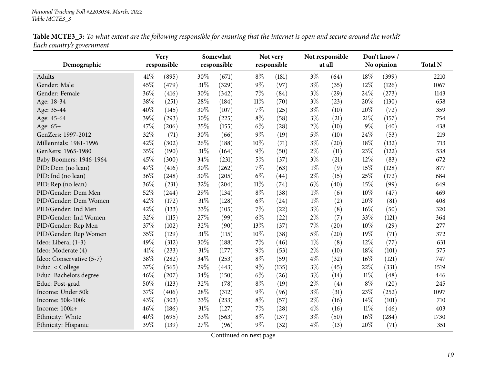| Table MCTE3_3: To what extent are the following responsible for ensuring that the internet is open and secure around the world? |  |
|---------------------------------------------------------------------------------------------------------------------------------|--|
| Each country's government                                                                                                       |  |

<span id="page-18-0"></span>

|                          |      | <b>Very</b> |        | Somewhat    |        | Not very    |       | Not responsible |        | Don't know / |                |
|--------------------------|------|-------------|--------|-------------|--------|-------------|-------|-----------------|--------|--------------|----------------|
| Demographic              |      | responsible |        | responsible |        | responsible |       | at all          |        | No opinion   | <b>Total N</b> |
| Adults                   | 41\% | (895)       | 30%    | (671)       | $8\%$  | (181)       | $3\%$ | (64)            | 18%    | (399)        | 2210           |
| Gender: Male             | 45%  | (479)       | $31\%$ | (329)       | 9%     | (97)        | $3\%$ | (35)            | 12%    | (126)        | 1067           |
| Gender: Female           | 36%  | (416)       | 30%    | (342)       | $7\%$  | (84)        | $3\%$ | (29)            | 24%    | (273)        | 1143           |
| Age: 18-34               | 38%  | (251)       | 28\%   | (184)       | $11\%$ | (70)        | $3\%$ | (23)            | 20%    | (130)        | 658            |
| Age: 35-44               | 40%  | (145)       | 30%    | (107)       | $7\%$  | (25)        | $3\%$ | (10)            | 20%    | (72)         | 359            |
| Age: 45-64               | 39%  | (293)       | 30%    | (225)       | $8\%$  | (58)        | $3\%$ | (21)            | 21%    | (157)        | 754            |
| Age: 65+                 | 47%  | (206)       | 35%    | (155)       | $6\%$  | (28)        | $2\%$ | (10)            | $9\%$  | (40)         | 438            |
| GenZers: 1997-2012       | 32%  | (71)        | 30%    | (66)        | 9%     | (19)        | $5\%$ | (10)            | 24%    | (53)         | 219            |
| Millennials: 1981-1996   | 42%  | (302)       | 26%    | (188)       | $10\%$ | (71)        | $3\%$ | (20)            | 18%    | (132)        | 713            |
| GenXers: 1965-1980       | 35%  | (190)       | $31\%$ | (164)       | 9%     | (50)        | $2\%$ | (11)            | 23%    | (122)        | 538            |
| Baby Boomers: 1946-1964  | 45%  | (300)       | 34%    | (231)       | $5\%$  | (37)        | $3\%$ | (21)            | 12%    | (83)         | 672            |
| PID: Dem (no lean)       | 47%  | (416)       | 30%    | (262)       | $7\%$  | (63)        | $1\%$ | (9)             | 15%    | (128)        | 877            |
| PID: Ind (no lean)       | 36%  | (248)       | 30%    | (205)       | $6\%$  | (44)        | $2\%$ | (15)            | 25%    | (172)        | 684            |
| PID: Rep (no lean)       | 36%  | (231)       | 32%    | (204)       | $11\%$ | (74)        | $6\%$ | (40)            | 15%    | (99)         | 649            |
| PID/Gender: Dem Men      | 52%  | (244)       | 29%    | (134)       | $8\%$  | (38)        | $1\%$ | (6)             | 10%    | (47)         | 469            |
| PID/Gender: Dem Women    | 42%  | (172)       | $31\%$ | (128)       | $6\%$  | (24)        | $1\%$ | (2)             | 20%    | (81)         | 408            |
| PID/Gender: Ind Men      | 42%  | (133)       | 33%    | (105)       | $7\%$  | (22)        | $3\%$ | (8)             | 16%    | (50)         | 320            |
| PID/Gender: Ind Women    | 32%  | (115)       | 27%    | (99)        | $6\%$  | (22)        | $2\%$ | (7)             | 33%    | (121)        | 364            |
| PID/Gender: Rep Men      | 37%  | (102)       | 32%    | (90)        | 13%    | (37)        | 7%    | (20)            | 10%    | (29)         | 277            |
| PID/Gender: Rep Women    | 35%  | (129)       | $31\%$ | (115)       | 10%    | (38)        | $5\%$ | (20)            | 19%    | (71)         | 372            |
| Ideo: Liberal (1-3)      | 49%  | (312)       | 30%    | (188)       | 7%     | (46)        | $1\%$ | (8)             | $12\%$ | (77)         | 631            |
| Ideo: Moderate (4)       | 41\% | (233)       | $31\%$ | (177)       | $9\%$  | (53)        | $2\%$ | (10)            | 18%    | (101)        | 575            |
| Ideo: Conservative (5-7) | 38%  | (282)       | $34\%$ | (253)       | $8\%$  | (59)        | $4\%$ | (32)            | 16%    | (121)        | 747            |
| Educ: < College          | 37%  | (565)       | 29%    | (443)       | 9%     | (135)       | $3\%$ | (45)            | $22\%$ | (331)        | 1519           |
| Educ: Bachelors degree   | 46%  | (207)       | 34%    | (150)       | $6\%$  | (26)        | $3\%$ | (14)            | $11\%$ | (48)         | 446            |
| Educ: Post-grad          | 50%  | (123)       | 32%    | (78)        | $8\%$  | (19)        | $2\%$ | (4)             | $8\%$  | (20)         | 245            |
| Income: Under 50k        | 37%  | (406)       | 28\%   | (312)       | $9\%$  | (96)        | $3\%$ | (31)            | 23%    | (252)        | 1097           |
| Income: 50k-100k         | 43%  | (303)       | 33%    | (233)       | $8\%$  | (57)        | $2\%$ | (16)            | 14\%   | (101)        | 710            |
| Income: 100k+            | 46%  | (186)       | $31\%$ | (127)       | $7\%$  | (28)        | $4\%$ | (16)            | $11\%$ | (46)         | 403            |
| Ethnicity: White         | 40%  | (695)       | 33%    | (563)       | $8\%$  | (137)       | $3\%$ | (50)            | 16%    | (284)        | 1730           |
| Ethnicity: Hispanic      | 39%  | (139)       | 27%    | (96)        | $9\%$  | (32)        | $4\%$ | (13)            | 20%    | (71)         | 351            |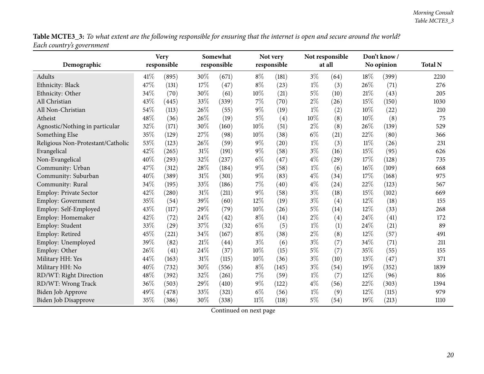Table MCTE3\_3: To what extent are the following responsible for ensuring that the internet is open and secure around the world? *Each country's governmen<sup>t</sup>*

| Demographic                       |      | <b>Very</b><br>responsible | Somewhat<br>responsible |       |        | Not very<br>responsible | Not responsible<br>at all |      |        | Don't know/<br>No opinion | <b>Total N</b> |
|-----------------------------------|------|----------------------------|-------------------------|-------|--------|-------------------------|---------------------------|------|--------|---------------------------|----------------|
|                                   |      |                            |                         |       |        |                         |                           |      |        |                           |                |
| Adults                            | 41\% | (895)                      | 30%                     | (671) | $8\%$  | (181)                   | $3\%$                     | (64) | 18%    | (399)                     | 2210           |
| Ethnicity: Black                  | 47%  | (131)                      | 17%                     | (47)  | $8\%$  | (23)                    | $1\%$                     | (3)  | 26%    | (71)                      | 276            |
| Ethnicity: Other                  | 34%  | (70)                       | 30%                     | (61)  | 10%    | (21)                    | 5%                        | (10) | 21\%   | (43)                      | 205            |
| All Christian                     | 43%  | (445)                      | 33%                     | (339) | 7%     | (70)                    | $2\%$                     | (26) | 15%    | (150)                     | 1030           |
| All Non-Christian                 | 54%  | (113)                      | 26%                     | (55)  | $9\%$  | (19)                    | $1\%$                     | (2)  | 10%    | (22)                      | 210            |
| Atheist                           | 48%  | (36)                       | 26%                     | (19)  | $5\%$  | (4)                     | 10%                       | (8)  | 10%    | (8)                       | 75             |
| Agnostic/Nothing in particular    | 32%  | (171)                      | 30%                     | (160) | 10%    | (51)                    | $2\%$                     | (8)  | 26%    | (139)                     | 529            |
| Something Else                    | 35%  | (129)                      | 27%                     | (98)  | 10%    | (38)                    | $6\%$                     | (21) | 22%    | (80)                      | 366            |
| Religious Non-Protestant/Catholic | 53%  | (123)                      | 26%                     | (59)  | $9\%$  | (20)                    | $1\%$                     | (3)  | $11\%$ | (26)                      | 231            |
| Evangelical                       | 42%  | (265)                      | 31%                     | (191) | $9\%$  | (58)                    | $3\%$                     | (16) | 15%    | (95)                      | 626            |
| Non-Evangelical                   | 40%  | (293)                      | 32%                     | (237) | $6\%$  | (47)                    | $4\%$                     | (29) | 17%    | (128)                     | 735            |
| Community: Urban                  | 47%  | (312)                      | 28%                     | (184) | $9\%$  | (58)                    | $1\%$                     | (6)  | 16%    | (109)                     | 668            |
| Community: Suburban               | 40%  | (389)                      | 31%                     | (301) | $9\%$  | (83)                    | $4\%$                     | (34) | 17%    | (168)                     | 975            |
| Community: Rural                  | 34%  | (195)                      | 33%                     | (186) | $7\%$  | (40)                    | $4\%$                     | (24) | 22%    | (123)                     | 567            |
| Employ: Private Sector            | 42%  | (280)                      | 31%                     | (211) | $9\%$  | (58)                    | $3\%$                     | (18) | 15%    | (102)                     | 669            |
| Employ: Government                | 35%  | (54)                       | 39%                     | (60)  | $12\%$ | (19)                    | $3\%$                     | (4)  | 12%    | (18)                      | 155            |
| Employ: Self-Employed             | 43%  | (117)                      | 29%                     | (79)  | 10%    | (26)                    | $5\%$                     | (14) | 12%    | (33)                      | 268            |
| Employ: Homemaker                 | 42%  | (72)                       | 24%                     | (42)  | $8\%$  | (14)                    | $2\%$                     | (4)  | 24%    | (41)                      | 172            |
| Employ: Student                   | 33%  | (29)                       | 37%                     | (32)  | $6\%$  | (5)                     | $1\%$                     | (1)  | 24%    | (21)                      | 89             |
| Employ: Retired                   | 45%  | (221)                      | 34%                     | (167) | $8\%$  | (38)                    | $2\%$                     | (8)  | 12%    | (57)                      | 491            |
| Employ: Unemployed                | 39%  | (82)                       | 21%                     | (44)  | $3\%$  | (6)                     | $3\%$                     | (7)  | 34%    | (71)                      | 211            |
| Employ: Other                     | 26%  | (41)                       | 24%                     | (37)  | 10%    | (15)                    | 5%                        | (7)  | 35%    | (55)                      | 155            |
| Military HH: Yes                  | 44%  | (163)                      | 31%                     | (115) | 10%    | (36)                    | $3\%$                     | (10) | 13%    | (47)                      | 371            |
| Military HH: No                   | 40%  | (732)                      | 30%                     | (556) | $8\%$  | (145)                   | $3\%$                     | (54) | 19%    | (352)                     | 1839           |
| RD/WT: Right Direction            | 48%  | (392)                      | 32%                     | (261) | 7%     | (59)                    | $1\%$                     | (7)  | 12%    | (96)                      | 816            |
| RD/WT: Wrong Track                | 36%  | (503)                      | 29%                     | (410) | $9\%$  | (122)                   | $4\%$                     | (56) | 22%    | (303)                     | 1394           |
| <b>Biden Job Approve</b>          | 49%  | (478)                      | 33%                     | (321) | $6\%$  | (56)                    | $1\%$                     | (9)  | 12%    | (115)                     | 979            |
| <b>Biden Job Disapprove</b>       | 35%  | (386)                      | 30%                     | (338) | $11\%$ | (118)                   | $5\%$                     | (54) | 19%    | (213)                     | 1110           |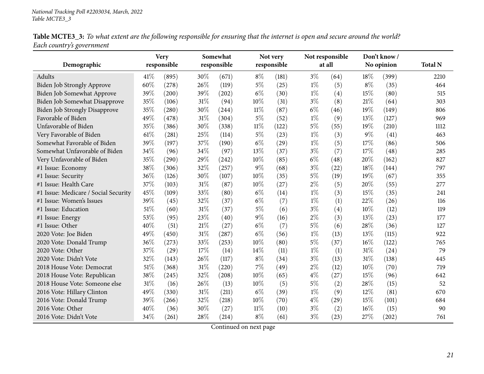| Table MCTE3_3: To what extent are the following responsible for ensuring that the internet is open and secure around the world? |  |
|---------------------------------------------------------------------------------------------------------------------------------|--|
| Each country's government                                                                                                       |  |

| Demographic                          |      | <b>Very</b><br>responsible |     | Somewhat<br>responsible |        | Not very<br>responsible |       | Not responsible<br>at all |       | Don't know/<br>No opinion | <b>Total N</b> |
|--------------------------------------|------|----------------------------|-----|-------------------------|--------|-------------------------|-------|---------------------------|-------|---------------------------|----------------|
|                                      |      |                            |     |                         |        |                         |       |                           |       |                           |                |
| Adults                               | 41\% | (895)                      | 30% | (671)                   | $8\%$  | (181)                   | $3\%$ | (64)                      | 18%   | (399)                     | 2210           |
| <b>Biden Job Strongly Approve</b>    | 60%  | (278)                      | 26% | (119)                   | $5\%$  | (25)                    | $1\%$ | (5)                       | $8\%$ | (35)                      | 464            |
| Biden Job Somewhat Approve           | 39%  | (200)                      | 39% | (202)                   | $6\%$  | (30)                    | $1\%$ | (4)                       | 15%   | (80)                      | 515            |
| Biden Job Somewhat Disapprove        | 35%  | (106)                      | 31% | (94)                    | 10%    | (31)                    | $3\%$ | (8)                       | 21%   | (64)                      | 303            |
| <b>Biden Job Strongly Disapprove</b> | 35%  | (280)                      | 30% | (244)                   | $11\%$ | (87)                    | $6\%$ | (46)                      | 19%   | (149)                     | 806            |
| Favorable of Biden                   | 49%  | (478)                      | 31% | (304)                   | $5\%$  | (52)                    | $1\%$ | (9)                       | 13%   | (127)                     | 969            |
| Unfavorable of Biden                 | 35%  | (386)                      | 30% | (338)                   | $11\%$ | (122)                   | $5\%$ | (55)                      | 19%   | (210)                     | 1112           |
| Very Favorable of Biden              | 61\% | (281)                      | 25% | (114)                   | $5\%$  | (23)                    | $1\%$ | (3)                       | $9\%$ | (41)                      | 463            |
| Somewhat Favorable of Biden          | 39%  | (197)                      | 37% | (190)                   | $6\%$  | (29)                    | $1\%$ | (5)                       | 17%   | (86)                      | 506            |
| Somewhat Unfavorable of Biden        | 34%  | (96)                       | 34% | (97)                    | 13\%   | (37)                    | $3\%$ | (7)                       | 17%   | (48)                      | 285            |
| Very Unfavorable of Biden            | 35%  | (290)                      | 29% | (242)                   | 10%    | (85)                    | $6\%$ | (48)                      | 20%   | (162)                     | 827            |
| #1 Issue: Economy                    | 38%  | (306)                      | 32% | (257)                   | 9%     | (68)                    | $3\%$ | (22)                      | 18%   | (144)                     | 797            |
| #1 Issue: Security                   | 36%  | (126)                      | 30% | (107)                   | 10%    | (35)                    | $5\%$ | (19)                      | 19%   | (67)                      | 355            |
| #1 Issue: Health Care                | 37%  | (103)                      | 31% | (87)                    | 10%    | (27)                    | $2\%$ | (5)                       | 20%   | (55)                      | 277            |
| #1 Issue: Medicare / Social Security | 45%  | (109)                      | 33% | (80)                    | $6\%$  | (14)                    | $1\%$ | (3)                       | 15%   | (35)                      | 241            |
| #1 Issue: Women's Issues             | 39%  | (45)                       | 32% | (37)                    | $6\%$  | (7)                     | $1\%$ | (1)                       | 22%   | (26)                      | 116            |
| #1 Issue: Education                  | 51\% | (60)                       | 31% | (37)                    | $5\%$  | (6)                     | $3\%$ | (4)                       | 10%   | (12)                      | 119            |
| #1 Issue: Energy                     | 53%  | (95)                       | 23% | (40)                    | $9\%$  | (16)                    | $2\%$ | (3)                       | 13%   | (23)                      | 177            |
| #1 Issue: Other                      | 40%  | (51)                       | 21% | (27)                    | $6\%$  | (7)                     | $5\%$ | (6)                       | 28%   | (36)                      | 127            |
| 2020 Vote: Joe Biden                 | 49%  | (450)                      | 31% | (287)                   | $6\%$  | (56)                    | $1\%$ | (13)                      | 13%   | (115)                     | 922            |
| 2020 Vote: Donald Trump              | 36%  | (273)                      | 33% | (253)                   | 10%    | (80)                    | $5\%$ | (37)                      | 16%   | (122)                     | 765            |
| 2020 Vote: Other                     | 37%  | (29)                       | 17% | (14)                    | 14%    | (11)                    | $1\%$ | (1)                       | 31%   | (24)                      | 79             |
| 2020 Vote: Didn't Vote               | 32%  | (143)                      | 26% | (117)                   | $8\%$  | (34)                    | $3\%$ | (13)                      | 31%   | (138)                     | 445            |
| 2018 House Vote: Democrat            | 51\% | (368)                      | 31% | (220)                   | 7%     | (49)                    | $2\%$ | (12)                      | 10%   | (70)                      | 719            |
| 2018 House Vote: Republican          | 38%  | (245)                      | 32% | (208)                   | 10%    | (65)                    | $4\%$ | (27)                      | 15%   | (96)                      | 642            |
| 2018 House Vote: Someone else        | 31\% | (16)                       | 26% | (13)                    | 10%    | (5)                     | $5\%$ | (2)                       | 28%   | (15)                      | 52             |
| 2016 Vote: Hillary Clinton           | 49%  | (330)                      | 31% | (211)                   | $6\%$  | (39)                    | $1\%$ | (9)                       | 12%   | (81)                      | 670            |
| 2016 Vote: Donald Trump              | 39%  | (266)                      | 32% | (218)                   | 10%    | (70)                    | $4\%$ | (29)                      | 15%   | (101)                     | 684            |
| 2016 Vote: Other                     | 40%  | (36)                       | 30% | (27)                    | $11\%$ | (10)                    | $3\%$ | (2)                       | 16%   | (15)                      | 90             |
| 2016 Vote: Didn't Vote               | 34%  | (261)                      | 28% | (214)                   | $8\%$  | (61)                    | $3\%$ | (23)                      | 27%   | (202)                     | 761            |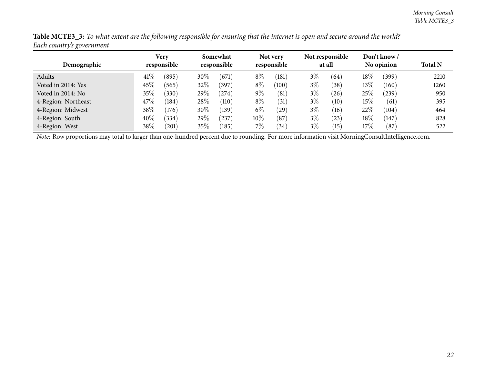| $\epsilon$<br>ັ     |                            |       |                         |       |                         |           |                           |      |                           |            |                |  |
|---------------------|----------------------------|-------|-------------------------|-------|-------------------------|-----------|---------------------------|------|---------------------------|------------|----------------|--|
| Demographic         | <b>Very</b><br>responsible |       | Somewhat<br>responsible |       | Not very<br>responsible |           | Not responsible<br>at all |      | Don't know/<br>No opinion |            | <b>Total N</b> |  |
| Adults              | 41\%                       | (895) | $30\%$                  | (671) | $8\%$                   | (181)     | $3\%$                     | (64) | $18\%$                    | (399)      | 2210           |  |
| Voted in 2014: Yes  | 45\%                       | (565) | 32%                     | (397) | $8\%$                   | (100)     | $3\%$                     | (38) | $13\%$                    | (160)      | 1260           |  |
| Voted in 2014: No   | 35%                        | (330) | 29 $\%$                 | (274) | $9\%$                   | (81)      | $3\%$                     | (26) | $25\%$                    | $^{'}239)$ | 950            |  |
| 4-Region: Northeast | 47\%                       | (184) | $28\%$                  | (110) | $8\%$                   | (31)      | $3\%$                     | (10) | $15\%$                    | (61)       | 395            |  |
| 4-Region: Midwest   | 38\%                       | (176) | $30\%$                  | (139) | $6\%$                   | $^{'}29)$ | $3\%$                     | (16) | 22%                       | (104)      | 464            |  |
| 4-Region: South     | 40%                        | (334) | $29\%$                  | (237) | $10\%$                  | (87)      | $3\%$                     | (23) | $18\%$                    | (147)      | 828            |  |
| 4-Region: West      | $38\%$                     | 201   | 35%                     | (185) | $7\%$                   | 34        | $3\%$                     | (15) | $17\%$                    | (87)       | 522            |  |

Table MCTE3\_3: To what extent are the following responsible for ensuring that the internet is open and secure around the world? *Each country's governmen<sup>t</sup>*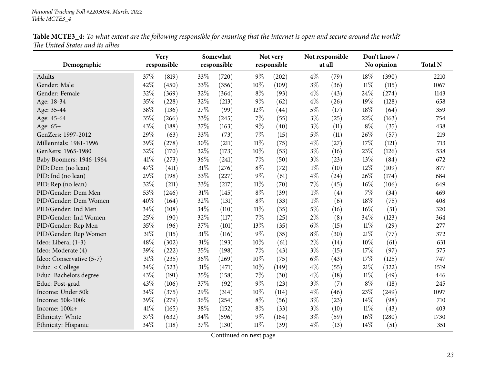| Table MCTE3_4: To what extent are the following responsible for ensuring that the internet is open and secure around the world? |  |
|---------------------------------------------------------------------------------------------------------------------------------|--|
| The United States and its allies                                                                                                |  |

<span id="page-22-0"></span>

|                          |      | <b>Very</b> |        | Somewhat    |        | Not very    | Not responsible |        | Don't know/ |       |                |
|--------------------------|------|-------------|--------|-------------|--------|-------------|-----------------|--------|-------------|-------|----------------|
| Demographic              |      | responsible |        | responsible |        | responsible |                 | at all | No opinion  |       | <b>Total N</b> |
| Adults                   | 37%  | (819)       | 33%    | (720)       | $9\%$  | (202)       | $4\%$           | (79)   | 18%         | (390) | 2210           |
| Gender: Male             | 42%  | (450)       | 33%    | (356)       | 10%    | (109)       | $3\%$           | (36)   | $11\%$      | (115) | 1067           |
| Gender: Female           | 32%  | (369)       | 32%    | (364)       | $8\%$  | (93)        | $4\%$           | (43)   | 24\%        | (274) | 1143           |
| Age: 18-34               | 35%  | (228)       | 32%    | (213)       | $9\%$  | (62)        | $4\%$           | (26)   | 19%         | (128) | 658            |
| Age: 35-44               | 38%  | (136)       | 27%    | (99)        | 12%    | (44)        | $5\%$           | (17)   | 18%         | (64)  | 359            |
| Age: 45-64               | 35%  | (266)       | 33%    | (245)       | 7%     | (55)        | $3\%$           | (25)   | 22%         | (163) | 754            |
| Age: 65+                 | 43%  | (188)       | 37%    | (163)       | 9%     | (40)        | $3\%$           | (11)   | $8\%$       | (35)  | 438            |
| GenZers: 1997-2012       | 29%  | (63)        | 33%    | (73)        | 7%     | (15)        | $5\%$           | (11)   | 26%         | (57)  | 219            |
| Millennials: 1981-1996   | 39%  | (278)       | 30%    | (211)       | $11\%$ | (75)        | $4\%$           | (27)   | 17%         | (121) | 713            |
| GenXers: 1965-1980       | 32%  | (170)       | 32%    | (173)       | 10%    | (53)        | $3\%$           | (16)   | 23%         | (126) | 538            |
| Baby Boomers: 1946-1964  | 41\% | (273)       | 36%    | (241)       | 7%     | (50)        | $3\%$           | (23)   | 13\%        | (84)  | 672            |
| PID: Dem (no lean)       | 47%  | (411)       | $31\%$ | (276)       | $8\%$  | (72)        | $1\%$           | (10)   | 12%         | (109) | 877            |
| PID: Ind (no lean)       | 29%  | (198)       | 33%    | (227)       | $9\%$  | (61)        | $4\%$           | (24)   | 26%         | (174) | 684            |
| PID: Rep (no lean)       | 32%  | (211)       | 33%    | (217)       | $11\%$ | (70)        | 7%              | (45)   | 16%         | (106) | 649            |
| PID/Gender: Dem Men      | 53%  | (246)       | $31\%$ | (145)       | $8\%$  | (39)        | $1\%$           | (4)    | 7%          | (34)  | 469            |
| PID/Gender: Dem Women    | 40%  | (164)       | 32%    | (131)       | $8\%$  | (33)        | $1\%$           | (6)    | 18%         | (75)  | 408            |
| PID/Gender: Ind Men      | 34%  | (108)       | 34%    | (110)       | $11\%$ | (35)        | $5\%$           | (16)   | $16\%$      | (51)  | 320            |
| PID/Gender: Ind Women    | 25%  | (90)        | 32%    | (117)       | 7%     | (25)        | 2%              | (8)    | 34%         | (123) | 364            |
| PID/Gender: Rep Men      | 35%  | (96)        | 37%    | (101)       | 13%    | (35)        | $6\%$           | (15)   | $11\%$      | (29)  | 277            |
| PID/Gender: Rep Women    | 31%  | (115)       | $31\%$ | (116)       | 9%     | (35)        | $8\%$           | (30)   | 21%         | (77)  | 372            |
| Ideo: Liberal (1-3)      | 48%  | (302)       | 31%    | (193)       | 10%    | (61)        | $2\%$           | (14)   | 10%         | (61)  | 631            |
| Ideo: Moderate (4)       | 39%  | (222)       | 35%    | (198)       | 7%     | (43)        | $3\%$           | (15)   | 17%         | (97)  | 575            |
| Ideo: Conservative (5-7) | 31%  | (235)       | $36\%$ | (269)       | 10%    | (75)        | $6\%$           | (43)   | 17%         | (125) | 747            |
| Educ: < College          | 34%  | (523)       | 31%    | (471)       | 10%    | (149)       | $4\%$           | (55)   | 21%         | (322) | 1519           |
| Educ: Bachelors degree   | 43%  | (191)       | 35%    | (158)       | 7%     | (30)        | 4%              | (18)   | $11\%$      | (49)  | 446            |
| Educ: Post-grad          | 43%  | (106)       | 37%    | (92)        | 9%     | (23)        | $3\%$           | (7)    | $8\%$       | (18)  | 245            |
| Income: Under 50k        | 34%  | (375)       | 29%    | (314)       | 10%    | (114)       | $4\%$           | (46)   | 23%         | (249) | 1097           |
| Income: 50k-100k         | 39%  | (279)       | 36%    | (254)       | $8\%$  | (56)        | $3\%$           | (23)   | $14\%$      | (98)  | 710            |
| Income: 100k+            | 41\% | (165)       | 38%    | (152)       | $8\%$  | (33)        | $3\%$           | (10)   | $11\%$      | (43)  | 403            |
| Ethnicity: White         | 37%  | (632)       | 34%    | (596)       | 9%     | (164)       | $3\%$           | (59)   | 16%         | (280) | 1730           |
| Ethnicity: Hispanic      | 34%  | (118)       | 37%    | (130)       | $11\%$ | (39)        | $4\%$           | (13)   | 14%         | (51)  | 351            |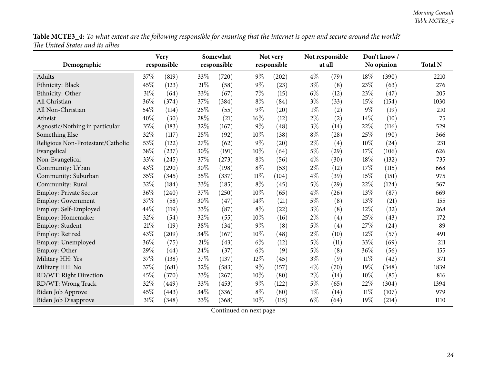Table MCTE3\_4: To what extent are the following responsible for ensuring that the internet is open and secure around the world? *The United States and its allies*

|                                   |     | <b>Very</b> | Somewhat<br>responsible |       |        | Not very    | Not responsible<br>at all |      |        | Don't know/ |                |
|-----------------------------------|-----|-------------|-------------------------|-------|--------|-------------|---------------------------|------|--------|-------------|----------------|
| Demographic                       |     | responsible |                         |       |        | responsible |                           |      |        | No opinion  | <b>Total N</b> |
| Adults                            | 37% | (819)       | 33%                     | (720) | $9\%$  | (202)       | $4\%$                     | (79) | 18%    | (390)       | 2210           |
| Ethnicity: Black                  | 45% | (123)       | 21%                     | (58)  | $9\%$  | (23)        | $3\%$                     | (8)  | 23%    | (63)        | 276            |
| Ethnicity: Other                  | 31% | (64)        | 33%                     | (67)  | 7%     | (15)        | $6\%$                     | (12) | 23%    | (47)        | 205            |
| All Christian                     | 36% | (374)       | 37%                     | (384) | $8\%$  | (84)        | $3\%$                     | (33) | 15%    | (154)       | 1030           |
| All Non-Christian                 | 54% | (114)       | 26%                     | (55)  | $9\%$  | (20)        | $1\%$                     | (2)  | $9\%$  | (19)        | 210            |
| Atheist                           | 40% | (30)        | 28%                     | (21)  | $16\%$ | (12)        | $2\%$                     | (2)  | 14\%   | (10)        | 75             |
| Agnostic/Nothing in particular    | 35% | (183)       | 32%                     | (167) | $9\%$  | (48)        | $3\%$                     | (14) | 22%    | (116)       | 529            |
| Something Else                    | 32% | (117)       | 25%                     | (92)  | 10%    | (38)        | $8\%$                     | (28) | 25%    | (90)        | 366            |
| Religious Non-Protestant/Catholic | 53% | (122)       | 27%                     | (62)  | $9\%$  | (20)        | $2\%$                     | (4)  | 10%    | (24)        | 231            |
| Evangelical                       | 38% | (237)       | 30%                     | (191) | 10%    | (64)        | 5%                        | (29) | 17%    | (106)       | 626            |
| Non-Evangelical                   | 33% | (245)       | 37%                     | (273) | $8\%$  | (56)        | $4\%$                     | (30) | 18%    | (132)       | 735            |
| Community: Urban                  | 43% | (290)       | 30%                     | (198) | $8\%$  | (53)        | $2\%$                     | (12) | 17%    | (115)       | 668            |
| Community: Suburban               | 35% | (345)       | 35%                     | (337) | $11\%$ | (104)       | $4\%$                     | (39) | 15%    | (151)       | 975            |
| Community: Rural                  | 32% | (184)       | 33%                     | (185) | $8\%$  | (45)        | $5\%$                     | (29) | 22%    | (124)       | 567            |
| Employ: Private Sector            | 36% | (240)       | 37%                     | (250) | $10\%$ | (65)        | $4\%$                     | (26) | 13%    | (87)        | 669            |
| Employ: Government                | 37% | (58)        | 30%                     | (47)  | 14%    | (21)        | $5\%$                     | (8)  | 13%    | (21)        | 155            |
| Employ: Self-Employed             | 44% | (119)       | 33%                     | (87)  | $8\%$  | (22)        | $3\%$                     | (8)  | 12%    | (32)        | 268            |
| Employ: Homemaker                 | 32% | (54)        | 32%                     | (55)  | 10%    | (16)        | $2\%$                     | (4)  | 25%    | (43)        | 172            |
| Employ: Student                   | 21% | (19)        | 38%                     | (34)  | $9\%$  | (8)         | 5%                        | (4)  | 27%    | (24)        | 89             |
| Employ: Retired                   | 43% | (209)       | 34%                     | (167) | 10%    | (48)        | $2\%$                     | (10) | 12%    | (57)        | 491            |
| Employ: Unemployed                | 36% | (75)        | 21%                     | (43)  | $6\%$  | (12)        | $5\%$                     | (11) | 33%    | (69)        | 211            |
| Employ: Other                     | 29% | (44)        | 24%                     | (37)  | $6\%$  | (9)         | 5%                        | (8)  | 36%    | (56)        | 155            |
| Military HH: Yes                  | 37% | (138)       | 37%                     | (137) | 12%    | (45)        | $3\%$                     | (9)  | $11\%$ | (42)        | 371            |
| Military HH: No                   | 37% | (681)       | 32%                     | (583) | 9%     | (157)       | $4\%$                     | (70) | 19%    | (348)       | 1839           |
| RD/WT: Right Direction            | 45% | (370)       | 33%                     | (267) | 10%    | (80)        | $2\%$                     | (14) | 10%    | (85)        | 816            |
| RD/WT: Wrong Track                | 32% | (449)       | 33%                     | (453) | $9\%$  | (122)       | $5\%$                     | (65) | 22%    | (304)       | 1394           |
| <b>Biden Job Approve</b>          | 45% | (443)       | 34%                     | (336) | $8\%$  | (80)        | $1\%$                     | (14) | $11\%$ | (107)       | 979            |
| <b>Biden Job Disapprove</b>       | 31% | (348)       | 33%                     | (368) | 10%    | (115)       | $6\%$                     | (64) | 19%    | (214)       | 1110           |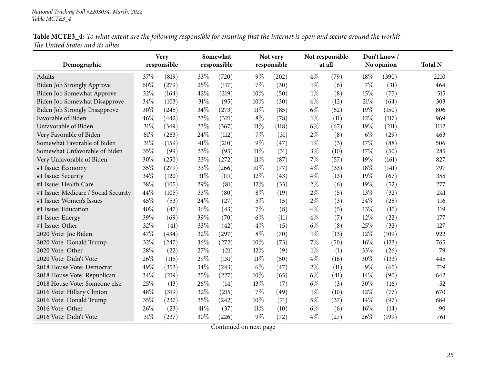Table MCTE3\_4: To what extent are the following responsible for ensuring that the internet is open and secure around the world? *The United States and its allies*

|                                      |        | <b>Very</b> | Somewhat |             |        | Not very    |       | Not responsible |        | Don't know/ |                |
|--------------------------------------|--------|-------------|----------|-------------|--------|-------------|-------|-----------------|--------|-------------|----------------|
| Demographic                          |        | responsible |          | responsible |        | responsible |       | at all          |        | No opinion  | <b>Total N</b> |
| Adults                               | 37%    | (819)       | 33%      | (720)       | $9\%$  | (202)       | $4\%$ | (79)            | 18%    | (390)       | 2210           |
| <b>Biden Job Strongly Approve</b>    | 60%    | (279)       | 25%      | (117)       | 7%     | (30)        | $1\%$ | (6)             | 7%     | (31)        | 464            |
| Biden Job Somewhat Approve           | 32%    | (164)       | 42%      | (219)       | 10%    | (50)        | $1\%$ | (8)             | 15%    | (75)        | 515            |
| Biden Job Somewhat Disapprove        | 34%    | (103)       | 31%      | (95)        | 10%    | (30)        | $4\%$ | (12)            | 21%    | (64)        | 303            |
| Biden Job Strongly Disapprove        | 30%    | (245)       | 34%      | (273)       | $11\%$ | (85)        | $6\%$ | (52)            | 19%    | (150)       | 806            |
| Favorable of Biden                   | 46%    | (442)       | 33%      | (321)       | $8\%$  | (78)        | $1\%$ | (11)            | 12%    | (117)       | 969            |
| Unfavorable of Biden                 | 31%    | (349)       | 33%      | (367)       | $11\%$ | (118)       | $6\%$ | (67)            | 19%    | (211)       | 1112           |
| Very Favorable of Biden              | 61\%   | (283)       | 24%      | (112)       | $7\%$  | (31)        | $2\%$ | (8)             | $6\%$  | (29)        | 463            |
| Somewhat Favorable of Biden          | 31%    | (159)       | 41\%     | (210)       | $9\%$  | (47)        | $1\%$ | (3)             | 17%    | (88)        | 506            |
| Somewhat Unfavorable of Biden        | 35%    | (99)        | 33%      | (95)        | $11\%$ | (31)        | $3\%$ | (10)            | 17\%   | (50)        | 285            |
| Very Unfavorable of Biden            | 30%    | (250)       | 33%      | (272)       | $11\%$ | (87)        | 7%    | (57)            | 19%    | (161)       | 827            |
| #1 Issue: Economy                    | 35%    | (279)       | 33%      | (266)       | 10%    | (77)        | $4\%$ | (33)            | 18%    | (141)       | 797            |
| #1 Issue: Security                   | 34%    | (120)       | 31%      | (111)       | 12%    | (43)        | $4\%$ | (13)            | 19%    | (67)        | 355            |
| #1 Issue: Health Care                | 38%    | (105)       | 29%      | (81)        | 12%    | (33)        | $2\%$ | (6)             | 19%    | (52)        | 277            |
| #1 Issue: Medicare / Social Security | 44%    | (105)       | 33%      | (80)        | $8\%$  | (19)        | $2\%$ | (5)             | 13%    | (32)        | 241            |
| #1 Issue: Women's Issues             | 45%    | (53)        | 24%      | (27)        | $5\%$  | (5)         | $2\%$ | (3)             | 24\%   | (28)        | 116            |
| #1 Issue: Education                  | 40%    | (47)        | 36%      | (43)        | 7%     | (8)         | $4\%$ | (5)             | 13%    | (15)        | 119            |
| #1 Issue: Energy                     | 39%    | (69)        | 39%      | (70)        | $6\%$  | (11)        | $4\%$ | (7)             | 12%    | (22)        | 177            |
| #1 Issue: Other                      | 32%    | (41)        | 33%      | (42)        | $4\%$  | (5)         | $6\%$ | (8)             | 25%    | (32)        | 127            |
| 2020 Vote: Joe Biden                 | 47\%   | (434)       | 32%      | (297)       | $8\%$  | (70)        | $1\%$ | (13)            | 12%    | (109)       | 922            |
| 2020 Vote: Donald Trump              | 32%    | (247)       | 36%      | (272)       | 10%    | (73)        | 7%    | (50)            | 16%    | (123)       | 765            |
| 2020 Vote: Other                     | 28%    | (22)        | 27%      | (21)        | 12%    | (9)         | $1\%$ | (1)             | 33%    | (26)        | 79             |
| 2020 Vote: Didn't Vote               | 26%    | (115)       | 29%      | (131)       | $11\%$ | (50)        | $4\%$ | (16)            | 30%    | (133)       | 445            |
| 2018 House Vote: Democrat            | 49%    | (353)       | 34%      | (243)       | $6\%$  | (47)        | $2\%$ | (11)            | $9\%$  | (65)        | 719            |
| 2018 House Vote: Republican          | 34%    | (219)       | 35%      | (227)       | 10%    | (65)        | $6\%$ | (41)            | 14%    | (90)        | 642            |
| 2018 House Vote: Someone else        | 25%    | (13)        | 26%      | (14)        | 13%    | (7)         | $6\%$ | (3)             | 30%    | (16)        | 52             |
| 2016 Vote: Hillary Clinton           | 48%    | (319)       | 32%      | (215)       | 7%     | (49)        | $1\%$ | (10)            | $12\%$ | (77)        | 670            |
| 2016 Vote: Donald Trump              | 35%    | (237)       | 35%      | (242)       | 10%    | (71)        | $5\%$ | (37)            | 14%    | (97)        | 684            |
| 2016 Vote: Other                     | 26%    | (23)        | 41\%     | (37)        | $11\%$ | (10)        | $6\%$ | (6)             | 16%    | (14)        | 90             |
| 2016 Vote: Didn't Vote               | $31\%$ | (237)       | 30%      | (226)       | $9\%$  | (72)        | $4\%$ | (27)            | 26\%   | (199)       | 761            |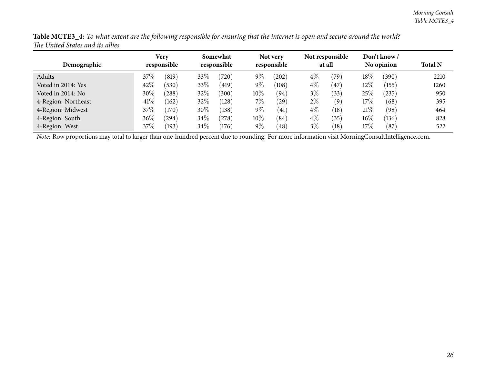| Demographic         | <b>Very</b><br>responsible |            | Somewhat<br>responsible |       | Not very<br>responsible |           | Not responsible<br>at all |                | Don't know /<br>No opinion |            | <b>Total N</b> |
|---------------------|----------------------------|------------|-------------------------|-------|-------------------------|-----------|---------------------------|----------------|----------------------------|------------|----------------|
| Adults              | 37%                        | (819)      | 33%                     | (720) | $9\%$                   | (202)     | $4\%$                     | $^{\prime}79)$ | 18\%                       | (390)      | 2210           |
| Voted in 2014: Yes  | 42%                        | (530)      | 33\%                    | (419) | $9\%$                   | (108)     | $4\%$                     | (47)           | $12\%$                     | (155)      | 1260           |
| Voted in 2014: No   | $30\%$                     | (288)      | 32\%                    | (300) | $10\%$                  | (94)      | $3\%$                     | (33)           | 25\%                       | $^{'}235)$ | 950            |
| 4-Region: Northeast | 41\%                       | (162)      | 32%                     | (128) | $7\%$                   | $^{'}29)$ | $2\%$                     | (9)            | $17\%$                     | (68)       | 395            |
| 4-Region: Midwest   | 37%                        | (170)      | 30%                     | (138) | $9\%$                   | (41)      | $4\%$                     | (18)           | 21%                        | (98)       | 464            |
| 4-Region: South     | $36\%$                     | $^{(294)}$ | 34\%                    | (278) | $10\%$                  | (84)      | $4\%$                     | (35)           | $16\%$                     | (136)      | 828            |
| 4-Region: West      | 37%                        | (193)      | $34\%$                  | (176) | $9\%$                   | (48)      | $3\%$                     | (18)           | $17\%$                     | (87)       | 522            |

Table MCTE3\_4: To what extent are the following responsible for ensuring that the internet is open and secure around the world? *The United States and its allies*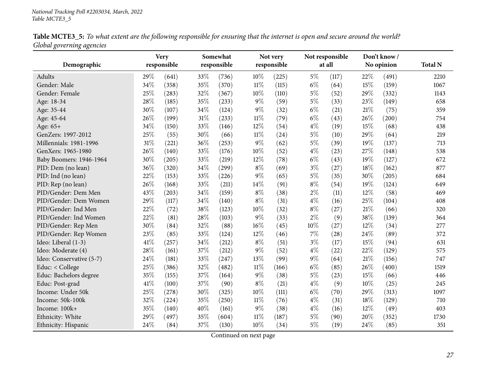| Table MCTE3_5: To what extent are the following responsible for ensuring that the internet is open and secure around the world? |  |
|---------------------------------------------------------------------------------------------------------------------------------|--|
| Global governing agencies                                                                                                       |  |

<span id="page-26-0"></span>

|                          | <b>Very</b> |             |        | Somewhat    |        | Not very    | Not responsible |        | Don't know / |       |                |
|--------------------------|-------------|-------------|--------|-------------|--------|-------------|-----------------|--------|--------------|-------|----------------|
| Demographic              |             | responsible |        | responsible |        | responsible |                 | at all | No opinion   |       | <b>Total N</b> |
| Adults                   | 29%         | (641)       | 33\%   | (736)       | 10%    | (225)       | $5\%$           | (117)  | 22%          | (491) | 2210           |
| Gender: Male             | 34%         | (358)       | 35%    | (370)       | $11\%$ | (115)       | $6\%$           | (64)   | 15%          | (159) | 1067           |
| Gender: Female           | 25%         | (283)       | 32%    | (367)       | 10%    | (110)       | $5\%$           | (52)   | 29%          | (332) | 1143           |
| Age: 18-34               | 28%         | (185)       | 35%    | (233)       | $9\%$  | (59)        | $5\%$           | (33)   | 23%          | (149) | 658            |
| Age: 35-44               | 30%         | (107)       | $34\%$ | (124)       | $9\%$  | (32)        | $6\%$           | (21)   | $21\%$       | (75)  | 359            |
| Age: 45-64               | 26%         | (199)       | $31\%$ | (233)       | $11\%$ | (79)        | $6\%$           | (43)   | 26%          | (200) | 754            |
| Age: 65+                 | 34%         | (150)       | 33%    | (146)       | 12%    | (54)        | $4\%$           | (19)   | 15%          | (68)  | 438            |
| GenZers: 1997-2012       | 25%         | (55)        | 30%    | (66)        | $11\%$ | (24)        | $5\%$           | (10)   | 29%          | (64)  | 219            |
| Millennials: 1981-1996   | 31%         | (221)       | 36%    | (253)       | 9%     | (62)        | $5\%$           | (39)   | 19%          | (137) | 713            |
| GenXers: 1965-1980       | 26%         | (140)       | 33%    | (176)       | 10%    | (52)        | $4\%$           | (23)   | 27%          | (148) | 538            |
| Baby Boomers: 1946-1964  | 30%         | (205)       | 33%    | (219)       | 12%    | (78)        | $6\%$           | (43)   | 19%          | (127) | 672            |
| PID: Dem (no lean)       | 36%         | (320)       | 34%    | (299)       | $8\%$  | (69)        | $3\%$           | (27)   | 18%          | (162) | 877            |
| PID: Ind (no lean)       | 22%         | (153)       | 33%    | (226)       | $9\%$  | (65)        | $5\%$           | (35)   | 30%          | (205) | 684            |
| PID: Rep (no lean)       | 26%         | (168)       | 33%    | (211)       | 14%    | (91)        | $8\%$           | (54)   | 19%          | (124) | 649            |
| PID/Gender: Dem Men      | 43%         | (203)       | 34%    | (159)       | $8\%$  | (38)        | $2\%$           | (11)   | 12%          | (58)  | 469            |
| PID/Gender: Dem Women    | 29%         | (117)       | 34%    | (140)       | $8\%$  | (31)        | $4\%$           | (16)   | 25%          | (104) | 408            |
| PID/Gender: Ind Men      | 22%         | (72)        | 38%    | (123)       | $10\%$ | (32)        | $8\%$           | (27)   | $21\%$       | (66)  | 320            |
| PID/Gender: Ind Women    | 22%         | (81)        | 28\%   | (103)       | 9%     | (33)        | $2\%$           | (9)    | 38%          | (139) | 364            |
| PID/Gender: Rep Men      | 30%         | (84)        | 32%    | (88)        | 16%    | (45)        | $10\%$          | (27)   | $12\%$       | (34)  | 277            |
| PID/Gender: Rep Women    | 23%         | (85)        | 33%    | (124)       | 12%    | (46)        | $7\%$           | (28)   | 24%          | (89)  | 372            |
| Ideo: Liberal (1-3)      | 41\%        | (257)       | 34%    | (212)       | $8\%$  | (51)        | $3\%$           | (17)   | 15%          | (94)  | 631            |
| Ideo: Moderate (4)       | 28%         | (161)       | 37%    | (212)       | $9\%$  | (52)        | $4\%$           | (22)   | 22%          | (129) | 575            |
| Ideo: Conservative (5-7) | 24\%        | (181)       | 33%    | (247)       | 13%    | (99)        | $9\%$           | (64)   | $21\%$       | (156) | 747            |
| Educ: < College          | 25%         | (386)       | 32%    | (482)       | $11\%$ | (166)       | $6\%$           | (85)   | 26%          | (400) | 1519           |
| Educ: Bachelors degree   | 35%         | (155)       | 37%    | (164)       | 9%     | (38)        | $5\%$           | (23)   | 15%          | (66)  | 446            |
| Educ: Post-grad          | 41\%        | (100)       | 37%    | (90)        | $8\%$  | (21)        | $4\%$           | (9)    | 10%          | (25)  | 245            |
| Income: Under 50k        | 25%         | (278)       | 30%    | (325)       | 10%    | (111)       | $6\%$           | (70)   | 29%          | (313) | 1097           |
| Income: 50k-100k         | 32%         | (224)       | 35%    | (250)       | $11\%$ | (76)        | $4\%$           | (31)   | 18%          | (129) | 710            |
| Income: 100k+            | 35%         | (140)       | 40%    | (161)       | 9%     | (38)        | $4\%$           | (16)   | 12%          | (49)  | 403            |
| Ethnicity: White         | 29%         | (497)       | 35%    | (604)       | $11\%$ | (187)       | $5\%$           | (90)   | 20%          | (352) | 1730           |
| Ethnicity: Hispanic      | 24%         | (84)        | 37%    | (130)       | 10%    | (34)        | $5\%$           | (19)   | 24%          | (85)  | 351            |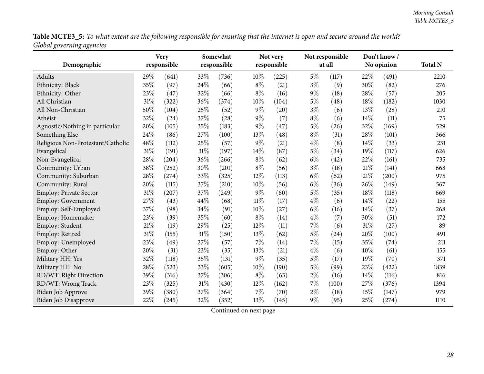Table MCTE3\_5: To what extent are the following responsible for ensuring that the internet is open and secure around the world? *Global governing agencies*

|                                   |     | <b>Very</b><br>responsible | Somewhat<br>responsible |       |        | Not very<br>responsible |       | Not responsible<br>at all |        | Don't know/<br>No opinion | <b>Total N</b> |
|-----------------------------------|-----|----------------------------|-------------------------|-------|--------|-------------------------|-------|---------------------------|--------|---------------------------|----------------|
| Demographic                       |     |                            |                         |       |        |                         |       |                           |        |                           |                |
| Adults                            | 29% | (641)                      | 33%                     | (736) | 10%    | (225)                   | $5\%$ | (117)                     | 22%    | (491)                     | 2210           |
| Ethnicity: Black                  | 35% | (97)                       | 24%                     | (66)  | $8\%$  | (21)                    | $3\%$ | (9)                       | 30%    | (82)                      | 276            |
| Ethnicity: Other                  | 23% | (47)                       | 32%                     | (66)  | $8\%$  | (16)                    | 9%    | (18)                      | 28%    | (57)                      | 205            |
| All Christian                     | 31% | (322)                      | 36%                     | (374) | 10%    | (104)                   | 5%    | (48)                      | 18%    | (182)                     | 1030           |
| All Non-Christian                 | 50% | (104)                      | 25%                     | (52)  | $9\%$  | (20)                    | $3\%$ | (6)                       | 13%    | (28)                      | 210            |
| Atheist                           | 32% | (24)                       | 37%                     | (28)  | $9\%$  | (7)                     | $8\%$ | (6)                       | 14%    | (11)                      | 75             |
| Agnostic/Nothing in particular    | 20% | (105)                      | 35%                     | (183) | $9\%$  | (47)                    | $5\%$ | (26)                      | 32%    | (169)                     | 529            |
| Something Else                    | 24% | (86)                       | 27%                     | (100) | $13\%$ | (48)                    | $8\%$ | (31)                      | 28%    | (101)                     | 366            |
| Religious Non-Protestant/Catholic | 48% | (112)                      | 25%                     | (57)  | $9\%$  | (21)                    | $4\%$ | (8)                       | 14\%   | (33)                      | 231            |
| Evangelical                       | 31% | (191)                      | 31%                     | (197) | 14%    | (87)                    | $5\%$ | (34)                      | 19%    | (117)                     | 626            |
| Non-Evangelical                   | 28% | (204)                      | 36%                     | (266) | $8\%$  | (62)                    | $6\%$ | (42)                      | 22%    | (161)                     | 735            |
| Community: Urban                  | 38% | (252)                      | 30%                     | (201) | $8\%$  | (56)                    | $3\%$ | (18)                      | 21%    | (141)                     | 668            |
| Community: Suburban               | 28% | (274)                      | 33%                     | (325) | 12%    | (113)                   | $6\%$ | (62)                      | $21\%$ | (200)                     | 975            |
| Community: Rural                  | 20% | (115)                      | 37%                     | (210) | 10%    | (56)                    | $6\%$ | (36)                      | 26%    | (149)                     | 567            |
| Employ: Private Sector            | 31% | (207)                      | 37%                     | (249) | 9%     | (60)                    | $5\%$ | (35)                      | 18%    | (118)                     | 669            |
| <b>Employ: Government</b>         | 27% | (43)                       | 44%                     | (68)  | $11\%$ | (17)                    | $4\%$ | (6)                       | 14%    | (22)                      | 155            |
| Employ: Self-Employed             | 37% | (98)                       | 34%                     | (91)  | 10%    | (27)                    | $6\%$ | (16)                      | 14%    | (37)                      | 268            |
| Employ: Homemaker                 | 23% | (39)                       | 35%                     | (60)  | $8\%$  | (14)                    | $4\%$ | (7)                       | 30%    | (51)                      | 172            |
| Employ: Student                   | 21% | (19)                       | 29%                     | (25)  | 12%    | (11)                    | 7%    | (6)                       | 31%    | (27)                      | 89             |
| Employ: Retired                   | 31% | (155)                      | 31%                     | (150) | 13%    | (62)                    | $5\%$ | (24)                      | 20%    | (100)                     | 491            |
| Employ: Unemployed                | 23% | (49)                       | 27%                     | (57)  | $7\%$  | (14)                    | $7\%$ | (15)                      | 35%    | (74)                      | 211            |
| Employ: Other                     | 20% | (31)                       | 23%                     | (35)  | 13%    | (21)                    | $4\%$ | (6)                       | 40%    | (61)                      | 155            |
| Military HH: Yes                  | 32% | (118)                      | 35%                     | (131) | 9%     | (35)                    | $5\%$ | (17)                      | 19%    | (70)                      | 371            |
| Military HH: No                   | 28% | (523)                      | 33%                     | (605) | 10%    | (190)                   | $5\%$ | (99)                      | 23%    | (422)                     | 1839           |
| RD/WT: Right Direction            | 39% | (316)                      | 37%                     | (306) | $8\%$  | (63)                    | $2\%$ | (16)                      | 14%    | (116)                     | 816            |
| RD/WT: Wrong Track                | 23% | (325)                      | 31%                     | (430) | $12\%$ | (162)                   | $7\%$ | (100)                     | 27%    | (376)                     | 1394           |
| Biden Job Approve                 | 39% | (380)                      | 37%                     | (364) | $7\%$  | (70)                    | $2\%$ | (18)                      | 15%    | (147)                     | 979            |
| <b>Biden Job Disapprove</b>       | 22% | (245)                      | 32%                     | (352) | 13%    | (145)                   | $9\%$ | (95)                      | 25%    | (274)                     | 1110           |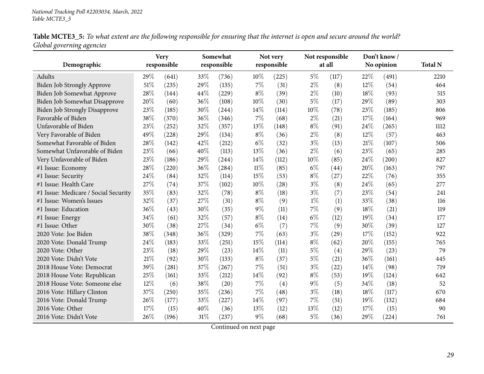| Table MCTE3_5: To what extent are the following responsible for ensuring that the internet is open and secure around the world? |  |
|---------------------------------------------------------------------------------------------------------------------------------|--|
| Global governing agencies                                                                                                       |  |

|                                      |     | <b>Very</b> |        | Somewhat    |        | Not very    |        | Not responsible |      | Don't know / |                |
|--------------------------------------|-----|-------------|--------|-------------|--------|-------------|--------|-----------------|------|--------------|----------------|
| Demographic                          |     | responsible |        | responsible |        | responsible |        | at all          |      | No opinion   | <b>Total N</b> |
| Adults                               | 29% | (641)       | 33\%   | (736)       | 10%    | (225)       | $5\%$  | (117)           | 22%  | (491)        | 2210           |
| Biden Job Strongly Approve           | 51% | (235)       | 29%    | (135)       | $7\%$  | (31)        | $2\%$  | (8)             | 12%  | (54)         | 464            |
| Biden Job Somewhat Approve           | 28% | (144)       | 44\%   | (229)       | $8\%$  | (39)        | $2\%$  | (10)            | 18%  | (93)         | 515            |
| Biden Job Somewhat Disapprove        | 20% | (60)        | 36%    | (108)       | 10%    | (30)        | $5\%$  | (17)            | 29%  | (89)         | 303            |
| <b>Biden Job Strongly Disapprove</b> | 23% | (185)       | 30%    | (244)       | 14%    | (114)       | $10\%$ | (78)            | 23%  | (185)        | 806            |
| Favorable of Biden                   | 38% | (370)       | 36%    | (346)       | $7\%$  | (68)        | $2\%$  | (21)            | 17%  | (164)        | 969            |
| Unfavorable of Biden                 | 23% | (252)       | 32%    | (357)       | 13%    | (148)       | $8\%$  | (91)            | 24%  | (265)        | 1112           |
| Very Favorable of Biden              | 49% | (228)       | 29%    | (134)       | $8\%$  | (36)        | $2\%$  | (8)             | 12%  | (57)         | 463            |
| Somewhat Favorable of Biden          | 28% | (142)       | 42%    | (212)       | $6\%$  | (32)        | $3\%$  | (13)            | 21%  | (107)        | 506            |
| Somewhat Unfavorable of Biden        | 23% | (66)        | 40%    | (113)       | 13%    | (36)        | $2\%$  | (6)             | 23%  | (65)         | 285            |
| Very Unfavorable of Biden            | 23% | (186)       | 29%    | (244)       | 14%    | (112)       | 10%    | (85)            | 24%  | (200)        | 827            |
| #1 Issue: Economy                    | 28% | (220)       | 36%    | (284)       | $11\%$ | (85)        | $6\%$  | (44)            | 20%  | (163)        | 797            |
| #1 Issue: Security                   | 24% | (84)        | 32%    | (114)       | 15%    | (53)        | $8\%$  | (27)            | 22%  | (76)         | 355            |
| #1 Issue: Health Care                | 27% | (74)        | 37%    | (102)       | 10%    | (28)        | $3\%$  | (8)             | 24\% | (65)         | 277            |
| #1 Issue: Medicare / Social Security | 35% | (83)        | 32%    | (78)        | $8\%$  | (18)        | $3\%$  | (7)             | 23%  | (54)         | 241            |
| #1 Issue: Women's Issues             | 32% | (37)        | 27%    | (31)        | $8\%$  | (9)         | $1\%$  | (1)             | 33%  | (38)         | 116            |
| #1 Issue: Education                  | 36% | (43)        | 30%    | (35)        | $9\%$  | (11)        | $7\%$  | (9)             | 18%  | (21)         | 119            |
| #1 Issue: Energy                     | 34% | (61)        | 32%    | (57)        | $8\%$  | (14)        | $6\%$  | (12)            | 19%  | (34)         | 177            |
| #1 Issue: Other                      | 30% | (38)        | 27%    | (34)        | $6\%$  | (7)         | $7\%$  | (9)             | 30%  | (39)         | 127            |
| 2020 Vote: Joe Biden                 | 38% | (348)       | 36%    | (329)       | 7%     | (63)        | $3\%$  | (29)            | 17%  | (152)        | 922            |
| 2020 Vote: Donald Trump              | 24% | (183)       | 33%    | (251)       | 15%    | (114)       | $8\%$  | (62)            | 20%  | (155)        | 765            |
| 2020 Vote: Other                     | 23% | (18)        | 29%    | (23)        | 14%    | (11)        | $5\%$  | (4)             | 29%  | (23)         | 79             |
| 2020 Vote: Didn't Vote               | 21% | (92)        | 30%    | (133)       | $8\%$  | (37)        | $5\%$  | (21)            | 36%  | (161)        | 445            |
| 2018 House Vote: Democrat            | 39% | (281)       | 37%    | (267)       | $7\%$  | (51)        | $3\%$  | (22)            | 14%  | (98)         | 719            |
| 2018 House Vote: Republican          | 25% | (161)       | 33%    | (212)       | 14%    | (92)        | $8\%$  | (53)            | 19%  | (124)        | 642            |
| 2018 House Vote: Someone else        | 12% | (6)         | 38%    | (20)        | 7%     | (4)         | $9\%$  | (5)             | 34%  | (18)         | 52             |
| 2016 Vote: Hillary Clinton           | 37% | (250)       | 35%    | (236)       | $7\%$  | (48)        | $3\%$  | (18)            | 18%  | (117)        | 670            |
| 2016 Vote: Donald Trump              | 26% | (177)       | 33%    | (227)       | 14%    | (97)        | $7\%$  | (51)            | 19%  | (132)        | 684            |
| 2016 Vote: Other                     | 17% | (15)        | 40%    | (36)        | 13%    | (12)        | 13%    | (12)            | 17%  | (15)         | 90             |
| 2016 Vote: Didn't Vote               | 26% | (196)       | $31\%$ | (237)       | $9\%$  | (68)        | $5\%$  | (36)            | 29%  | (224)        | 761            |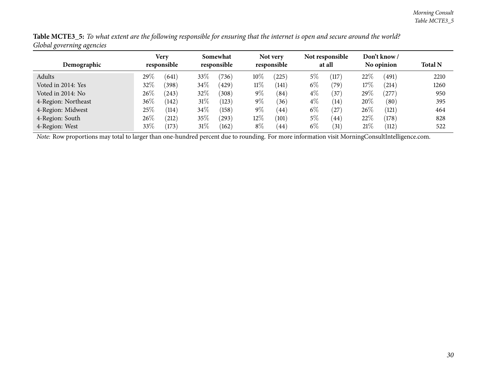| ັ<br>ັັ             |                            |               |                         |            |                         |                 |       |                           |        |                           |                |
|---------------------|----------------------------|---------------|-------------------------|------------|-------------------------|-----------------|-------|---------------------------|--------|---------------------------|----------------|
| Demographic         | <b>Very</b><br>responsible |               | Somewhat<br>responsible |            | Not very<br>responsible |                 |       | Not responsible<br>at all |        | Don't know/<br>No opinion | <b>Total N</b> |
| Adults              | 29 $\%$<br>(641)           | 33\%          |                         | (736)      | $10\%$                  | (225)           | $5\%$ | (117)                     | 22%    | (491)                     | 2210           |
| Voted in 2014: Yes  | 32%<br>(398)               |               | $34\%$                  | (429)      | $11\%$                  | $^{\prime}141)$ | $6\%$ | (79)                      | 17%    | (214)                     | 1260           |
| Voted in 2014: No   | 26%<br>(243)               | 32\%          |                         | (308)      | $9\%$                   | (84)            | $4\%$ | (37)                      | 29%    | $^{'}277)$                | 950            |
| 4-Region: Northeast | 36%<br>(142)               |               | $31\%$                  | (123)      | $9\%$                   | (36)            | $4\%$ | (14)                      | $20\%$ | (80)                      | 395            |
| 4-Region: Midwest   | 25%                        | 34\%<br>(114) |                         | (158)      | $9\%$                   | (44)            | $6\%$ | (27)                      | $26\%$ | (121)                     | 464            |
| 4-Region: South     | 26%                        | 35\%<br>(212) |                         | $^{(293)}$ | $12\%$                  | (101)           | $5\%$ | (44)                      | 22\%   | (178)                     | 828            |
| 4-Region: West      | 33%                        | (173)         | $31\%$                  | (162)      | $8\%$                   | 44              | $6\%$ | (31)                      | 21%    | (112)                     | 522            |

Table MCTE3\_5: To what extent are the following responsible for ensuring that the internet is open and secure around the world? *Global governing agencies*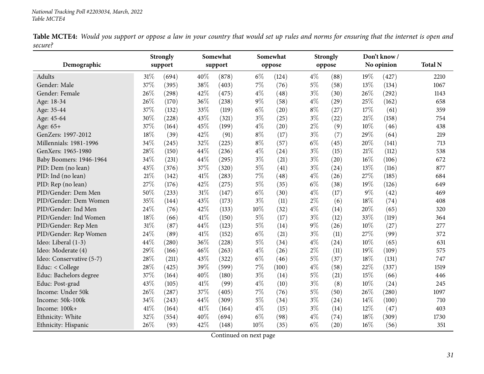Table MCTE4: Would you support or oppose a law in your country that would set up rules and norms for ensuring that the internet is open and *secure?*

<span id="page-30-0"></span>

|                          |        | <b>Strongly</b> |        | Somewhat |       | Somewhat |       | <b>Strongly</b> |     | Don't know/ |                |
|--------------------------|--------|-----------------|--------|----------|-------|----------|-------|-----------------|-----|-------------|----------------|
| Demographic              |        | support         |        | support  |       | oppose   |       | oppose          |     | No opinion  | <b>Total N</b> |
| Adults                   | $31\%$ | (694)           | 40%    | (878)    | $6\%$ | (124)    | $4\%$ | (88)            | 19% | (427)       | 2210           |
| Gender: Male             | 37%    | (395)           | 38%    | (403)    | 7%    | (76)     | $5\%$ | (58)            | 13% | (134)       | 1067           |
| Gender: Female           | 26%    | (298)           | 42%    | (475)    | $4\%$ | (48)     | $3\%$ | (30)            | 26% | (292)       | 1143           |
| Age: 18-34               | 26%    | (170)           | 36%    | (238)    | $9\%$ | (58)     | $4\%$ | (29)            | 25% | (162)       | 658            |
| Age: 35-44               | 37%    | (132)           | 33%    | (119)    | $6\%$ | (20)     | $8\%$ | (27)            | 17% | (61)        | 359            |
| Age: 45-64               | 30%    | (228)           | 43%    | (321)    | $3\%$ | (25)     | $3\%$ | (22)            | 21% | (158)       | 754            |
| Age: 65+                 | 37%    | (164)           | 45%    | (199)    | $4\%$ | (20)     | $2\%$ | (9)             | 10% | (46)        | 438            |
| GenZers: 1997-2012       | 18%    | (39)            | 42%    | (91)     | $8\%$ | (17)     | $3\%$ | (7)             | 29% | (64)        | 219            |
| Millennials: 1981-1996   | 34%    | (245)           | 32%    | (225)    | $8\%$ | (57)     | $6\%$ | (45)            | 20% | (141)       | 713            |
| GenXers: 1965-1980       | 28%    | (150)           | 44%    | (236)    | $4\%$ | (24)     | $3\%$ | (15)            | 21% | (112)       | 538            |
| Baby Boomers: 1946-1964  | 34%    | (231)           | 44%    | (295)    | $3\%$ | (21)     | $3\%$ | (20)            | 16% | (106)       | 672            |
| PID: Dem (no lean)       | 43%    | (376)           | 37%    | (320)    | $5\%$ | (41)     | $3\%$ | (24)            | 13% | (116)       | 877            |
| PID: Ind (no lean)       | 21%    | (142)           | 41%    | (283)    | 7%    | (48)     | $4\%$ | (26)            | 27% | (185)       | 684            |
| PID: Rep (no lean)       | 27%    | (176)           | 42%    | (275)    | $5\%$ | (35)     | $6\%$ | (38)            | 19% | (126)       | 649            |
| PID/Gender: Dem Men      | 50%    | (233)           | $31\%$ | (147)    | $6\%$ | (30)     | $4\%$ | (17)            | 9%  | (42)        | 469            |
| PID/Gender: Dem Women    | 35%    | (144)           | 43%    | (173)    | $3\%$ | (11)     | $2\%$ | (6)             | 18% | (74)        | 408            |
| PID/Gender: Ind Men      | 24%    | (76)            | 42%    | (133)    | 10%   | (32)     | $4\%$ | (14)            | 20% | (65)        | 320            |
| PID/Gender: Ind Women    | 18%    | (66)            | 41%    | (150)    | $5\%$ | (17)     | $3\%$ | (12)            | 33% | (119)       | 364            |
| PID/Gender: Rep Men      | 31%    | (87)            | 44%    | (123)    | $5\%$ | (14)     | $9\%$ | (26)            | 10% | (27)        | 277            |
| PID/Gender: Rep Women    | 24%    | (89)            | 41\%   | (152)    | $6\%$ | (21)     | $3\%$ | (11)            | 27% | (99)        | 372            |
| Ideo: Liberal (1-3)      | 44%    | (280)           | 36%    | (228)    | $5\%$ | (34)     | $4\%$ | (24)            | 10% | (65)        | 631            |
| Ideo: Moderate (4)       | 29%    | (166)           | 46%    | (263)    | $4\%$ | (26)     | $2\%$ | (11)            | 19% | (109)       | 575            |
| Ideo: Conservative (5-7) | 28%    | (211)           | 43%    | (322)    | $6\%$ | (46)     | $5\%$ | (37)            | 18% | (131)       | 747            |
| Educ: < College          | 28%    | (425)           | 39%    | (599)    | 7%    | (100)    | $4\%$ | (58)            | 22% | (337)       | 1519           |
| Educ: Bachelors degree   | 37%    | (164)           | 40%    | (180)    | $3\%$ | (14)     | $5\%$ | (21)            | 15% | (66)        | 446            |
| Educ: Post-grad          | 43%    | (105)           | 41%    | (99)     | $4\%$ | (10)     | $3\%$ | (8)             | 10% | (24)        | 245            |
| Income: Under 50k        | 26%    | (287)           | 37%    | (405)    | $7\%$ | (76)     | $5\%$ | (50)            | 26% | (280)       | 1097           |
| Income: 50k-100k         | 34%    | (243)           | 44%    | (309)    | $5\%$ | (34)     | $3\%$ | (24)            | 14% | (100)       | 710            |
| Income: 100k+            | 41%    | (164)           | 41\%   | (164)    | $4\%$ | (15)     | $3\%$ | (14)            | 12% | (47)        | 403            |
| Ethnicity: White         | 32%    | (554)           | 40%    | (694)    | $6\%$ | (98)     | $4\%$ | (74)            | 18% | (309)       | 1730           |
| Ethnicity: Hispanic      | 26%    | (93)            | 42%    | (148)    | 10%   | (35)     | $6\%$ | (20)            | 16% | (56)        | 351            |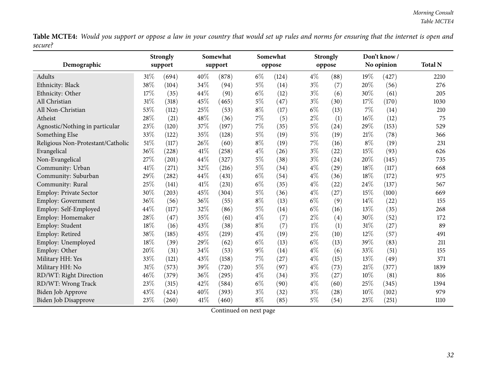Table MCTE4: Would you support or oppose a law in your country that would set up rules and norms for ensuring that the internet is open and *secure?* $\overline{\phantom{0}}$ 

| Demographic                       | <b>Strongly</b><br>support |       |        | Somewhat<br>support |       | Somewhat<br>oppose |       | <b>Strongly</b><br>oppose |       | Don't know/<br>No opinion | <b>Total N</b> |
|-----------------------------------|----------------------------|-------|--------|---------------------|-------|--------------------|-------|---------------------------|-------|---------------------------|----------------|
|                                   |                            |       |        |                     |       |                    |       |                           |       |                           |                |
| Adults                            | 31%                        | (694) | 40%    | (878)               | $6\%$ | (124)              | $4\%$ | (88)                      | 19%   | (427)                     | 2210           |
| Ethnicity: Black                  | 38%                        | (104) | 34%    | (94)                | $5\%$ | (14)               | $3\%$ | (7)                       | 20%   | (56)                      | 276            |
| Ethnicity: Other                  | 17%                        | (35)  | 44%    | (91)                | $6\%$ | (12)               | $3\%$ | (6)                       | 30%   | (61)                      | 205            |
| All Christian                     | 31%                        | (318) | 45%    | (465)               | $5\%$ | (47)               | $3\%$ | (30)                      | 17%   | (170)                     | 1030           |
| All Non-Christian                 | 53%                        | (112) | 25%    | (53)                | $8\%$ | (17)               | $6\%$ | (13)                      | 7%    | (14)                      | 210            |
| Atheist                           | 28%                        | (21)  | 48%    | (36)                | $7\%$ | (5)                | $2\%$ | (1)                       | 16%   | (12)                      | 75             |
| Agnostic/Nothing in particular    | 23%                        | (120) | $37\%$ | (197)               | 7%    | (35)               | $5\%$ | (24)                      | 29%   | (153)                     | 529            |
| Something Else                    | 33%                        | (122) | 35%    | (128)               | $5\%$ | (19)               | $5\%$ | (19)                      | 21%   | (78)                      | 366            |
| Religious Non-Protestant/Catholic | 51%                        | (117) | 26%    | (60)                | $8\%$ | (19)               | 7%    | (16)                      | $8\%$ | (19)                      | 231            |
| Evangelical                       | 36%                        | (228) | 41%    | (258)               | $4\%$ | (26)               | $3\%$ | (22)                      | 15%   | (93)                      | 626            |
| Non-Evangelical                   | 27%                        | (201) | 44%    | (327)               | $5\%$ | (38)               | $3\%$ | (24)                      | 20%   | (145)                     | 735            |
| Community: Urban                  | 41\%                       | (271) | 32%    | (216)               | $5\%$ | (34)               | $4\%$ | (29)                      | 18%   | (117)                     | 668            |
| Community: Suburban               | 29%                        | (282) | 44%    | (431)               | $6\%$ | (54)               | $4\%$ | (36)                      | 18%   | (172)                     | 975            |
| Community: Rural                  | 25%                        | (141) | 41\%   | (231)               | $6\%$ | (35)               | $4\%$ | (22)                      | 24%   | (137)                     | 567            |
| <b>Employ: Private Sector</b>     | 30%                        | (203) | 45%    | (304)               | $5\%$ | (36)               | $4\%$ | (27)                      | 15%   | (100)                     | 669            |
| <b>Employ: Government</b>         | 36%                        | (56)  | 36%    | (55)                | $8\%$ | (13)               | $6\%$ | (9)                       | 14%   | (22)                      | 155            |
| Employ: Self-Employed             | 44%                        | (117) | 32%    | (86)                | $5\%$ | (14)               | $6\%$ | (16)                      | 13%   | (35)                      | 268            |
| Employ: Homemaker                 | 28%                        | (47)  | 35%    | (61)                | $4\%$ | (7)                | $2\%$ | (4)                       | 30%   | (52)                      | 172            |
| Employ: Student                   | 18%                        | (16)  | 43%    | (38)                | $8\%$ | (7)                | $1\%$ | (1)                       | 31%   | (27)                      | 89             |
| Employ: Retired                   | 38%                        | (185) | 45%    | (219)               | $4\%$ | (19)               | $2\%$ | (10)                      | 12%   | (57)                      | 491            |
| Employ: Unemployed                | 18%                        | (39)  | $29\%$ | (62)                | $6\%$ | (13)               | $6\%$ | (13)                      | 39%   | (83)                      | 211            |
| Employ: Other                     | 20%                        | (31)  | 34%    | (53)                | $9\%$ | (14)               | $4\%$ | (6)                       | 33%   | (51)                      | 155            |
| Military HH: Yes                  | 33%                        | (121) | 43%    | (158)               | $7\%$ | (27)               | $4\%$ | (15)                      | 13%   | (49)                      | 371            |
| Military HH: No                   | 31%                        | (573) | 39%    | (720)               | $5\%$ | (97)               | $4\%$ | (73)                      | 21%   | (377)                     | 1839           |
| RD/WT: Right Direction            | 46%                        | (379) | 36%    | (295)               | $4\%$ | (34)               | $3\%$ | (27)                      | 10%   | (81)                      | 816            |
| RD/WT: Wrong Track                | 23%                        | (315) | 42%    | (584)               | $6\%$ | (90)               | $4\%$ | (60)                      | 25%   | (345)                     | 1394           |
| <b>Biden Job Approve</b>          | 43%                        | (424) | 40%    | (393)               | $3\%$ | (32)               | $3\%$ | (28)                      | 10%   | (102)                     | 979            |
| <b>Biden Job Disapprove</b>       | 23%                        | (260) | 41\%   | (460)               | $8\%$ | (85)               | $5\%$ | (54)                      | 23%   | (251)                     | 1110           |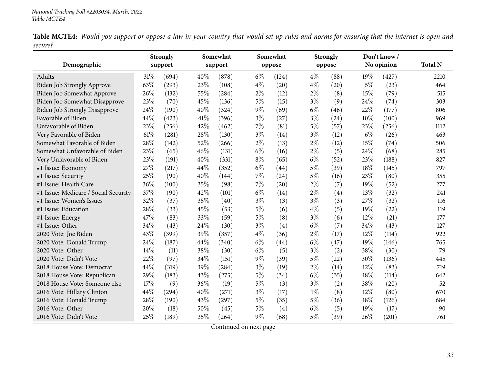Table MCTE4: Would you support or oppose a law in your country that would set up rules and norms for ensuring that the internet is open and *secure?* $\overline{\phantom{0}}$ 

|                                      |        | Strongly |      | Somewhat |       | Somewhat |       | <b>Strongly</b> |       | Don't know / |                |
|--------------------------------------|--------|----------|------|----------|-------|----------|-------|-----------------|-------|--------------|----------------|
| Demographic                          |        | support  |      | support  |       | oppose   |       | oppose          |       | No opinion   | <b>Total N</b> |
| Adults                               | $31\%$ | (694)    | 40%  | (878)    | $6\%$ | (124)    | $4\%$ | (88)            | 19%   | (427)        | 2210           |
| Biden Job Strongly Approve           | 63%    | (293)    | 23%  | (108)    | $4\%$ | (20)     | $4\%$ | (20)            | $5\%$ | (23)         | 464            |
| Biden Job Somewhat Approve           | 26%    | (132)    | 55%  | (284)    | $2\%$ | (12)     | $2\%$ | (8)             | 15%   | (79)         | 515            |
| Biden Job Somewhat Disapprove        | 23%    | (70)     | 45%  | (136)    | $5\%$ | (15)     | $3\%$ | (9)             | 24\%  | (74)         | 303            |
| <b>Biden Job Strongly Disapprove</b> | 24%    | (190)    | 40%  | (324)    | $9\%$ | (69)     | $6\%$ | (46)            | 22%   | (177)        | 806            |
| Favorable of Biden                   | 44%    | (423)    | 41\% | (396)    | $3\%$ | (27)     | $3\%$ | (24)            | 10%   | (100)        | 969            |
| Unfavorable of Biden                 | 23%    | (256)    | 42%  | (462)    | 7%    | (81)     | $5\%$ | (57)            | 23%   | (256)        | 1112           |
| Very Favorable of Biden              | 61\%   | (281)    | 28%  | (130)    | $3\%$ | (14)     | $3\%$ | (12)            | $6\%$ | (26)         | 463            |
| Somewhat Favorable of Biden          | 28%    | (142)    | 52%  | (266)    | $2\%$ | (13)     | $2\%$ | (12)            | 15%   | (74)         | 506            |
| Somewhat Unfavorable of Biden        | 23%    | (65)     | 46%  | (131)    | $6\%$ | (16)     | $2\%$ | (5)             | 24%   | (68)         | 285            |
| Very Unfavorable of Biden            | 23%    | (191)    | 40%  | (331)    | $8\%$ | (65)     | $6\%$ | (52)            | 23%   | (188)        | 827            |
| #1 Issue: Economy                    | 27%    | (217)    | 44\% | (352)    | $6\%$ | (44)     | $5\%$ | (39)            | 18%   | (145)        | 797            |
| #1 Issue: Security                   | 25%    | (90)     | 40%  | (144)    | $7\%$ | (24)     | $5\%$ | (16)            | 23%   | (80)         | 355            |
| #1 Issue: Health Care                | 36%    | (100)    | 35%  | (98)     | 7%    | (20)     | $2\%$ | (7)             | 19%   | (52)         | 277            |
| #1 Issue: Medicare / Social Security | 37%    | (90)     | 42%  | (101)    | $6\%$ | (14)     | $2\%$ | (4)             | 13%   | (32)         | 241            |
| #1 Issue: Women's Issues             | 32%    | (37)     | 35%  | (40)     | $3\%$ | (3)      | $3\%$ | (3)             | 27%   | (32)         | 116            |
| #1 Issue: Education                  | 28%    | (33)     | 45%  | (53)     | $5\%$ | (6)      | $4\%$ | (5)             | 19%   | (22)         | 119            |
| #1 Issue: Energy                     | 47%    | (83)     | 33%  | (59)     | $5\%$ | (8)      | $3\%$ | (6)             | 12%   | (21)         | 177            |
| #1 Issue: Other                      | 34%    | (43)     | 24\% | (30)     | $3\%$ | (4)      | $6\%$ | (7)             | 34%   | (43)         | 127            |
| 2020 Vote: Joe Biden                 | 43%    | (399)    | 39%  | (357)    | $4\%$ | (36)     | $2\%$ | (17)            | 12%   | (114)        | 922            |
| 2020 Vote: Donald Trump              | 24%    | (187)    | 44\% | (340)    | $6\%$ | (44)     | $6\%$ | (47)            | 19%   | (146)        | 765            |
| 2020 Vote: Other                     | 14\%   | (11)     | 38%  | (30)     | $6\%$ | (5)      | $3\%$ | (2)             | 38%   | (30)         | 79             |
| 2020 Vote: Didn't Vote               | 22%    | (97)     | 34%  | (151)    | $9\%$ | (39)     | 5%    | (22)            | 30%   | (136)        | 445            |
| 2018 House Vote: Democrat            | 44%    | (319)    | 39%  | (284)    | $3\%$ | (19)     | $2\%$ | (14)            | 12%   | (83)         | 719            |
| 2018 House Vote: Republican          | 29%    | (183)    | 43%  | (275)    | $5\%$ | (34)     | $6\%$ | (35)            | 18%   | (114)        | 642            |
| 2018 House Vote: Someone else        | 17%    | (9)      | 36%  | (19)     | $5\%$ | (3)      | $3\%$ | (2)             | 38%   | (20)         | 52             |
| 2016 Vote: Hillary Clinton           | 44%    | (294)    | 40%  | (271)    | $3\%$ | (17)     | $1\%$ | (8)             | 12%   | (80)         | 670            |
| 2016 Vote: Donald Trump              | 28%    | (190)    | 43%  | (297)    | $5\%$ | (35)     | $5\%$ | (36)            | 18%   | (126)        | 684            |
| 2016 Vote: Other                     | 20%    | (18)     | 50%  | (45)     | $5\%$ | (4)      | $6\%$ | (5)             | 19%   | (17)         | 90             |
| 2016 Vote: Didn't Vote               | 25%    | (189)    | 35%  | (264)    | $9\%$ | (68)     | $5\%$ | (39)            | 26%   | (201)        | 761            |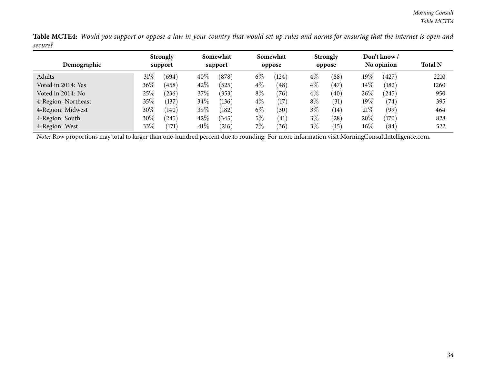Table MCTE4: Would you support or oppose a law in your country that would set up rules and norms for ensuring that the internet is open and *secure?*

|                     | <b>Strongly</b>   | Somewhat         | Somewhat       | <b>Strongly</b>         | Don't know /    |                |
|---------------------|-------------------|------------------|----------------|-------------------------|-----------------|----------------|
| Demographic         | support           | support          | oppose         | oppose                  | No opinion      | <b>Total N</b> |
| Adults              | 31%<br>(694)      | 40%<br>(878)     | $6\%$<br>(124) | $4\%$<br>(88)           | $19\%$<br>(427) | 2210           |
| Voted in 2014: Yes  | $36\%$<br>(458)   | 42%<br>(525)     | $4\%$<br>(48)  | $4\%$<br>47             | $14\%$<br>(182) | 1260           |
| Voted in 2014: No   | 25%<br>$^{'}236)$ | 37%<br>(353)     | $8\%$<br>(76)  | $4\%$<br>$^{'}40$       | $26\%$<br>(245) | 950            |
| 4-Region: Northeast | $35\%$<br>(137)   | $34\%$<br>(136)  | $4\%$<br>(17)  | $8\%$<br>(31)           | $19\%$<br>(74)  | 395            |
| 4-Region: Midwest   | $30\%$<br>(140)   | 39 $\%$<br>(182) | $6\%$<br>(30)  | $3\%$<br>(14)           | 21%<br>(99)     | 464            |
| 4-Region: South     | $30\%$<br>245     | 42%<br>(345)     | $5\%$<br>(41)  | $3\%$<br>$^{'}28)$      | 20%<br>(170)    | 828            |
| 4-Region: West      | 33\%<br>(171)     | 41\%<br>216      | $7\%$<br>(36)  | 3%<br>$\left(15\right)$ | $16\%$<br>(84)  | 522            |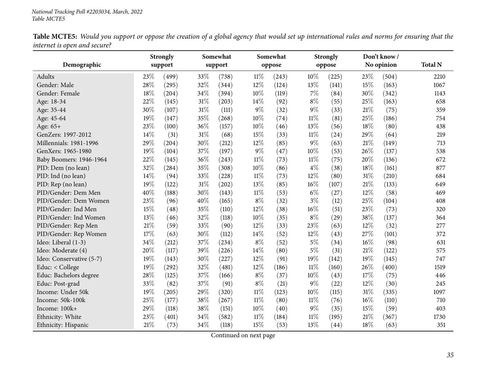Table MCTE5: Would you support or oppose the creation of a global agency that would set up international rules and norms for ensuring that the *internet is open and secure?*

<span id="page-34-0"></span>

|                          |     | <b>Strongly</b> |        | Somewhat |        | Somewhat |        | <b>Strongly</b> |      | Don't know/ |                |
|--------------------------|-----|-----------------|--------|----------|--------|----------|--------|-----------------|------|-------------|----------------|
| Demographic              |     | support         |        | support  |        | oppose   |        | oppose          |      | No opinion  | <b>Total N</b> |
| Adults                   | 23% | (499)           | 33%    | (738)    | 11%    | (243)    | 10%    | (225)           | 23\% | (504)       | 2210           |
| Gender: Male             | 28% | (295)           | 32%    | (344)    | 12%    | (124)    | 13%    | (141)           | 15%  | (163)       | 1067           |
| Gender: Female           | 18% | (204)           | 34%    | (394)    | 10%    | (119)    | 7%     | (84)            | 30%  | (342)       | 1143           |
| Age: 18-34               | 22% | (145)           | $31\%$ | (203)    | 14%    | (92)     | $8\%$  | (55)            | 25%  | (163)       | 658            |
| Age: 35-44               | 30% | (107)           | $31\%$ | (111)    | $9\%$  | (32)     | 9%     | (33)            | 21%  | (75)        | 359            |
| Age: 45-64               | 19% | (147)           | 35%    | (268)    | 10%    | (74)     | $11\%$ | (81)            | 25%  | (186)       | 754            |
| Age: 65+                 | 23% | (100)           | 36%    | (157)    | 10%    | (46)     | 13%    | (56)            | 18%  | (80)        | 438            |
| GenZers: 1997-2012       | 14% | (31)            | $31\%$ | (68)     | 15%    | (33)     | $11\%$ | (24)            | 29%  | (64)        | 219            |
| Millennials: 1981-1996   | 29% | (204)           | 30%    | (212)    | 12%    | (85)     | 9%     | (63)            | 21%  | (149)       | 713            |
| GenXers: 1965-1980       | 19% | (104)           | 37%    | (197)    | $9\%$  | (47)     | 10%    | (53)            | 26%  | (137)       | 538            |
| Baby Boomers: 1946-1964  | 22% | (145)           | 36%    | (243)    | $11\%$ | (73)     | $11\%$ | (75)            | 20%  | (136)       | 672            |
| PID: Dem (no lean)       | 32% | (284)           | 35%    | (308)    | 10%    | (86)     | $4\%$  | (38)            | 18%  | (161)       | 877            |
| PID: Ind (no lean)       | 14% | (94)            | 33%    | (228)    | $11\%$ | (73)     | 12%    | (80)            | 31%  | (210)       | 684            |
| PID: Rep (no lean)       | 19% | (122)           | $31\%$ | (202)    | 13%    | (85)     | 16%    | (107)           | 21%  | (133)       | 649            |
| PID/Gender: Dem Men      | 40% | (188)           | 30%    | (143)    | $11\%$ | (53)     | $6\%$  | (27)            | 12%  | (58)        | 469            |
| PID/Gender: Dem Women    | 23% | (96)            | 40%    | (165)    | $8\%$  | (32)     | $3\%$  | (12)            | 25%  | (104)       | 408            |
| PID/Gender: Ind Men      | 15% | (48)            | 35%    | (110)    | 12%    | (38)     | 16%    | (51)            | 23%  | (73)        | 320            |
| PID/Gender: Ind Women    | 13% | (46)            | 32%    | (118)    | 10%    | (35)     | $8\%$  | (29)            | 38%  | (137)       | 364            |
| PID/Gender: Rep Men      | 21% | (59)            | 33%    | (90)     | 12%    | (33)     | 23%    | (63)            | 12%  | (32)        | 277            |
| PID/Gender: Rep Women    | 17% | (63)            | 30%    | (112)    | 14%    | (52)     | 12%    | (43)            | 27%  | (101)       | 372            |
| Ideo: Liberal (1-3)      | 34% | (212)           | 37%    | (234)    | $8\%$  | (52)     | $5\%$  | (34)            | 16%  | (98)        | 631            |
| Ideo: Moderate (4)       | 20% | (117)           | 39%    | (226)    | 14%    | (80)     | $5\%$  | (31)            | 21%  | (122)       | 575            |
| Ideo: Conservative (5-7) | 19% | (143)           | 30%    | (227)    | 12%    | (91)     | 19%    | (142)           | 19%  | (145)       | 747            |
| Educ: < College          | 19% | (292)           | 32%    | (481)    | 12%    | (186)    | $11\%$ | (160)           | 26%  | (400)       | 1519           |
| Educ: Bachelors degree   | 28% | (125)           | 37%    | (166)    | $8\%$  | (37)     | 10%    | (43)            | 17%  | (75)        | 446            |
| Educ: Post-grad          | 33% | (82)            | 37%    | (91)     | $8\%$  | (21)     | $9\%$  | (22)            | 12%  | (30)        | 245            |
| Income: Under 50k        | 19% | (205)           | 29%    | (320)    | $11\%$ | (123)    | 10%    | (115)           | 31%  | (335)       | 1097           |
| Income: 50k-100k         | 25% | (177)           | 38%    | (267)    | $11\%$ | (80)     | $11\%$ | (76)            | 16%  | (110)       | 710            |
| Income: 100k+            | 29% | (118)           | 38%    | (151)    | 10%    | (40)     | 9%     | (35)            | 15%  | (59)        | 403            |
| Ethnicity: White         | 23% | (401)           | 34%    | (582)    | $11\%$ | (184)    | $11\%$ | (195)           | 21%  | (367)       | 1730           |
| Ethnicity: Hispanic      | 21% | (73)            | 34%    | (118)    | 15%    | (53)     | 13%    | (44)            | 18%  | (63)        | 351            |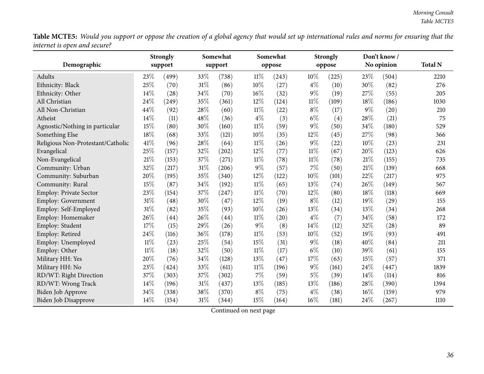Table MCTE5: Would you support or oppose the creation of a global agency that would set up international rules and norms for ensuring that the *internet is open and secure?* L.

| Demographic                       | <b>Strongly</b><br>support |       | Somewhat<br>Somewhat<br>support<br>oppose |                    |        | <b>Strongly</b> |        | Don't know/<br>No opinion | <b>Total N</b> |       |      |
|-----------------------------------|----------------------------|-------|-------------------------------------------|--------------------|--------|-----------------|--------|---------------------------|----------------|-------|------|
|                                   |                            |       |                                           |                    |        |                 |        | oppose                    |                |       |      |
| Adults                            | 23%                        | (499) | 33%                                       | (738)              | $11\%$ | (243)           | 10%    | (225)                     | 23%            | (504) | 2210 |
| Ethnicity: Black                  | 25%                        | (70)  | 31%                                       | (86)               | 10%    | (27)            | $4\%$  | (10)                      | 30%            | (82)  | 276  |
| Ethnicity: Other                  | 14%                        | (28)  | 34%                                       | (70)               | 16%    | (32)            | $9\%$  | (19)                      | 27%            | (55)  | 205  |
| All Christian                     | 24%                        | (249) | 35%                                       | (361)              | 12%    | (124)           | 11%    | (109)                     | 18%            | (186) | 1030 |
| All Non-Christian                 | 44%                        | (92)  | 28%                                       | (60)               | $11\%$ | (22)            | $8\%$  | (17)                      | 9%             | (20)  | 210  |
| Atheist                           | 14%                        | (11)  | 48%                                       | (36)               | $4\%$  | (3)             | $6\%$  | (4)                       | 28%            | (21)  | 75   |
| Agnostic/Nothing in particular    | 15%                        | (80)  | 30%                                       | (160)              | $11\%$ | (59)            | 9%     | (50)                      | 34%            | (180) | 529  |
| Something Else                    | 18%                        | (68)  | 33%                                       | (121)              | 10%    | (35)            | 12%    | (45)                      | 27%            | (98)  | 366  |
| Religious Non-Protestant/Catholic | 41\%                       | (96)  | 28%                                       | (64)               | $11\%$ | (26)            | $9\%$  | (22)                      | 10%            | (23)  | 231  |
| Evangelical                       | 25%                        | (157) | 32%                                       | (202)              | 12%    | (77)            | $11\%$ | (67)                      | 20%            | (123) | 626  |
| Non-Evangelical                   | 21%                        | (153) | 37%                                       | (271)              | $11\%$ | (78)            | $11\%$ | (78)                      | 21%            | (155) | 735  |
| Community: Urban                  | 32%                        | (217) | 31%                                       | (206)              | $9\%$  | (57)            | 7%     | (50)                      | 21%            | (139) | 668  |
| Community: Suburban               | 20%                        | (195) | 35%                                       | (340)              | 12%    | (122)           | 10%    | (101)                     | 22%            | (217) | 975  |
| Community: Rural                  | 15%                        | (87)  | 34%                                       | (192)              | $11\%$ | (65)            | 13%    | (74)                      | 26%            | (149) | 567  |
| <b>Employ: Private Sector</b>     | 23%                        | (154) | $37\%$                                    | (247)              | $11\%$ | (70)            | 12%    | (80)                      | 18%            | (118) | 669  |
| <b>Employ: Government</b>         | 31%                        | (48)  | 30%                                       | (47)               | 12%    | (19)            | $8\%$  | (12)                      | 19%            | (29)  | 155  |
| Employ: Self-Employed             | 31%                        | (82)  | 35%                                       | (93)               | 10%    | (26)            | 13%    | (34)                      | 13%            | (34)  | 268  |
| Employ: Homemaker                 | 26%                        | (44)  | 26%                                       | $\left( 44\right)$ | $11\%$ | (20)            | $4\%$  | (7)                       | 34%            | (58)  | 172  |
| Employ: Student                   | 17%                        | (15)  | 29%                                       | (26)               | $9\%$  | (8)             | 14%    | (12)                      | 32%            | (28)  | 89   |
| Employ: Retired                   | 24%                        | (116) | 36%                                       | (178)              | $11\%$ | (53)            | 10%    | (52)                      | 19%            | (93)  | 491  |
| Employ: Unemployed                | $11\%$                     | (23)  | 25%                                       | (54)               | 15%    | (31)            | $9\%$  | (18)                      | 40%            | (84)  | 211  |
| Employ: Other                     | $11\%$                     | (18)  | 32%                                       | (50)               | $11\%$ | (17)            | $6\%$  | (10)                      | 39%            | (61)  | 155  |
| Military HH: Yes                  | 20%                        | (76)  | 34%                                       | (128)              | 13%    | (47)            | 17%    | (63)                      | 15%            | (57)  | 371  |
| Military HH: No                   | 23%                        | (424) | 33%                                       | (611)              | $11\%$ | (196)           | $9\%$  | (161)                     | 24%            | (447) | 1839 |
| RD/WT: Right Direction            | 37%                        | (303) | 37%                                       | (302)              | 7%     | (59)            | $5\%$  | (39)                      | 14%            | (114) | 816  |
| RD/WT: Wrong Track                | 14%                        | (196) | 31%                                       | (437)              | 13%    | (185)           | 13%    | (186)                     | 28%            | (390) | 1394 |
| <b>Biden Job Approve</b>          | 34%                        | (338) | 38%                                       | (370)              | $8\%$  | (75)            | $4\%$  | (38)                      | 16%            | (159) | 979  |
| <b>Biden Job Disapprove</b>       | 14%                        | (154) | 31%                                       | (344)              | 15%    | (164)           | 16%    | (181)                     | 24%            | (267) | 1110 |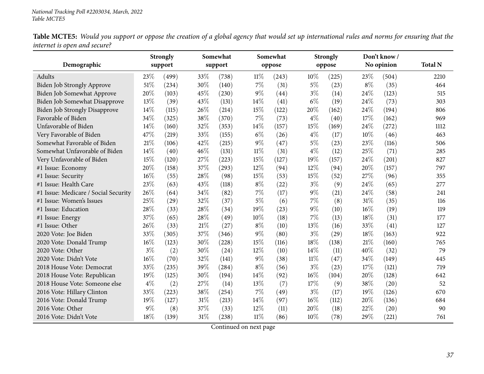Table MCTE5: Would you support or oppose the creation of a global agency that would set up international rules and norms for ensuring that the *internet is open and secure?*

|                                      |        | <b>Strongly</b> |        | Somewhat |        | Somewhat |        | <b>Strongly</b> |       | Don't know/ |                |
|--------------------------------------|--------|-----------------|--------|----------|--------|----------|--------|-----------------|-------|-------------|----------------|
| Demographic                          |        | support         |        | support  |        | oppose   |        | oppose          |       | No opinion  | <b>Total N</b> |
| Adults                               | 23%    | (499)           | 33%    | (738)    | $11\%$ | (243)    | 10%    | (225)           | 23\%  | (504)       | 2210           |
| Biden Job Strongly Approve           | 51%    | (234)           | 30%    | (140)    | $7\%$  | (31)     | 5%     | (23)            | $8\%$ | (35)        | 464            |
| Biden Job Somewhat Approve           | 20%    | (103)           | 45%    | (230)    | $9\%$  | (44)     | $3\%$  | (14)            | 24%   | (123)       | 515            |
| Biden Job Somewhat Disapprove        | 13%    | (39)            | 43%    | (131)    | 14%    | (41)     | $6\%$  | (19)            | 24%   | (73)        | 303            |
| <b>Biden Job Strongly Disapprove</b> | 14%    | (115)           | 26%    | (214)    | 15%    | (122)    | 20%    | (162)           | 24%   | (194)       | 806            |
| Favorable of Biden                   | 34%    | (325)           | 38%    | (370)    | $7\%$  | (73)     | $4\%$  | (40)            | 17\%  | (162)       | 969            |
| Unfavorable of Biden                 | 14\%   | (160)           | 32%    | (353)    | 14%    | (157)    | 15%    | (169)           | 24%   | (272)       | 1112           |
| Very Favorable of Biden              | 47%    | (219)           | 33%    | (155)    | $6\%$  | (26)     | $4\%$  | (17)            | 10%   | (46)        | 463            |
| Somewhat Favorable of Biden          | 21%    | (106)           | 42%    | (215)    | $9\%$  | (47)     | $5\%$  | (23)            | 23%   | (116)       | 506            |
| Somewhat Unfavorable of Biden        | 14%    | (40)            | 46%    | (131)    | $11\%$ | (31)     | $4\%$  | (12)            | 25%   | (71)        | 285            |
| Very Unfavorable of Biden            | 15%    | (120)           | 27%    | (223)    | 15%    | (127)    | 19%    | (157)           | 24%   | (201)       | 827            |
| #1 Issue: Economy                    | 20%    | (158)           | 37%    | (293)    | 12%    | (94)     | 12%    | (94)            | 20%   | (157)       | 797            |
| #1 Issue: Security                   | 16%    | (55)            | 28\%   | (98)     | 15%    | (53)     | 15%    | (52)            | 27%   | (96)        | 355            |
| #1 Issue: Health Care                | 23%    | (63)            | 43%    | (118)    | $8\%$  | (22)     | $3\%$  | (9)             | 24%   | (65)        | 277            |
| #1 Issue: Medicare / Social Security | 26%    | (64)            | 34%    | (82)     | 7%     | (17)     | $9\%$  | (21)            | 24%   | (58)        | 241            |
| #1 Issue: Women's Issues             | 25%    | (29)            | 32%    | (37)     | $5\%$  | (6)      | 7%     | (8)             | 31%   | (35)        | 116            |
| #1 Issue: Education                  | 28%    | (33)            | 28%    | (34)     | 19%    | (23)     | 9%     | (10)            | 16%   | (19)        | 119            |
| #1 Issue: Energy                     | 37%    | (65)            | 28%    | (49)     | 10%    | (18)     | 7%     | (13)            | 18%   | (31)        | 177            |
| #1 Issue: Other                      | 26%    | (33)            | 21%    | (27)     | $8\%$  | (10)     | 13%    | (16)            | 33%   | (41)        | 127            |
| 2020 Vote: Joe Biden                 | 33%    | (305)           | 37%    | (346)    | $9\%$  | (80)     | $3\%$  | (29)            | 18%   | (163)       | 922            |
| 2020 Vote: Donald Trump              | $16\%$ | (123)           | 30%    | (228)    | 15%    | (116)    | 18%    | (138)           | 21%   | (160)       | 765            |
| 2020 Vote: Other                     | $3\%$  | (2)             | 30%    | (24)     | 12%    | (10)     | 14%    | (11)            | 40%   | (32)        | 79             |
| 2020 Vote: Didn't Vote               | $16\%$ | (70)            | 32%    | (141)    | $9\%$  | (38)     | $11\%$ | (47)            | 34%   | (149)       | 445            |
| 2018 House Vote: Democrat            | 33%    | (235)           | 39%    | (284)    | $8\%$  | (56)     | $3\%$  | (23)            | 17%   | (121)       | 719            |
| 2018 House Vote: Republican          | 19%    | (125)           | 30%    | (194)    | 14%    | (92)     | 16%    | (104)           | 20%   | (128)       | 642            |
| 2018 House Vote: Someone else        | $4\%$  | (2)             | 27\%   | (14)     | 13%    | (7)      | 17%    | (9)             | 38%   | (20)        | 52             |
| 2016 Vote: Hillary Clinton           | 33%    | (223)           | 38%    | (254)    | 7%     | (49)     | $3\%$  | (17)            | 19%   | (126)       | 670            |
| 2016 Vote: Donald Trump              | 19%    | (127)           | $31\%$ | (213)    | 14%    | (97)     | 16%    | (112)           | 20%   | (136)       | 684            |
| 2016 Vote: Other                     | $9\%$  | (8)             | 37%    | (33)     | 12%    | (11)     | 20%    | (18)            | 22%   | (20)        | 90             |
| 2016 Vote: Didn't Vote               | 18%    | (139)           | $31\%$ | (238)    | $11\%$ | (86)     | 10%    | (78)            | 29%   | (221)       | 761            |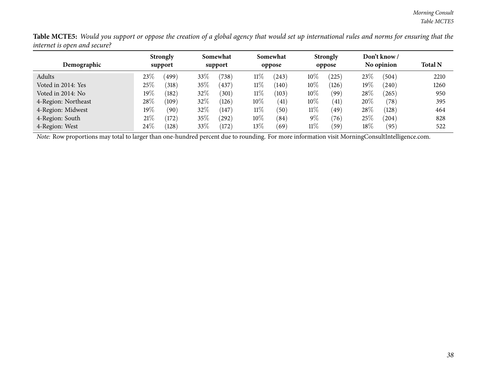Table MCTE5: Would you support or oppose the creation of a global agency that would set up international rules and norms for ensuring that the *internet is open and secure?*

| Demographic         |         | <b>Strongly</b><br>support |      | Somewhat<br>support |        | Somewhat<br>oppose |        | <b>Strongly</b><br>oppose |        | Don't know /<br>No opinion | <b>Total N</b> |
|---------------------|---------|----------------------------|------|---------------------|--------|--------------------|--------|---------------------------|--------|----------------------------|----------------|
| Adults              | $23\%$  | (499)                      | 33\% | (738)               | $11\%$ | (243)              | $10\%$ | (225)                     | 23\%   | (504)                      | 2210           |
| Voted in 2014: Yes  | $25\%$  | (318)                      | 35%  | (437)               | $11\%$ | (140)              | $10\%$ | (126)                     | $19\%$ | (240)                      | 1260           |
| Voted in 2014: No   | $19\%$  | (182)                      | 32%  | (301)               | $11\%$ | (103)              | $10\%$ | (99)                      | 28\%   | $^{(265)}$                 | 950            |
| 4-Region: Northeast | 28%     | (109)                      | 32%  | (126)               | $10\%$ | (41)               | $10\%$ | (41)                      | 20%    | (78)                       | 395            |
| 4-Region: Midwest   | 19 $\%$ | (90)                       | 32%  | (147)               | $11\%$ | (50)               | $11\%$ | (49)                      | $28\%$ | (128)                      | 464            |
| 4-Region: South     | 21%     | (172)                      | 35\% | (292)               | $10\%$ | (84)               | $9\%$  | (76)                      | 25\%   | $^{(204)}$                 | 828            |
| 4-Region: West      | 24\%    | (128)                      | 33\% | (172)               | $13\%$ | (69)               | $11\%$ | (59)                      | $18\%$ | (95)                       | 522            |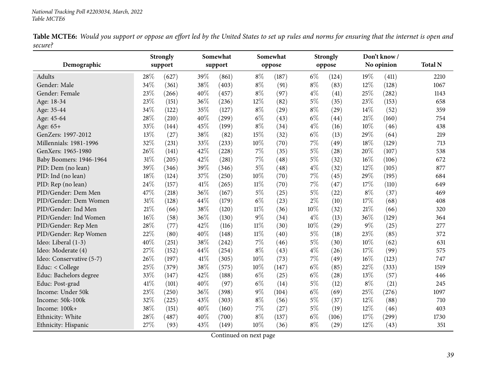Table MCTE6: Would you support or oppose an effort led by the United States to set up rules and norms for ensuring that the internet is open and *secure?*

<span id="page-38-0"></span>

|                          |        | <b>Strongly</b> |      | Somewhat |        | Somewhat |       | <b>Strongly</b> |       | Don't know/ |                |
|--------------------------|--------|-----------------|------|----------|--------|----------|-------|-----------------|-------|-------------|----------------|
| Demographic              |        | support         |      | support  |        | oppose   |       | oppose          |       | No opinion  | <b>Total N</b> |
| Adults                   | 28%    | (627)           | 39%  | (861)    | $8\%$  | (187)    | $6\%$ | (124)           | 19%   | (411)       | 2210           |
| Gender: Male             | 34%    | (361)           | 38%  | (403)    | $8\%$  | (91)     | $8\%$ | (83)            | 12%   | (128)       | 1067           |
| Gender: Female           | 23%    | (266)           | 40%  | (457)    | $8\%$  | (97)     | $4\%$ | (41)            | 25%   | (282)       | 1143           |
| Age: 18-34               | 23%    | (151)           | 36%  | (236)    | 12%    | (82)     | $5\%$ | (35)            | 23%   | (153)       | 658            |
| Age: 35-44               | 34%    | (122)           | 35%  | (127)    | $8\%$  | (29)     | $8\%$ | (29)            | 14%   | (52)        | 359            |
| Age: 45-64               | 28%    | (210)           | 40%  | (299)    | $6\%$  | (43)     | $6\%$ | (44)            | 21%   | (160)       | 754            |
| Age: 65+                 | 33%    | (144)           | 45%  | (199)    | $8\%$  | (34)     | $4\%$ | (16)            | 10%   | (46)        | 438            |
| GenZers: 1997-2012       | 13%    | (27)            | 38%  | (82)     | $15\%$ | (32)     | $6\%$ | (13)            | 29%   | (64)        | 219            |
| Millennials: 1981-1996   | $32\%$ | (231)           | 33%  | (233)    | $10\%$ | (70)     | $7\%$ | (49)            | 18%   | (129)       | 713            |
| GenXers: 1965-1980       | 26%    | (141)           | 42%  | (228)    | 7%     | (35)     | $5\%$ | (28)            | 20%   | (107)       | 538            |
| Baby Boomers: 1946-1964  | 31%    | (205)           | 42%  | (281)    | $7\%$  | (48)     | $5\%$ | (32)            | 16%   | (106)       | 672            |
| PID: Dem (no lean)       | 39%    | (346)           | 39%  | (346)    | $5\%$  | (48)     | $4\%$ | (32)            | 12%   | (105)       | 877            |
| PID: Ind (no lean)       | 18%    | (124)           | 37%  | (250)    | 10%    | (70)     | 7%    | (45)            | 29%   | (195)       | 684            |
| PID: Rep (no lean)       | 24%    | (157)           | 41\% | (265)    | $11\%$ | (70)     | 7%    | (47)            | 17%   | (110)       | 649            |
| PID/Gender: Dem Men      | 47%    | (218)           | 36%  | (167)    | $5\%$  | (25)     | $5\%$ | (22)            | $8\%$ | (37)        | 469            |
| PID/Gender: Dem Women    | $31\%$ | (128)           | 44%  | (179)    | $6\%$  | (23)     | $2\%$ | (10)            | 17%   | (68)        | 408            |
| PID/Gender: Ind Men      | 21\%   | (66)            | 38%  | (120)    | $11\%$ | (36)     | 10%   | (32)            | 21%   | (66)        | 320            |
| PID/Gender: Ind Women    | 16%    | (58)            | 36%  | (130)    | $9\%$  | (34)     | $4\%$ | (13)            | 36%   | (129)       | 364            |
| PID/Gender: Rep Men      | 28%    | (77)            | 42%  | (116)    | $11\%$ | (30)     | 10%   | (29)            | 9%    | (25)        | 277            |
| PID/Gender: Rep Women    | 22%    | (80)            | 40%  | (148)    | $11\%$ | (40)     | $5\%$ | (18)            | 23%   | (85)        | 372            |
| Ideo: Liberal (1-3)      | 40%    | (251)           | 38%  | (242)    | $7\%$  | (46)     | $5\%$ | (30)            | 10%   | (62)        | 631            |
| Ideo: Moderate (4)       | 27%    | (152)           | 44%  | (254)    | $8\%$  | (43)     | $4\%$ | (26)            | 17%   | (99)        | 575            |
| Ideo: Conservative (5-7) | 26%    | (197)           | 41\% | (305)    | 10%    | (73)     | $7\%$ | (49)            | 16%   | (123)       | 747            |
| Educ: < College          | 25%    | (379)           | 38%  | (575)    | 10%    | (147)    | $6\%$ | (85)            | 22%   | (333)       | 1519           |
| Educ: Bachelors degree   | 33%    | (147)           | 42%  | (188)    | $6\%$  | (25)     | $6\%$ | (28)            | 13%   | (57)        | 446            |
| Educ: Post-grad          | 41%    | (101)           | 40%  | (97)     | $6\%$  | (14)     | $5\%$ | (12)            | $8\%$ | (21)        | 245            |
| Income: Under 50k        | 23%    | (250)           | 36%  | (398)    | 9%     | (104)    | $6\%$ | (69)            | 25%   | (276)       | 1097           |
| Income: 50k-100k         | 32%    | (225)           | 43%  | (303)    | $8\%$  | (56)     | $5\%$ | (37)            | 12%   | (88)        | 710            |
| Income: 100k+            | 38%    | (151)           | 40%  | (160)    | 7%     | (27)     | $5\%$ | (19)            | 12%   | (46)        | 403            |
| Ethnicity: White         | 28%    | (487)           | 40%  | (700)    | $8\%$  | (137)    | $6\%$ | (106)           | 17%   | (299)       | 1730           |
| Ethnicity: Hispanic      | 27%    | (93)            | 43%  | (149)    | 10%    | (36)     | $8\%$ | (29)            | 12%   | (43)        | 351            |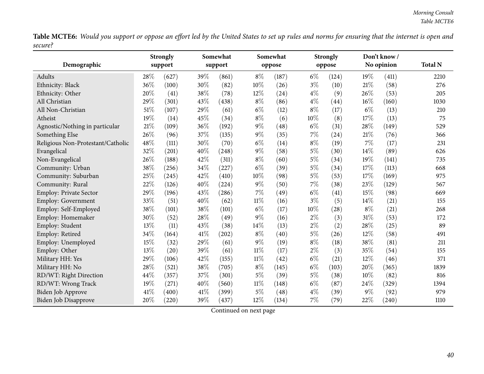Table MCTE6: Would you support or oppose an effort led by the United States to set up rules and norms for ensuring that the internet is open and *secure?* $\overline{\phantom{0}}$ 

| Demographic                       |      | <b>Strongly</b><br>support |        | Somewhat<br>support |        | Somewhat<br>oppose |       | <b>Strongly</b><br>oppose |       | Don't know/<br>No opinion | <b>Total N</b> |
|-----------------------------------|------|----------------------------|--------|---------------------|--------|--------------------|-------|---------------------------|-------|---------------------------|----------------|
| Adults                            | 28%  |                            | 39%    |                     | $8\%$  |                    | $6\%$ |                           | 19%   |                           |                |
|                                   | 36%  | (627)<br>(100)             | 30%    | (861)               | 10%    | (187)              | $3\%$ | (124)                     | 21%   | (411)                     | 2210<br>276    |
| Ethnicity: Black                  |      |                            |        | (82)                |        | (26)               |       | (10)                      |       | (58)                      |                |
| Ethnicity: Other                  | 20%  | (41)                       | 38%    | (78)                | 12%    | (24)               | $4\%$ | (9)                       | 26%   | (53)                      | 205            |
| All Christian                     | 29%  | (301)                      | 43%    | (438)               | $8\%$  | (86)               | $4\%$ | (44)                      | 16%   | (160)                     | 1030           |
| All Non-Christian                 | 51\% | (107)                      | 29%    | (61)                | $6\%$  | (12)               | $8\%$ | (17)                      | $6\%$ | (13)                      | 210            |
| Atheist                           | 19%  | (14)                       | 45%    | (34)                | $8\%$  | (6)                | 10%   | (8)                       | 17%   | (13)                      | 75             |
| Agnostic/Nothing in particular    | 21%  | (109)                      | 36%    | (192)               | $9\%$  | (48)               | $6\%$ | (31)                      | 28%   | (149)                     | 529            |
| Something Else                    | 26%  | (96)                       | 37%    | (135)               | $9\%$  | (35)               | 7%    | (24)                      | 21%   | (76)                      | 366            |
| Religious Non-Protestant/Catholic | 48%  | (111)                      | 30%    | (70)                | $6\%$  | (14)               | $8\%$ | (19)                      | 7%    | (17)                      | 231            |
| Evangelical                       | 32%  | (201)                      | 40%    | (248)               | $9\%$  | (58)               | $5\%$ | (30)                      | 14%   | (89)                      | 626            |
| Non-Evangelical                   | 26%  | (188)                      | 42%    | (311)               | $8\%$  | (60)               | $5\%$ | (34)                      | 19%   | (141)                     | 735            |
| Community: Urban                  | 38%  | (256)                      | 34%    | (227)               | $6\%$  | (39)               | $5\%$ | (34)                      | 17%   | (113)                     | 668            |
| Community: Suburban               | 25%  | (245)                      | 42%    | (410)               | 10%    | (98)               | $5\%$ | (53)                      | 17%   | (169)                     | 975            |
| Community: Rural                  | 22%  | (126)                      | 40%    | (224)               | $9\%$  | (50)               | 7%    | (38)                      | 23%   | (129)                     | 567            |
| <b>Employ: Private Sector</b>     | 29%  | (196)                      | 43%    | (286)               | $7\%$  | (49)               | $6\%$ | (41)                      | 15%   | (98)                      | 669            |
| <b>Employ: Government</b>         | 33%  | (51)                       | 40%    | (62)                | $11\%$ | (16)               | $3\%$ | (5)                       | 14%   | (21)                      | 155            |
| Employ: Self-Employed             | 38%  | (101)                      | 38%    | (101)               | $6\%$  | (17)               | 10%   | (28)                      | $8\%$ | (21)                      | 268            |
| Employ: Homemaker                 | 30%  | (52)                       | 28%    | (49)                | $9\%$  | (16)               | $2\%$ | (3)                       | 31%   | (53)                      | 172            |
| Employ: Student                   | 13%  | (11)                       | 43%    | (38)                | 14%    | (13)               | $2\%$ | (2)                       | 28%   | (25)                      | 89             |
| Employ: Retired                   | 34%  | (164)                      | 41%    | (202)               | $8\%$  | (40)               | $5\%$ | (26)                      | 12%   | (58)                      | 491            |
| Employ: Unemployed                | 15%  | (32)                       | $29\%$ | (61)                | $9\%$  | (19)               | $8\%$ | (18)                      | 38%   | (81)                      | 211            |
| Employ: Other                     | 13%  | (20)                       | 39%    | (61)                | $11\%$ | (17)               | $2\%$ | (3)                       | 35%   | (54)                      | 155            |
| Military HH: Yes                  | 29%  | (106)                      | 42%    | (155)               | $11\%$ | (42)               | $6\%$ | (21)                      | 12%   | (46)                      | 371            |
| Military HH: No                   | 28%  | (521)                      | 38%    | (705)               | $8\%$  | (145)              | $6\%$ | (103)                     | 20%   | (365)                     | 1839           |
| RD/WT: Right Direction            | 44%  | (357)                      | 37%    | (301)               | $5\%$  | (39)               | $5\%$ | (38)                      | 10%   | (82)                      | 816            |
| RD/WT: Wrong Track                | 19%  | (271)                      | 40%    | (560)               | $11\%$ | (148)              | $6\%$ | (87)                      | 24%   | (329)                     | 1394           |
| <b>Biden Job Approve</b>          | 41\% | (400)                      | 41%    | (399)               | $5\%$  | (48)               | $4\%$ | (39)                      | 9%    | (92)                      | 979            |
| <b>Biden Job Disapprove</b>       | 20%  | (220)                      | 39%    | (437)               | 12%    | (134)              | $7\%$ | (79)                      | 22%   | (240)                     | 1110           |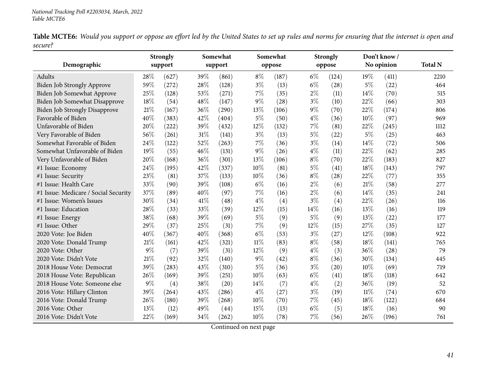Table MCTE6: Would you support or oppose an effort led by the United States to set up rules and norms for ensuring that the internet is open and *secure?*

|                                      |       | <b>Strongly</b>   |      | Somewhat |        | Somewhat |       | <b>Strongly</b> |        | Don't know/ |                |
|--------------------------------------|-------|-------------------|------|----------|--------|----------|-------|-----------------|--------|-------------|----------------|
| Demographic                          |       | support           |      | support  |        | oppose   |       | oppose          |        | No opinion  | <b>Total N</b> |
| Adults                               | 28\%  | (627)             | 39%  | (861)    | $8\%$  | (187)    | $6\%$ | (124)           | 19%    | (411)       | 2210           |
| Biden Job Strongly Approve           | 59%   | (272)             | 28%  | (128)    | $3\%$  | (13)     | $6\%$ | (28)            | $5\%$  | (22)        | 464            |
| Biden Job Somewhat Approve           | 25%   | (128)             | 53%  | (271)    | 7%     | (35)     | $2\%$ | (11)            | 14%    | (70)        | 515            |
| Biden Job Somewhat Disapprove        | 18%   | (54)              | 48%  | (147)    | $9\%$  | (28)     | $3\%$ | (10)            | 22%    | (66)        | 303            |
| <b>Biden Job Strongly Disapprove</b> | 21%   | (167)             | 36%  | (290)    | 13%    | (106)    | $9\%$ | (70)            | 22%    | (174)       | 806            |
| Favorable of Biden                   | 40%   | (383)             | 42%  | (404)    | $5\%$  | (50)     | $4\%$ | (36)            | 10%    | (97)        | 969            |
| Unfavorable of Biden                 | 20%   | (222)             | 39%  | (432)    | 12%    | (132)    | 7%    | (81)            | 22%    | (245)       | 1112           |
| Very Favorable of Biden              | 56%   | (261)             | 31%  | (141)    | $3\%$  | (13)     | $5\%$ | (22)            | 5%     | (25)        | 463            |
| Somewhat Favorable of Biden          | 24%   | (122)             | 52%  | (263)    | 7%     | (36)     | $3\%$ | (14)            | 14%    | (72)        | 506            |
| Somewhat Unfavorable of Biden        | 19%   | (55)              | 46%  | (131)    | $9\%$  | (26)     | 4%    | (11)            | 22%    | (62)        | 285            |
| Very Unfavorable of Biden            | 20%   | (168)             | 36%  | (301)    | 13%    | (106)    | $8\%$ | (70)            | 22%    | (183)       | 827            |
| #1 Issue: Economy                    | 24%   | (195)             | 42%  | (337)    | 10%    | (81)     | $5\%$ | (41)            | 18%    | (143)       | 797            |
| #1 Issue: Security                   | 23%   | (81)              | 37%  | (133)    | 10%    | (36)     | $8\%$ | (28)            | 22%    | (77)        | 355            |
| #1 Issue: Health Care                | 33%   | (90)              | 39%  | (108)    | $6\%$  | (16)     | $2\%$ | (6)             | 21%    | (58)        | 277            |
| #1 Issue: Medicare / Social Security | 37%   | (89)              | 40%  | (97)     | 7%     | (16)     | 2%    | (6)             | 14%    | (35)        | 241            |
| #1 Issue: Women's Issues             | 30%   | (34)              | 41\% | (48)     | $4\%$  | (4)      | $3\%$ | (4)             | 22%    | (26)        | 116            |
| #1 Issue: Education                  | 28%   | (33)              | 33%  | (39)     | 12%    | (15)     | 14%   | (16)            | 13%    | (16)        | 119            |
| #1 Issue: Energy                     | 38%   | (68)              | 39%  | (69)     | $5\%$  | (9)      | 5%    | (9)             | 13%    | (22)        | 177            |
| #1 Issue: Other                      | 29%   | (37)              | 25%  | (31)     | $7\%$  | (9)      | 12%   | (15)            | 27%    | (35)        | 127            |
| 2020 Vote: Joe Biden                 | 40%   | (367)             | 40%  | (368)    | $6\%$  | (53)     | $3\%$ | (27)            | 12%    | (108)       | 922            |
| 2020 Vote: Donald Trump              | 21%   | (161)             | 42%  | (321)    | $11\%$ | (83)     | $8\%$ | (58)            | 18%    | (141)       | 765            |
| 2020 Vote: Other                     | $9\%$ | (7)               | 39%  | (31)     | 12%    | (9)      | $4\%$ | (3)             | 36%    | (28)        | 79             |
| 2020 Vote: Didn't Vote               | 21%   | (92)              | 32%  | (140)    | $9\%$  | (42)     | $8\%$ | (36)            | 30%    | (134)       | 445            |
| 2018 House Vote: Democrat            | 39%   | (283)             | 43\% | (310)    | $5\%$  | (36)     | $3\%$ | (20)            | 10%    | (69)        | 719            |
| 2018 House Vote: Republican          | 26%   | (169)             | 39%  | (251)    | 10%    | (63)     | $6\%$ | (41)            | 18%    | (118)       | 642            |
| 2018 House Vote: Someone else        | $9\%$ | $\left( 4\right)$ | 38%  | (20)     | 14%    | (7)      | $4\%$ | (2)             | 36%    | (19)        | 52             |
| 2016 Vote: Hillary Clinton           | 39%   | (264)             | 43%  | (286)    | $4\%$  | (27)     | $3\%$ | (19)            | $11\%$ | (74)        | 670            |
| 2016 Vote: Donald Trump              | 26%   | (180)             | 39%  | (268)    | 10%    | (70)     | 7%    | (45)            | 18%    | (122)       | 684            |
| 2016 Vote: Other                     | 13%   | (12)              | 49%  | (44)     | 15%    | (13)     | $6\%$ | (5)             | 18%    | (16)        | 90             |
| 2016 Vote: Didn't Vote               | 22%   | (169)             | 34%  | (262)    | 10%    | (78)     | 7%    | (56)            | 26%    | (196)       | 761            |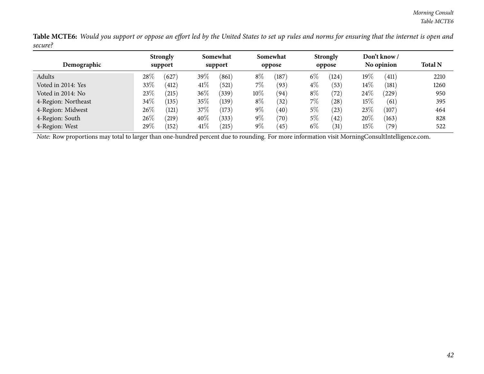Table MCTE6: Would you support or oppose an effort led by the United States to set up rules and norms for ensuring that the internet is open and *secure?*

|                     |        | <b>Strongly</b> |        | Somewhat |        | Somewhat       |       | <b>Strongly</b> |        | Don't know / |                |
|---------------------|--------|-----------------|--------|----------|--------|----------------|-------|-----------------|--------|--------------|----------------|
| Demographic         |        | support         |        | support  |        | oppose         |       | oppose          |        | No opinion   | <b>Total N</b> |
| Adults              | 28\%   | (627)           | 39\%   | (861)    | $8\%$  | 187            | $6\%$ | (124)           | $19\%$ | (411)        | 2210           |
| Voted in 2014: Yes  | 33%    | (412)           | 41\%   | (521)    | $7\%$  | (93)           | $4\%$ | (53)            | $14\%$ | (181)        | 1260           |
| Voted in 2014: No   | 23\%   | (215)           | $36\%$ | 339)     | $10\%$ | (94)           | $8\%$ | (72)            | 24\%   | $^{'}229)$   | 950            |
| 4-Region: Northeast | $34\%$ | (135)           | $35\%$ | (139)    | $8\%$  | (32)           | $7\%$ | (28)            | $15\%$ | (61)         | 395            |
| 4-Region: Midwest   | $26\%$ | (121)           | 37\%   | (173)    | $9\%$  | (40)           | $5\%$ | (23)            | 23\%   | (107)        | 464            |
| 4-Region: South     | $26\%$ | (219)           | $40\%$ | (333)    | $9\%$  | $^{\prime}70)$ | $5\%$ | (42)            | 20%    | (163)        | 828            |
| 4-Region: West      | 29%    | (152)           | 41\%   | 215      | $9\%$  | (45)           | $6\%$ | $^{\prime}31)$  | $15\%$ | (79)         | 522            |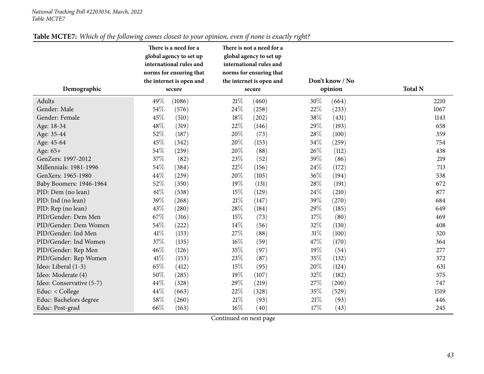| Table MCTE7: Which of the following comes closest to your opinion, even if none is exactly right? |
|---------------------------------------------------------------------------------------------------|
|---------------------------------------------------------------------------------------------------|

<span id="page-42-0"></span>

|                          |        | There is a need for a    |        | There is not a need for a |                 |       |                |
|--------------------------|--------|--------------------------|--------|---------------------------|-----------------|-------|----------------|
|                          |        | global agency to set up  |        | global agency to set up   |                 |       |                |
|                          |        | international rules and  |        | international rules and   |                 |       |                |
|                          |        | norms for ensuring that  |        | norms for ensuring that   |                 |       |                |
|                          |        | the internet is open and |        | the internet is open and  | Don't know / No |       | <b>Total N</b> |
| Demographic              |        | secure                   | secure |                           | opinion         |       |                |
| Adults                   | 49%    | (1086)                   | $21\%$ | (460)                     | 30%             | (664) | 2210           |
| Gender: Male             | 54%    | (576)                    | 24\%   | (258)                     | 22%             | (233) | 1067           |
| Gender: Female           | 45%    | (510)                    | 18%    | (202)                     | 38%             | (431) | 1143           |
| Age: 18-34               | 48%    | (319)                    | 22%    | (146)                     | 29%             | (193) | 658            |
| Age: 35-44               | 52%    | (187)                    | 20%    | (73)                      | 28\%            | (100) | 359            |
| Age: 45-64               | 45%    | (342)                    | 20%    | (153)                     | 34%             | (259) | 754            |
| Age: 65+                 | 54%    | (239)                    | 20%    | (88)                      | 26%             | (112) | 438            |
| GenZers: 1997-2012       | 37%    | (82)                     | 23%    | (52)                      | 39%             | (86)  | 219            |
| Millennials: 1981-1996   | 54%    | (384)                    | 22%    | (156)                     | 24\%            | (172) | 713            |
| GenXers: 1965-1980       | 44%    | (239)                    | 20%    | (105)                     | 36%             | (194) | 538            |
| Baby Boomers: 1946-1964  | 52%    | (350)                    | 19%    | (131)                     | 28\%            | (191) | 672            |
| PID: Dem (no lean)       | $61\%$ | (538)                    | 15%    | (129)                     | 24%             | (210) | 877            |
| PID: Ind (no lean)       | 39%    | (268)                    | $21\%$ | (147)                     | 39%             | (270) | 684            |
| PID: Rep (no lean)       | 43%    | (280)                    | 28\%   | (184)                     | 29%             | (185) | 649            |
| PID/Gender: Dem Men      | 67%    | (316)                    | 15%    | (73)                      | 17%             | (80)  | 469            |
| PID/Gender: Dem Women    | 54%    | (222)                    | 14\%   | (56)                      | 32%             | (130) | 408            |
| PID/Gender: Ind Men      | 41\%   | (133)                    | 27\%   | (88)                      | $31\%$          | (100) | 320            |
| PID/Gender: Ind Women    | 37%    | (135)                    | $16\%$ | (59)                      | 47%             | (170) | 364            |
| PID/Gender: Rep Men      | 46%    | (126)                    | 35%    | (97)                      | 19%             | (54)  | 277            |
| PID/Gender: Rep Women    | 41\%   | (153)                    | 23%    | (87)                      | 35%             | (132) | 372            |
| Ideo: Liberal (1-3)      | 65%    | (412)                    | 15%    | (95)                      | 20%             | (124) | 631            |
| Ideo: Moderate (4)       | 50%    | (285)                    | 19%    | (107)                     | 32%             | (182) | 575            |
| Ideo: Conservative (5-7) | 44\%   | (328)                    | 29%    | (219)                     | 27%             | (200) | 747            |
| Educ: < College          | 44\%   | (663)                    | 22%    | (328)                     | 35%             | (529) | 1519           |
| Educ: Bachelors degree   | 58%    | (260)                    | $21\%$ | (93)                      | $21\%$          | (93)  | 446            |
| Educ: Post-grad          | 66%    | (163)                    | $16\%$ | (40)                      | 17%             | (43)  | 245            |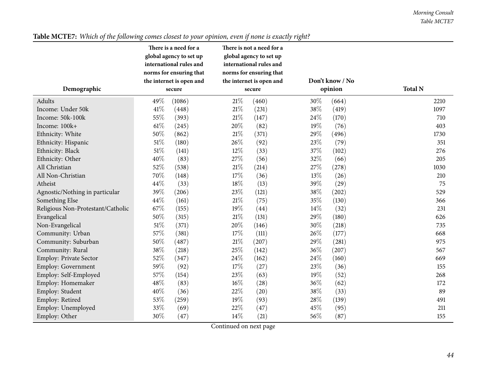| global agency to set up<br>global agency to set up<br>international rules and<br>international rules and<br>norms for ensuring that<br>norms for ensuring that<br>Don't know / No<br>the internet is open and<br>the internet is open and<br><b>Total N</b><br>Demographic<br>opinion<br>secure<br>secure<br>30%<br>49%<br>21%<br>Adults<br>(1086)<br>(460)<br>2210<br>(664)<br>41%<br>$21\%$<br>38%<br>Income: Under 50k<br>(231)<br>(419)<br>1097<br>(448)<br>55%<br>Income: 50k-100k<br>21%<br>24\%<br>(393)<br>(147)<br>(170)<br>710<br>$61\%$<br>20%<br>19%<br>Income: 100k+<br>(245)<br>(82)<br>(76)<br>403<br>50%<br>$21\%$<br>29%<br>(371)<br>(496)<br>1730<br>Ethnicity: White<br>(862)<br>$51\%$<br>26\%<br>23%<br>(180)<br>(79)<br>(92)<br>351<br>Ethnicity: Hispanic<br>$51\%$<br>12%<br>37%<br>Ethnicity: Black<br>(141)<br>(33)<br>(102)<br>276<br>40%<br>27%<br>32%<br>Ethnicity: Other<br>(83)<br>(66)<br>205<br>(56)<br>52%<br>$21\%$<br>27%<br>All Christian<br>(538)<br>1030<br>(214)<br>(278)<br>70%<br>17%<br>13%<br>All Non-Christian<br>(148)<br>(36)<br>(26)<br>210<br>44%<br>18%<br>(13)<br>39%<br>Atheist<br>(33)<br>(29)<br>75<br>39%<br>23%<br>38%<br>Agnostic/Nothing in particular<br>(206)<br>(202)<br>529<br>(121)<br>44%<br>$21\%$<br>35%<br>Something Else<br>(161)<br>(75)<br>(130)<br>366<br>67%<br>19%<br>14\%<br>Religious Non-Protestant/Catholic<br>(155)<br>(44)<br>(32)<br>231<br>50%<br>$21\%$<br>29%<br>(315)<br>(131)<br>Evangelical<br>(180)<br>626<br>$51\%$<br>20%<br>30%<br>Non-Evangelical<br>(371)<br>(218)<br>(146)<br>735<br>57%<br>17%<br>26%<br>(381)<br>(177)<br>Community: Urban<br>(111)<br>668<br>50%<br>$21\%$<br>29%<br>Community: Suburban<br>(487)<br>975<br>(207)<br>(281)<br>38%<br>25%<br>36%<br>Community: Rural<br>(142)<br>567<br>(218)<br>(207)<br>52%<br>24\%<br>24%<br>Employ: Private Sector<br>(347)<br>(162)<br>(160)<br>669<br>59%<br>17%<br>23%<br>Employ: Government<br>(92)<br>(27)<br>(36)<br>155<br>57%<br>23%<br>19%<br>Employ: Self-Employed<br>(154)<br>(63)<br>(52)<br>268<br>48%<br>$16\%$<br>36%<br>Employ: Homemaker<br>(83)<br>(28)<br>(62)<br>172<br>40%<br>22%<br>38%<br>Employ: Student<br>89<br>(36)<br>(20)<br>(33)<br>53%<br>19%<br>28\%<br>Employ: Retired<br>(259)<br>(93)<br>(139)<br>491<br>33%<br>22%<br>45%<br>Employ: Unemployed<br>(69)<br>(47)<br>(95)<br>211<br>14\%<br>30%<br>56%<br>Employ: Other<br>(47)<br>(21)<br>(87)<br>155<br>$Contimed$ and not now |  | There is a need for a | There is not a need for a |  |  |  |  |
|-----------------------------------------------------------------------------------------------------------------------------------------------------------------------------------------------------------------------------------------------------------------------------------------------------------------------------------------------------------------------------------------------------------------------------------------------------------------------------------------------------------------------------------------------------------------------------------------------------------------------------------------------------------------------------------------------------------------------------------------------------------------------------------------------------------------------------------------------------------------------------------------------------------------------------------------------------------------------------------------------------------------------------------------------------------------------------------------------------------------------------------------------------------------------------------------------------------------------------------------------------------------------------------------------------------------------------------------------------------------------------------------------------------------------------------------------------------------------------------------------------------------------------------------------------------------------------------------------------------------------------------------------------------------------------------------------------------------------------------------------------------------------------------------------------------------------------------------------------------------------------------------------------------------------------------------------------------------------------------------------------------------------------------------------------------------------------------------------------------------------------------------------------------------------------------------------------------------------------------------------------------------------------------------------------------------------------------------------------------------------------------------------------------------------------------------------------------------------|--|-----------------------|---------------------------|--|--|--|--|
|                                                                                                                                                                                                                                                                                                                                                                                                                                                                                                                                                                                                                                                                                                                                                                                                                                                                                                                                                                                                                                                                                                                                                                                                                                                                                                                                                                                                                                                                                                                                                                                                                                                                                                                                                                                                                                                                                                                                                                                                                                                                                                                                                                                                                                                                                                                                                                                                                                                                       |  |                       |                           |  |  |  |  |
|                                                                                                                                                                                                                                                                                                                                                                                                                                                                                                                                                                                                                                                                                                                                                                                                                                                                                                                                                                                                                                                                                                                                                                                                                                                                                                                                                                                                                                                                                                                                                                                                                                                                                                                                                                                                                                                                                                                                                                                                                                                                                                                                                                                                                                                                                                                                                                                                                                                                       |  |                       |                           |  |  |  |  |
|                                                                                                                                                                                                                                                                                                                                                                                                                                                                                                                                                                                                                                                                                                                                                                                                                                                                                                                                                                                                                                                                                                                                                                                                                                                                                                                                                                                                                                                                                                                                                                                                                                                                                                                                                                                                                                                                                                                                                                                                                                                                                                                                                                                                                                                                                                                                                                                                                                                                       |  |                       |                           |  |  |  |  |
|                                                                                                                                                                                                                                                                                                                                                                                                                                                                                                                                                                                                                                                                                                                                                                                                                                                                                                                                                                                                                                                                                                                                                                                                                                                                                                                                                                                                                                                                                                                                                                                                                                                                                                                                                                                                                                                                                                                                                                                                                                                                                                                                                                                                                                                                                                                                                                                                                                                                       |  |                       |                           |  |  |  |  |
|                                                                                                                                                                                                                                                                                                                                                                                                                                                                                                                                                                                                                                                                                                                                                                                                                                                                                                                                                                                                                                                                                                                                                                                                                                                                                                                                                                                                                                                                                                                                                                                                                                                                                                                                                                                                                                                                                                                                                                                                                                                                                                                                                                                                                                                                                                                                                                                                                                                                       |  |                       |                           |  |  |  |  |
|                                                                                                                                                                                                                                                                                                                                                                                                                                                                                                                                                                                                                                                                                                                                                                                                                                                                                                                                                                                                                                                                                                                                                                                                                                                                                                                                                                                                                                                                                                                                                                                                                                                                                                                                                                                                                                                                                                                                                                                                                                                                                                                                                                                                                                                                                                                                                                                                                                                                       |  |                       |                           |  |  |  |  |
|                                                                                                                                                                                                                                                                                                                                                                                                                                                                                                                                                                                                                                                                                                                                                                                                                                                                                                                                                                                                                                                                                                                                                                                                                                                                                                                                                                                                                                                                                                                                                                                                                                                                                                                                                                                                                                                                                                                                                                                                                                                                                                                                                                                                                                                                                                                                                                                                                                                                       |  |                       |                           |  |  |  |  |
|                                                                                                                                                                                                                                                                                                                                                                                                                                                                                                                                                                                                                                                                                                                                                                                                                                                                                                                                                                                                                                                                                                                                                                                                                                                                                                                                                                                                                                                                                                                                                                                                                                                                                                                                                                                                                                                                                                                                                                                                                                                                                                                                                                                                                                                                                                                                                                                                                                                                       |  |                       |                           |  |  |  |  |
|                                                                                                                                                                                                                                                                                                                                                                                                                                                                                                                                                                                                                                                                                                                                                                                                                                                                                                                                                                                                                                                                                                                                                                                                                                                                                                                                                                                                                                                                                                                                                                                                                                                                                                                                                                                                                                                                                                                                                                                                                                                                                                                                                                                                                                                                                                                                                                                                                                                                       |  |                       |                           |  |  |  |  |
|                                                                                                                                                                                                                                                                                                                                                                                                                                                                                                                                                                                                                                                                                                                                                                                                                                                                                                                                                                                                                                                                                                                                                                                                                                                                                                                                                                                                                                                                                                                                                                                                                                                                                                                                                                                                                                                                                                                                                                                                                                                                                                                                                                                                                                                                                                                                                                                                                                                                       |  |                       |                           |  |  |  |  |
|                                                                                                                                                                                                                                                                                                                                                                                                                                                                                                                                                                                                                                                                                                                                                                                                                                                                                                                                                                                                                                                                                                                                                                                                                                                                                                                                                                                                                                                                                                                                                                                                                                                                                                                                                                                                                                                                                                                                                                                                                                                                                                                                                                                                                                                                                                                                                                                                                                                                       |  |                       |                           |  |  |  |  |
|                                                                                                                                                                                                                                                                                                                                                                                                                                                                                                                                                                                                                                                                                                                                                                                                                                                                                                                                                                                                                                                                                                                                                                                                                                                                                                                                                                                                                                                                                                                                                                                                                                                                                                                                                                                                                                                                                                                                                                                                                                                                                                                                                                                                                                                                                                                                                                                                                                                                       |  |                       |                           |  |  |  |  |
|                                                                                                                                                                                                                                                                                                                                                                                                                                                                                                                                                                                                                                                                                                                                                                                                                                                                                                                                                                                                                                                                                                                                                                                                                                                                                                                                                                                                                                                                                                                                                                                                                                                                                                                                                                                                                                                                                                                                                                                                                                                                                                                                                                                                                                                                                                                                                                                                                                                                       |  |                       |                           |  |  |  |  |
|                                                                                                                                                                                                                                                                                                                                                                                                                                                                                                                                                                                                                                                                                                                                                                                                                                                                                                                                                                                                                                                                                                                                                                                                                                                                                                                                                                                                                                                                                                                                                                                                                                                                                                                                                                                                                                                                                                                                                                                                                                                                                                                                                                                                                                                                                                                                                                                                                                                                       |  |                       |                           |  |  |  |  |
|                                                                                                                                                                                                                                                                                                                                                                                                                                                                                                                                                                                                                                                                                                                                                                                                                                                                                                                                                                                                                                                                                                                                                                                                                                                                                                                                                                                                                                                                                                                                                                                                                                                                                                                                                                                                                                                                                                                                                                                                                                                                                                                                                                                                                                                                                                                                                                                                                                                                       |  |                       |                           |  |  |  |  |
|                                                                                                                                                                                                                                                                                                                                                                                                                                                                                                                                                                                                                                                                                                                                                                                                                                                                                                                                                                                                                                                                                                                                                                                                                                                                                                                                                                                                                                                                                                                                                                                                                                                                                                                                                                                                                                                                                                                                                                                                                                                                                                                                                                                                                                                                                                                                                                                                                                                                       |  |                       |                           |  |  |  |  |
|                                                                                                                                                                                                                                                                                                                                                                                                                                                                                                                                                                                                                                                                                                                                                                                                                                                                                                                                                                                                                                                                                                                                                                                                                                                                                                                                                                                                                                                                                                                                                                                                                                                                                                                                                                                                                                                                                                                                                                                                                                                                                                                                                                                                                                                                                                                                                                                                                                                                       |  |                       |                           |  |  |  |  |
|                                                                                                                                                                                                                                                                                                                                                                                                                                                                                                                                                                                                                                                                                                                                                                                                                                                                                                                                                                                                                                                                                                                                                                                                                                                                                                                                                                                                                                                                                                                                                                                                                                                                                                                                                                                                                                                                                                                                                                                                                                                                                                                                                                                                                                                                                                                                                                                                                                                                       |  |                       |                           |  |  |  |  |
|                                                                                                                                                                                                                                                                                                                                                                                                                                                                                                                                                                                                                                                                                                                                                                                                                                                                                                                                                                                                                                                                                                                                                                                                                                                                                                                                                                                                                                                                                                                                                                                                                                                                                                                                                                                                                                                                                                                                                                                                                                                                                                                                                                                                                                                                                                                                                                                                                                                                       |  |                       |                           |  |  |  |  |
|                                                                                                                                                                                                                                                                                                                                                                                                                                                                                                                                                                                                                                                                                                                                                                                                                                                                                                                                                                                                                                                                                                                                                                                                                                                                                                                                                                                                                                                                                                                                                                                                                                                                                                                                                                                                                                                                                                                                                                                                                                                                                                                                                                                                                                                                                                                                                                                                                                                                       |  |                       |                           |  |  |  |  |
|                                                                                                                                                                                                                                                                                                                                                                                                                                                                                                                                                                                                                                                                                                                                                                                                                                                                                                                                                                                                                                                                                                                                                                                                                                                                                                                                                                                                                                                                                                                                                                                                                                                                                                                                                                                                                                                                                                                                                                                                                                                                                                                                                                                                                                                                                                                                                                                                                                                                       |  |                       |                           |  |  |  |  |
|                                                                                                                                                                                                                                                                                                                                                                                                                                                                                                                                                                                                                                                                                                                                                                                                                                                                                                                                                                                                                                                                                                                                                                                                                                                                                                                                                                                                                                                                                                                                                                                                                                                                                                                                                                                                                                                                                                                                                                                                                                                                                                                                                                                                                                                                                                                                                                                                                                                                       |  |                       |                           |  |  |  |  |
|                                                                                                                                                                                                                                                                                                                                                                                                                                                                                                                                                                                                                                                                                                                                                                                                                                                                                                                                                                                                                                                                                                                                                                                                                                                                                                                                                                                                                                                                                                                                                                                                                                                                                                                                                                                                                                                                                                                                                                                                                                                                                                                                                                                                                                                                                                                                                                                                                                                                       |  |                       |                           |  |  |  |  |
|                                                                                                                                                                                                                                                                                                                                                                                                                                                                                                                                                                                                                                                                                                                                                                                                                                                                                                                                                                                                                                                                                                                                                                                                                                                                                                                                                                                                                                                                                                                                                                                                                                                                                                                                                                                                                                                                                                                                                                                                                                                                                                                                                                                                                                                                                                                                                                                                                                                                       |  |                       |                           |  |  |  |  |
|                                                                                                                                                                                                                                                                                                                                                                                                                                                                                                                                                                                                                                                                                                                                                                                                                                                                                                                                                                                                                                                                                                                                                                                                                                                                                                                                                                                                                                                                                                                                                                                                                                                                                                                                                                                                                                                                                                                                                                                                                                                                                                                                                                                                                                                                                                                                                                                                                                                                       |  |                       |                           |  |  |  |  |
|                                                                                                                                                                                                                                                                                                                                                                                                                                                                                                                                                                                                                                                                                                                                                                                                                                                                                                                                                                                                                                                                                                                                                                                                                                                                                                                                                                                                                                                                                                                                                                                                                                                                                                                                                                                                                                                                                                                                                                                                                                                                                                                                                                                                                                                                                                                                                                                                                                                                       |  |                       |                           |  |  |  |  |
|                                                                                                                                                                                                                                                                                                                                                                                                                                                                                                                                                                                                                                                                                                                                                                                                                                                                                                                                                                                                                                                                                                                                                                                                                                                                                                                                                                                                                                                                                                                                                                                                                                                                                                                                                                                                                                                                                                                                                                                                                                                                                                                                                                                                                                                                                                                                                                                                                                                                       |  |                       |                           |  |  |  |  |
|                                                                                                                                                                                                                                                                                                                                                                                                                                                                                                                                                                                                                                                                                                                                                                                                                                                                                                                                                                                                                                                                                                                                                                                                                                                                                                                                                                                                                                                                                                                                                                                                                                                                                                                                                                                                                                                                                                                                                                                                                                                                                                                                                                                                                                                                                                                                                                                                                                                                       |  |                       |                           |  |  |  |  |
|                                                                                                                                                                                                                                                                                                                                                                                                                                                                                                                                                                                                                                                                                                                                                                                                                                                                                                                                                                                                                                                                                                                                                                                                                                                                                                                                                                                                                                                                                                                                                                                                                                                                                                                                                                                                                                                                                                                                                                                                                                                                                                                                                                                                                                                                                                                                                                                                                                                                       |  |                       |                           |  |  |  |  |
|                                                                                                                                                                                                                                                                                                                                                                                                                                                                                                                                                                                                                                                                                                                                                                                                                                                                                                                                                                                                                                                                                                                                                                                                                                                                                                                                                                                                                                                                                                                                                                                                                                                                                                                                                                                                                                                                                                                                                                                                                                                                                                                                                                                                                                                                                                                                                                                                                                                                       |  |                       |                           |  |  |  |  |
|                                                                                                                                                                                                                                                                                                                                                                                                                                                                                                                                                                                                                                                                                                                                                                                                                                                                                                                                                                                                                                                                                                                                                                                                                                                                                                                                                                                                                                                                                                                                                                                                                                                                                                                                                                                                                                                                                                                                                                                                                                                                                                                                                                                                                                                                                                                                                                                                                                                                       |  |                       |                           |  |  |  |  |
|                                                                                                                                                                                                                                                                                                                                                                                                                                                                                                                                                                                                                                                                                                                                                                                                                                                                                                                                                                                                                                                                                                                                                                                                                                                                                                                                                                                                                                                                                                                                                                                                                                                                                                                                                                                                                                                                                                                                                                                                                                                                                                                                                                                                                                                                                                                                                                                                                                                                       |  |                       |                           |  |  |  |  |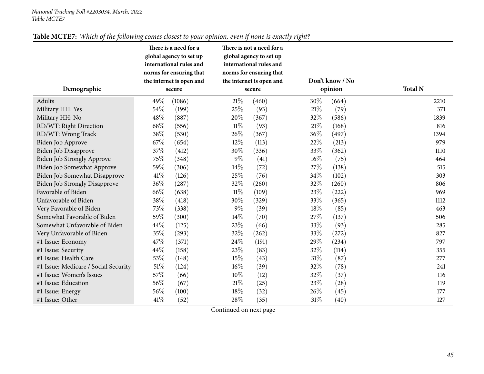| Demographic                          | There is a need for a<br>global agency to set up<br>international rules and<br>norms for ensuring that<br>the internet is open and<br>secure |        |        | There is not a need for a<br>global agency to set up<br>international rules and<br>norms for ensuring that<br>the internet is open and<br>secure |        | Don't know / No<br>opinion | <b>Total N</b> |
|--------------------------------------|----------------------------------------------------------------------------------------------------------------------------------------------|--------|--------|--------------------------------------------------------------------------------------------------------------------------------------------------|--------|----------------------------|----------------|
| Adults                               | 49%                                                                                                                                          | (1086) | 21\%   | (460)                                                                                                                                            | 30%    | (664)                      | 2210           |
| Military HH: Yes                     | 54%                                                                                                                                          | (199)  | 25%    | (93)                                                                                                                                             | $21\%$ | (79)                       | 371            |
| Military HH: No                      | 48%                                                                                                                                          | (887)  | 20%    | (367)                                                                                                                                            | 32%    | (586)                      | 1839           |
| RD/WT: Right Direction               | 68\%                                                                                                                                         | (556)  | 11%    | (93)                                                                                                                                             | 21%    | (168)                      | 816            |
| RD/WT: Wrong Track                   | 38%                                                                                                                                          | (530)  | 26%    | (367)                                                                                                                                            | 36%    | (497)                      | 1394           |
| Biden Job Approve                    | 67%                                                                                                                                          | (654)  | $12\%$ | (113)                                                                                                                                            | 22%    | (213)                      | 979            |
| <b>Biden Job Disapprove</b>          | 37%                                                                                                                                          | (412)  | 30%    | (336)                                                                                                                                            | 33%    | (362)                      | 1110           |
| <b>Biden Job Strongly Approve</b>    | 75%                                                                                                                                          | (348)  | $9\%$  | (41)                                                                                                                                             | $16\%$ | (75)                       | 464            |
| Biden Job Somewhat Approve           | 59%                                                                                                                                          | (306)  | 14\%   | (72)                                                                                                                                             | 27%    | (138)                      | 515            |
| Biden Job Somewhat Disapprove        | 41\%                                                                                                                                         | (126)  | 25%    | (76)                                                                                                                                             | 34%    | (102)                      | 303            |
| <b>Biden Job Strongly Disapprove</b> | 36%                                                                                                                                          | (287)  | 32%    | (260)                                                                                                                                            | 32%    | (260)                      | 806            |
| Favorable of Biden                   | 66%                                                                                                                                          | (638)  | $11\%$ | (109)                                                                                                                                            | $23\%$ | (222)                      | 969            |
| Unfavorable of Biden                 | 38%                                                                                                                                          | (418)  | 30%    | (329)                                                                                                                                            | 33%    | (365)                      | 1112           |
| Very Favorable of Biden              | 73%                                                                                                                                          | (338)  | $9\%$  | (39)                                                                                                                                             | 18%    | (85)                       | 463            |
| Somewhat Favorable of Biden          | 59%                                                                                                                                          | (300)  | 14\%   | (70)                                                                                                                                             | 27%    | (137)                      | 506            |
| Somewhat Unfavorable of Biden        | 44%                                                                                                                                          | (125)  | 23%    | (66)                                                                                                                                             | 33%    | (93)                       | 285            |
| Very Unfavorable of Biden            | 35%                                                                                                                                          | (293)  | 32%    | (262)                                                                                                                                            | 33%    | (272)                      | 827            |
| #1 Issue: Economy                    | 47%                                                                                                                                          | (371)  | 24\%   | (191)                                                                                                                                            | 29%    | (234)                      | 797            |
| #1 Issue: Security                   | 44%                                                                                                                                          | (158)  | 23%    | (83)                                                                                                                                             | 32%    | (114)                      | 355            |
| #1 Issue: Health Care                | 53%                                                                                                                                          | (148)  | 15%    | (43)                                                                                                                                             | $31\%$ | (87)                       | 277            |
| #1 Issue: Medicare / Social Security | 51%                                                                                                                                          | (124)  | $16\%$ | (39)                                                                                                                                             | 32%    | (78)                       | 241            |
| #1 Issue: Women's Issues             | 57%                                                                                                                                          | (66)   | $10\%$ | (12)                                                                                                                                             | 32%    | (37)                       | 116            |
| #1 Issue: Education                  | 56%                                                                                                                                          | (67)   | $21\%$ | (25)                                                                                                                                             | 23%    | (28)                       | 119            |
| #1 Issue: Energy                     | 56%                                                                                                                                          | (100)  | 18%    | (32)                                                                                                                                             | 26\%   | (45)                       | 177            |
| #1 Issue: Other                      | 41\%                                                                                                                                         | (52)   | 28%    | (35)                                                                                                                                             | $31\%$ | (40)                       | 127            |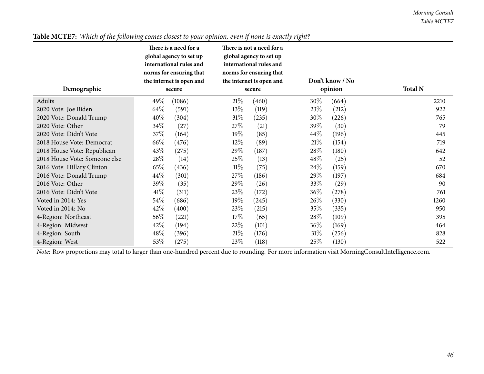|                               | There is a need for a<br>global agency to set up<br>international rules and<br>norms for ensuring that<br>the internet is open and | There is not a need for a<br>global agency to set up<br>international rules and<br>norms for ensuring that<br>the internet is open and | Don't know / No |                |
|-------------------------------|------------------------------------------------------------------------------------------------------------------------------------|----------------------------------------------------------------------------------------------------------------------------------------|-----------------|----------------|
| Demographic                   | secure                                                                                                                             | secure                                                                                                                                 | opinion         | <b>Total N</b> |
| Adults                        | 49\%<br>(1086)                                                                                                                     | 21%<br>(460)                                                                                                                           | $30\%$<br>(664) | 2210           |
| 2020 Vote: Joe Biden          | 64\%<br>(591)                                                                                                                      | 13\%<br>(119)                                                                                                                          | 23\%<br>(212)   | 922            |
| 2020 Vote: Donald Trump       | 40%<br>(304)                                                                                                                       | $31\%$<br>(235)                                                                                                                        | 30\%<br>(226)   | 765            |
| 2020 Vote: Other              | 34\%<br>(27)                                                                                                                       | 27\%<br>(21)                                                                                                                           | $39\%$<br>(30)  | 79             |
| 2020 Vote: Didn't Vote        | 37\%<br>(164)                                                                                                                      | $19\%$<br>(85)                                                                                                                         | 44\%<br>(196)   | 445            |
| 2018 House Vote: Democrat     | 66\%<br>(476)                                                                                                                      | $12\%$<br>(89)                                                                                                                         | 21%<br>(154)    | 719            |
| 2018 House Vote: Republican   | 43\%<br>(275)                                                                                                                      | 29\%<br>(187)                                                                                                                          | 28\%<br>(180)   | 642            |
| 2018 House Vote: Someone else | $28\%$<br>(14)                                                                                                                     | 25\%<br>(13)                                                                                                                           | $48\%$<br>(25)  | 52             |
| 2016 Vote: Hillary Clinton    | $65\%$<br>(436)                                                                                                                    | $11\%$<br>(75)                                                                                                                         | 24\%<br>(159)   | 670            |
| 2016 Vote: Donald Trump       | $44\%$<br>(301)                                                                                                                    | 27\%<br>(186)                                                                                                                          | $29\%$<br>(197) | 684            |
| 2016 Vote: Other              | 39\%<br>(35)                                                                                                                       | 29\%<br>(26)                                                                                                                           | 33\%<br>(29)    | 90             |
| 2016 Vote: Didn't Vote        | 41\%<br>(311)                                                                                                                      | 23\%<br>(172)                                                                                                                          | $36\%$<br>(278) | 761            |
| Voted in 2014: Yes            | $54\%$<br>(686)                                                                                                                    | 19%<br>(245)                                                                                                                           | 26\%<br>(330)   | 1260           |
| Voted in 2014: No             | 42%<br>(400)                                                                                                                       | 23\%<br>(215)                                                                                                                          | 35%<br>(335)    | 950            |
| 4-Region: Northeast           | $56\%$<br>(221)                                                                                                                    | 17%<br>(65)                                                                                                                            | 28\%<br>(109)   | 395            |
| 4-Region: Midwest             | $42\%$<br>(194)                                                                                                                    | 22%<br>(101)                                                                                                                           | $36\%$<br>(169) | 464            |
| 4-Region: South               | $48\%$<br>(396)                                                                                                                    | 21%<br>(176)                                                                                                                           | 31%<br>(256)    | 828            |
| 4-Region: West                | 53\%<br>(275)                                                                                                                      | 23%<br>(118)                                                                                                                           | 25%<br>(130)    | 522            |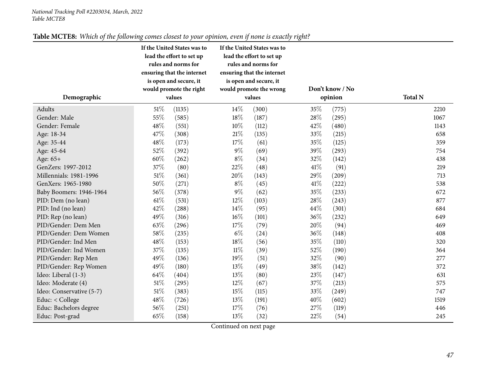<span id="page-46-0"></span>

| Demographic              |        | If the United States was to<br>lead the effort to set up<br>rules and norms for<br>ensuring that the internet<br>is open and secure, it<br>would promote the right<br>values |        | If the United States was to<br>lead the effort to set up<br>rules and norms for<br>ensuring that the internet<br>is open and secure, it<br>would promote the wrong<br>values | Don't know / No<br>opinion |       | <b>Total N</b> |
|--------------------------|--------|------------------------------------------------------------------------------------------------------------------------------------------------------------------------------|--------|------------------------------------------------------------------------------------------------------------------------------------------------------------------------------|----------------------------|-------|----------------|
| Adults                   | $51\%$ | (1135)                                                                                                                                                                       | 14%    | (300)                                                                                                                                                                        | 35\%                       | (775) | 2210           |
| Gender: Male             | 55%    | (585)                                                                                                                                                                        | 18%    | (187)                                                                                                                                                                        | 28%                        | (295) | 1067           |
| Gender: Female           | 48\%   | (551)                                                                                                                                                                        | $10\%$ | (112)                                                                                                                                                                        | 42%                        | (480) | 1143           |
| Age: 18-34               | 47%    | (308)                                                                                                                                                                        | $21\%$ | (135)                                                                                                                                                                        | 33\%                       | (215) | 658            |
| Age: 35-44               | 48\%   | (173)                                                                                                                                                                        | 17\%   | (61)                                                                                                                                                                         | 35%                        | (125) | 359            |
| Age: 45-64               | 52%    | (392)                                                                                                                                                                        | $9\%$  | (69)                                                                                                                                                                         | 39%                        | (293) | 754            |
| Age: 65+                 | 60%    | (262)                                                                                                                                                                        | $8\%$  | (34)                                                                                                                                                                         | 32%                        | (142) | 438            |
| GenZers: 1997-2012       | 37%    | (80)                                                                                                                                                                         | 22%    | (48)                                                                                                                                                                         | 41%                        | (91)  | 219            |
| Millennials: 1981-1996   | 51\%   | (361)                                                                                                                                                                        | 20%    | (143)                                                                                                                                                                        | 29\%                       | (209) | 713            |
| GenXers: 1965-1980       | 50%    | (271)                                                                                                                                                                        | $8\%$  | (45)                                                                                                                                                                         | 41%                        | (222) | 538            |
| Baby Boomers: 1946-1964  | 56%    | (378)                                                                                                                                                                        | $9\%$  | (62)                                                                                                                                                                         | 35\%                       | (233) | 672            |
| PID: Dem (no lean)       | $61\%$ | (531)                                                                                                                                                                        | 12%    | (103)                                                                                                                                                                        | 28%                        | (243) | 877            |
| PID: Ind (no lean)       | 42%    | (288)                                                                                                                                                                        | $14\%$ | (95)                                                                                                                                                                         | 44\%                       | (301) | 684            |
| PID: Rep (no lean)       | 49%    | (316)                                                                                                                                                                        | $16\%$ | (101)                                                                                                                                                                        | 36\%                       | (232) | 649            |
| PID/Gender: Dem Men      | 63%    | (296)                                                                                                                                                                        | 17\%   | (79)                                                                                                                                                                         | 20%                        | (94)  | 469            |
| PID/Gender: Dem Women    | 58\%   | (235)                                                                                                                                                                        | $6\%$  | (24)                                                                                                                                                                         | 36\%                       | (148) | 408            |
| PID/Gender: Ind Men      | 48%    | (153)                                                                                                                                                                        | 18%    | (56)                                                                                                                                                                         | 35%                        | (110) | 320            |
| PID/Gender: Ind Women    | 37%    | (135)                                                                                                                                                                        | $11\%$ | (39)                                                                                                                                                                         | 52%                        | (190) | 364            |
| PID/Gender: Rep Men      | 49%    | (136)                                                                                                                                                                        | 19%    | (51)                                                                                                                                                                         | 32%                        | (90)  | 277            |
| PID/Gender: Rep Women    | 49%    | (180)                                                                                                                                                                        | 13%    | (49)                                                                                                                                                                         | 38%                        | (142) | 372            |
| Ideo: Liberal (1-3)      | 64\%   | (404)                                                                                                                                                                        | 13%    | (80)                                                                                                                                                                         | 23%                        | (147) | 631            |
| Ideo: Moderate (4)       | $51\%$ | (295)                                                                                                                                                                        | 12%    | (67)                                                                                                                                                                         | 37%                        | (213) | 575            |
| Ideo: Conservative (5-7) | $51\%$ | (383)                                                                                                                                                                        | 15%    | (115)                                                                                                                                                                        | 33%                        | (249) | 747            |
| Educ: < College          | 48\%   | (726)                                                                                                                                                                        | 13%    | (191)                                                                                                                                                                        | 40%                        | (602) | 1519           |
| Educ: Bachelors degree   | 56%    | (251)                                                                                                                                                                        | 17%    | (76)                                                                                                                                                                         | 27%                        | (119) | 446            |
| Educ: Post-grad          | 65%    | (158)                                                                                                                                                                        | 13%    | (32)                                                                                                                                                                         | 22%                        | (54)  | 245            |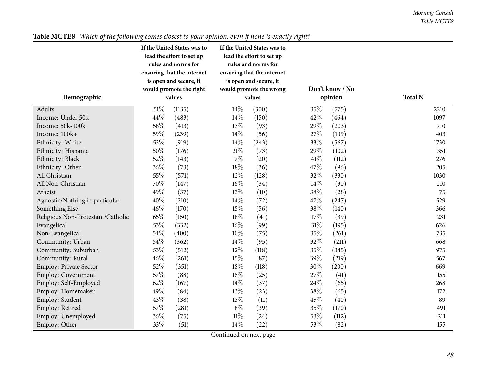|                                   |        | If the United States was to<br>lead the effort to set up<br>rules and norms for<br>ensuring that the internet<br>is open and secure, it<br>would promote the right | If the United States was to<br>lead the effort to set up<br>rules and norms for<br>ensuring that the internet<br>is open and secure, it<br>would promote the wrong |        | Don't know / No |         |                |  |  |
|-----------------------------------|--------|--------------------------------------------------------------------------------------------------------------------------------------------------------------------|--------------------------------------------------------------------------------------------------------------------------------------------------------------------|--------|-----------------|---------|----------------|--|--|
| Demographic                       |        | values                                                                                                                                                             |                                                                                                                                                                    | values |                 | opinion | <b>Total N</b> |  |  |
| Adults                            | 51\%   | (1135)                                                                                                                                                             | 14\%                                                                                                                                                               | (300)  | 35%             | (775)   | 2210           |  |  |
| Income: Under 50k                 | 44\%   | (483)                                                                                                                                                              | 14\%                                                                                                                                                               | (150)  | 42%             | (464)   | 1097           |  |  |
| Income: 50k-100k                  | 58%    | (413)                                                                                                                                                              | 13%                                                                                                                                                                | (93)   | 29%             | (203)   | 710            |  |  |
| Income: 100k+                     | 59%    | (239)                                                                                                                                                              | 14%                                                                                                                                                                | (56)   | 27%             | (109)   | 403            |  |  |
| Ethnicity: White                  | 53%    | (919)                                                                                                                                                              | 14\%                                                                                                                                                               | (243)  | $33\%$          | (567)   | 1730           |  |  |
| Ethnicity: Hispanic               | 50%    | (176)                                                                                                                                                              | $21\%$                                                                                                                                                             | (73)   | 29%             | (102)   | 351            |  |  |
| Ethnicity: Black                  | 52%    | (143)                                                                                                                                                              | $7\%$                                                                                                                                                              | (20)   | 41%             | (112)   | 276            |  |  |
| Ethnicity: Other                  | 36%    | (73)                                                                                                                                                               | $18\%$                                                                                                                                                             | (36)   | 47%             | (96)    | 205            |  |  |
| All Christian                     | 55%    | (571)                                                                                                                                                              | $12\%$                                                                                                                                                             | (128)  | 32%             | (330)   | 1030           |  |  |
| All Non-Christian                 | 70%    | (147)                                                                                                                                                              | $16\%$                                                                                                                                                             | (34)   | 14%             | (30)    | 210            |  |  |
| Atheist                           | 49%    | (37)                                                                                                                                                               | 13%                                                                                                                                                                | (10)   | 38%             | (28)    | 75             |  |  |
| Agnostic/Nothing in particular    | 40%    | (210)                                                                                                                                                              | 14\%                                                                                                                                                               | (72)   | 47%             | (247)   | 529            |  |  |
| Something Else                    | 46%    | (170)                                                                                                                                                              | 15%                                                                                                                                                                | (56)   | 38%             | (140)   | 366            |  |  |
| Religious Non-Protestant/Catholic | 65%    | (150)                                                                                                                                                              | 18%                                                                                                                                                                | (41)   | 17%             | (39)    | 231            |  |  |
| Evangelical                       | 53%    | (332)                                                                                                                                                              | 16%                                                                                                                                                                | (99)   | $31\%$          | (195)   | 626            |  |  |
| Non-Evangelical                   | 54%    | (400)                                                                                                                                                              | $10\%$                                                                                                                                                             | (75)   | 35%             | (261)   | 735            |  |  |
| Community: Urban                  | 54%    | (362)                                                                                                                                                              | 14\%                                                                                                                                                               | (95)   | 32%             | (211)   | 668            |  |  |
| Community: Suburban               | 53%    | (512)                                                                                                                                                              | 12%                                                                                                                                                                | (118)  | 35%             | (345)   | 975            |  |  |
| Community: Rural                  | 46%    | (261)                                                                                                                                                              | 15%                                                                                                                                                                | (87)   | 39%             | (219)   | 567            |  |  |
| Employ: Private Sector            | 52\%   | (351)                                                                                                                                                              | 18%                                                                                                                                                                | (118)  | 30%             | (200)   | 669            |  |  |
| Employ: Government                | 57\%   | (88)                                                                                                                                                               | $16\%$                                                                                                                                                             | (25)   | 27%             | (41)    | 155            |  |  |
| Employ: Self-Employed             | 62%    | (167)                                                                                                                                                              | 14\%                                                                                                                                                               | (37)   | 24%             | (65)    | 268            |  |  |
| Employ: Homemaker                 | 49%    | (84)                                                                                                                                                               | 13%                                                                                                                                                                | (23)   | 38%             | (65)    | 172            |  |  |
| Employ: Student                   | 43%    | (38)                                                                                                                                                               | 13%                                                                                                                                                                | (11)   | 45%             | (40)    | 89             |  |  |
| Employ: Retired                   | $57\%$ | (281)                                                                                                                                                              | $8\%$                                                                                                                                                              | (39)   | 35%             | (170)   | 491            |  |  |
| Employ: Unemployed                | 36\%   | (75)                                                                                                                                                               | $11\%$                                                                                                                                                             | (24)   | $53\%$          | (112)   | 211            |  |  |
| Employ: Other                     | 33%    | (51)                                                                                                                                                               | $14\%$<br>$\mathbf{1}$<br>$\sim$ $\sim$                                                                                                                            | (22)   | 53%             | (82)    | 155            |  |  |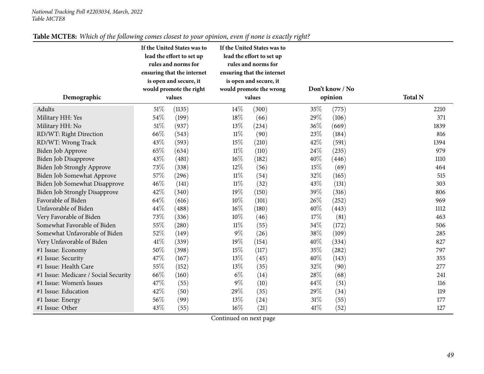| Demographic                          |        | If the United States was to<br>lead the effort to set up<br>rules and norms for<br>ensuring that the internet<br>is open and secure, it<br>would promote the right<br>values |        | If the United States was to<br>lead the effort to set up<br>rules and norms for<br>ensuring that the internet<br>is open and secure, it<br>would promote the wrong<br>values |      | Don't know / No<br>opinion | <b>Total N</b> |
|--------------------------------------|--------|------------------------------------------------------------------------------------------------------------------------------------------------------------------------------|--------|------------------------------------------------------------------------------------------------------------------------------------------------------------------------------|------|----------------------------|----------------|
| Adults                               | $51\%$ | (1135)                                                                                                                                                                       | $14\%$ | (300)                                                                                                                                                                        | 35\% | (775)                      | 2210           |
| Military HH: Yes                     | 54\%   | (199)                                                                                                                                                                        | 18\%   | (66)                                                                                                                                                                         | 29%  | (106)                      | 371            |
| Military HH: No                      | $51\%$ | (937)                                                                                                                                                                        | 13%    | (234)                                                                                                                                                                        | 36%  | (669)                      | 1839           |
| RD/WT: Right Direction               | 66%    | (543)                                                                                                                                                                        | 11%    | (90)                                                                                                                                                                         | 23%  | (184)                      | 816            |
| RD/WT: Wrong Track                   | 43%    | (593)                                                                                                                                                                        | 15%    | (210)                                                                                                                                                                        | 42%  | (591)                      | 1394           |
| Biden Job Approve                    | 65%    | (634)                                                                                                                                                                        | $11\%$ | (110)                                                                                                                                                                        | 24\% | (235)                      | 979            |
| <b>Biden Job Disapprove</b>          | 43%    | (481)                                                                                                                                                                        | 16%    | (182)                                                                                                                                                                        | 40%  | (446)                      | 1110           |
| Biden Job Strongly Approve           | 73%    | (338)                                                                                                                                                                        | 12%    | (56)                                                                                                                                                                         | 15%  | (69)                       | 464            |
| Biden Job Somewhat Approve           | 57%    | (296)                                                                                                                                                                        | $11\%$ | (54)                                                                                                                                                                         | 32%  | (165)                      | 515            |
| Biden Job Somewhat Disapprove        | 46%    | (141)                                                                                                                                                                        | $11\%$ | (32)                                                                                                                                                                         | 43%  | (131)                      | 303            |
| <b>Biden Job Strongly Disapprove</b> | 42%    | (340)                                                                                                                                                                        | 19%    | (150)                                                                                                                                                                        | 39%  | (316)                      | 806            |
| Favorable of Biden                   | 64%    | (616)                                                                                                                                                                        | 10%    | (101)                                                                                                                                                                        | 26%  | (252)                      | 969            |
| Unfavorable of Biden                 | 44\%   | (488)                                                                                                                                                                        | $16\%$ | (180)                                                                                                                                                                        | 40%  | (443)                      | 1112           |
| Very Favorable of Biden              | 73%    | (336)                                                                                                                                                                        | $10\%$ | (46)                                                                                                                                                                         | 17\% | (81)                       | 463            |
| Somewhat Favorable of Biden          | 55%    | (280)                                                                                                                                                                        | 11%    | (55)                                                                                                                                                                         | 34\% | (172)                      | 506            |
| Somewhat Unfavorable of Biden        | 52%    | (149)                                                                                                                                                                        | $9\%$  | (26)                                                                                                                                                                         | 38%  | (109)                      | 285            |
| Very Unfavorable of Biden            | 41\%   | (339)                                                                                                                                                                        | 19%    | (154)                                                                                                                                                                        | 40%  | (334)                      | 827            |
| #1 Issue: Economy                    | 50%    | (398)                                                                                                                                                                        | 15%    | (117)                                                                                                                                                                        | 35%  | (282)                      | 797            |
| #1 Issue: Security                   | 47%    | (167)                                                                                                                                                                        | 13%    | (45)                                                                                                                                                                         | 40%  | (143)                      | 355            |
| #1 Issue: Health Care                | 55%    | (152)                                                                                                                                                                        | 13\%   | (35)                                                                                                                                                                         | 32%  | (90)                       | 277            |
| #1 Issue: Medicare / Social Security | 66%    | (160)                                                                                                                                                                        | $6\%$  | (14)                                                                                                                                                                         | 28%  | (68)                       | 241            |
| #1 Issue: Women's Issues             | 47%    | (55)                                                                                                                                                                         | $9\%$  | (10)                                                                                                                                                                         | 44%  | (51)                       | 116            |
| #1 Issue: Education                  | 42%    | (50)                                                                                                                                                                         | 29%    | (35)                                                                                                                                                                         | 29%  | (34)                       | 119            |
| #1 Issue: Energy                     | 56%    | (99)                                                                                                                                                                         | 13%    | (24)                                                                                                                                                                         | 31%  | (55)                       | 177            |
| #1 Issue: Other                      | 43%    | (55)                                                                                                                                                                         | 16%    | (21)                                                                                                                                                                         | 41\% | (52)                       | 127            |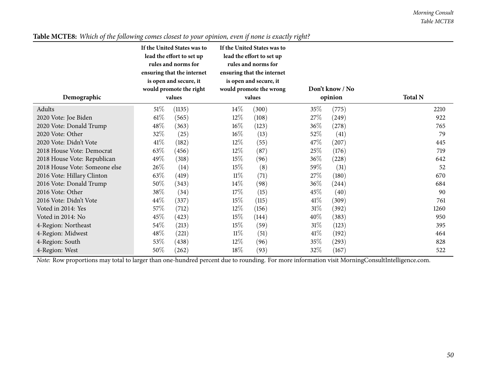|                               |        | If the United States was to<br>lead the effort to set up<br>rules and norms for<br>ensuring that the internet<br>is open and secure, it<br>would promote the right |        | If the United States was to<br>lead the effort to set up<br>rules and norms for<br>ensuring that the internet<br>is open and secure, it<br>would promote the wrong |         | Don't know / No |                |
|-------------------------------|--------|--------------------------------------------------------------------------------------------------------------------------------------------------------------------|--------|--------------------------------------------------------------------------------------------------------------------------------------------------------------------|---------|-----------------|----------------|
| Demographic                   |        | values                                                                                                                                                             |        | values                                                                                                                                                             | opinion |                 | <b>Total N</b> |
| Adults                        | 51%    | (1135)                                                                                                                                                             | $14\%$ | (300)                                                                                                                                                              | 35\%    | (775)           | 2210           |
| 2020 Vote: Joe Biden          | $61\%$ | (565)                                                                                                                                                              | $12\%$ | (108)                                                                                                                                                              | 27\%    | (249)           | 922            |
| 2020 Vote: Donald Trump       | 48\%   | (363)                                                                                                                                                              | $16\%$ | (123)                                                                                                                                                              | $36\%$  | (278)           | 765            |
| 2020 Vote: Other              | 32%    | (25)                                                                                                                                                               | $16\%$ | (13)                                                                                                                                                               | 52\%    | (41)            | 79             |
| 2020 Vote: Didn't Vote        | 41\%   | (182)                                                                                                                                                              | $12\%$ | (55)                                                                                                                                                               | $47\%$  | (207)           | 445            |
| 2018 House Vote: Democrat     | 63\%   | (456)                                                                                                                                                              | $12\%$ | (87)                                                                                                                                                               | 25\%    | (176)           | 719            |
| 2018 House Vote: Republican   | 49\%   | (318)                                                                                                                                                              | 15%    | (96)                                                                                                                                                               | 36\%    | (228)           | 642            |
| 2018 House Vote: Someone else | 26\%   | (14)                                                                                                                                                               | 15%    | (8)                                                                                                                                                                | 59\%    | (31)            | 52             |
| 2016 Vote: Hillary Clinton    | 63\%   | (419)                                                                                                                                                              | $11\%$ | (71)                                                                                                                                                               | 27\%    | (180)           | 670            |
| 2016 Vote: Donald Trump       | $50\%$ | (343)                                                                                                                                                              | $14\%$ | (98)                                                                                                                                                               | $36\%$  | (244)           | 684            |
| 2016 Vote: Other              | 38\%   | (34)                                                                                                                                                               | 17%    | (15)                                                                                                                                                               | $45\%$  | (40)            | 90             |
| 2016 Vote: Didn't Vote        | 44\%   | (337)                                                                                                                                                              | 15%    | (115)                                                                                                                                                              | 41%     | (309)           | 761            |
| Voted in 2014: Yes            | 57\%   | (712)                                                                                                                                                              | $12\%$ | (156)                                                                                                                                                              | $31\%$  | (392)           | 1260           |
| Voted in 2014: No             | 45\%   | (423)                                                                                                                                                              | 15%    | (144)                                                                                                                                                              | $40\%$  | (383)           | 950            |
| 4-Region: Northeast           | 54\%   | (213)                                                                                                                                                              | 15%    | (59)                                                                                                                                                               | 31%     | (123)           | 395            |
| 4-Region: Midwest             | 48\%   | (221)                                                                                                                                                              | $11\%$ | (51)                                                                                                                                                               | 41%     | (192)           | 464            |
| 4-Region: South               | 53\%   | (438)                                                                                                                                                              | $12\%$ | (96)                                                                                                                                                               | $35\%$  | (293)           | 828            |
| 4-Region: West                | $50\%$ | (262)                                                                                                                                                              | 18\%   | (93)                                                                                                                                                               | $32\%$  | (167)           | 522            |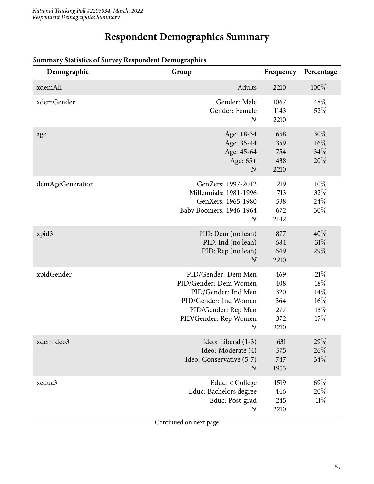# **Respondent Demographics Summary**

| Demographic      | Group                                                                                                                                                          | Frequency                                      | Percentage                                |
|------------------|----------------------------------------------------------------------------------------------------------------------------------------------------------------|------------------------------------------------|-------------------------------------------|
| xdemAll          | Adults                                                                                                                                                         | 2210                                           | $100\%$                                   |
| xdemGender       | Gender: Male<br>Gender: Female<br>$\boldsymbol{N}$                                                                                                             | 1067<br>1143<br>2210                           | 48\%<br>52%                               |
| age              | Age: 18-34<br>Age: 35-44<br>Age: 45-64<br>Age: 65+<br>$\boldsymbol{N}$                                                                                         | 658<br>359<br>754<br>438<br>2210               | $30\%$<br>$16\%$<br>34%<br>20%            |
| demAgeGeneration | GenZers: 1997-2012<br>Millennials: 1981-1996<br>GenXers: 1965-1980<br>Baby Boomers: 1946-1964<br>$\boldsymbol{N}$                                              | 219<br>713<br>538<br>672<br>2142               | 10%<br>32%<br>24\%<br>30%                 |
| xpid3            | PID: Dem (no lean)<br>PID: Ind (no lean)<br>PID: Rep (no lean)<br>$\overline{N}$                                                                               | 877<br>684<br>649<br>2210                      | 40%<br>31%<br>29%                         |
| xpidGender       | PID/Gender: Dem Men<br>PID/Gender: Dem Women<br>PID/Gender: Ind Men<br>PID/Gender: Ind Women<br>PID/Gender: Rep Men<br>PID/Gender: Rep Women<br>$\overline{N}$ | 469<br>408<br>320<br>364<br>277<br>372<br>2210 | 21%<br>18%<br>14%<br>$16\%$<br>13%<br>17% |
| xdemIdeo3        | Ideo: Liberal (1-3)<br>Ideo: Moderate (4)<br>Ideo: Conservative (5-7)<br>$\boldsymbol{N}$                                                                      | 631<br>575<br>747<br>1953                      | 29%<br>26%<br>34%                         |
| xeduc3           | Educ: < College<br>Educ: Bachelors degree<br>Educ: Post-grad<br>$\boldsymbol{N}$                                                                               | 1519<br>446<br>245<br>2210                     | 69%<br>20%<br>11%                         |

# <span id="page-50-0"></span>**Summary Statistics of Survey Respondent Demographics**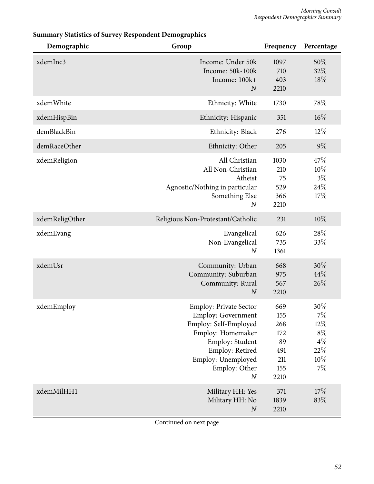| Demographic    | Group                                                                                                                                                                                                     | Frequency                                                   | Percentage                                                         |
|----------------|-----------------------------------------------------------------------------------------------------------------------------------------------------------------------------------------------------------|-------------------------------------------------------------|--------------------------------------------------------------------|
| xdemInc3       | Income: Under 50k<br>Income: 50k-100k<br>Income: 100k+<br>$\overline{N}$                                                                                                                                  | 1097<br>710<br>403<br>2210                                  | 50%<br>32%<br>18%                                                  |
| xdemWhite      | Ethnicity: White                                                                                                                                                                                          | 1730                                                        | 78%                                                                |
| xdemHispBin    | Ethnicity: Hispanic                                                                                                                                                                                       | 351                                                         | $16\%$                                                             |
| demBlackBin    | Ethnicity: Black                                                                                                                                                                                          | 276                                                         | $12\%$                                                             |
| demRaceOther   | Ethnicity: Other                                                                                                                                                                                          | 205                                                         | $9\%$                                                              |
| xdemReligion   | All Christian<br>All Non-Christian<br>Atheist<br>Agnostic/Nothing in particular<br>Something Else<br>$\boldsymbol{N}$                                                                                     | 1030<br>210<br>75<br>529<br>366<br>2210                     | 47\%<br>10%<br>$3\%$<br>24%<br>17%                                 |
| xdemReligOther | Religious Non-Protestant/Catholic                                                                                                                                                                         | 231                                                         | 10%                                                                |
| xdemEvang      | Evangelical<br>Non-Evangelical<br>$\boldsymbol{N}$                                                                                                                                                        | 626<br>735<br>1361                                          | 28%<br>33%                                                         |
| xdemUsr        | Community: Urban<br>Community: Suburban<br>Community: Rural<br>$\boldsymbol{N}$                                                                                                                           | 668<br>975<br>567<br>2210                                   | 30%<br>44%<br>26%                                                  |
| xdemEmploy     | <b>Employ: Private Sector</b><br><b>Employ: Government</b><br>Employ: Self-Employed<br>Employ: Homemaker<br>Employ: Student<br>Employ: Retired<br>Employ: Unemployed<br>Employ: Other<br>$\boldsymbol{N}$ | 669<br>155<br>268<br>172<br>89<br>491<br>211<br>155<br>2210 | 30%<br>$7\%$<br>$12\%$<br>$8\%$<br>$4\%$<br>$22\%$<br>10%<br>$7\%$ |
| xdemMilHH1     | Military HH: Yes<br>Military HH: No<br>$\boldsymbol{N}$                                                                                                                                                   | 371<br>1839<br>2210                                         | 17%<br>83%                                                         |

### **Summary Statistics of Survey Respondent Demographics**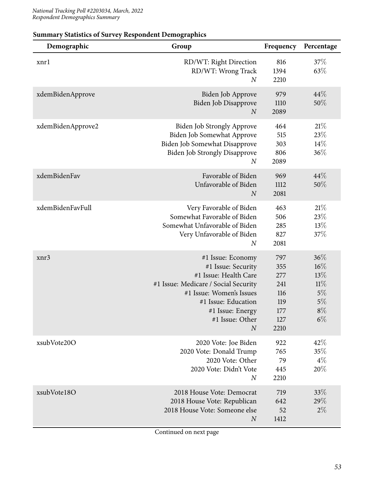| Demographic       | Group                                                                                                                                                                                                                  | Frequency                                                    | Percentage                                                   |
|-------------------|------------------------------------------------------------------------------------------------------------------------------------------------------------------------------------------------------------------------|--------------------------------------------------------------|--------------------------------------------------------------|
| xnrl              | RD/WT: Right Direction<br>RD/WT: Wrong Track<br>$\boldsymbol{N}$                                                                                                                                                       | 816<br>1394<br>2210                                          | 37%<br>63\%                                                  |
| xdemBidenApprove  | Biden Job Approve<br>Biden Job Disapprove<br>$\boldsymbol{N}$                                                                                                                                                          | 979<br>1110<br>2089                                          | 44%<br>50%                                                   |
| xdemBidenApprove2 | <b>Biden Job Strongly Approve</b><br>Biden Job Somewhat Approve<br>Biden Job Somewhat Disapprove<br><b>Biden Job Strongly Disapprove</b><br>$\boldsymbol{N}$                                                           | 464<br>515<br>303<br>806<br>2089                             | 21%<br>23\%<br>14%<br>36%                                    |
| xdemBidenFav      | Favorable of Biden<br>Unfavorable of Biden<br>$\boldsymbol{N}$                                                                                                                                                         | 969<br>1112<br>2081                                          | 44%<br>50%                                                   |
| xdemBidenFavFull  | Very Favorable of Biden<br>Somewhat Favorable of Biden<br>Somewhat Unfavorable of Biden<br>Very Unfavorable of Biden<br>$\boldsymbol{N}$                                                                               | 463<br>506<br>285<br>827<br>2081                             | 21%<br>23%<br>13%<br>37%                                     |
| xnr3              | #1 Issue: Economy<br>#1 Issue: Security<br>#1 Issue: Health Care<br>#1 Issue: Medicare / Social Security<br>#1 Issue: Women's Issues<br>#1 Issue: Education<br>#1 Issue: Energy<br>#1 Issue: Other<br>$\boldsymbol{N}$ | 797<br>355<br>277<br>241<br>116<br>119<br>177<br>127<br>2210 | 36%<br>$16\%$<br>13%<br>11%<br>5%<br>$5\%$<br>$8\%$<br>$6\%$ |
| xsubVote20O       | 2020 Vote: Joe Biden<br>2020 Vote: Donald Trump<br>2020 Vote: Other<br>2020 Vote: Didn't Vote<br>$\boldsymbol{N}$                                                                                                      | 922<br>765<br>79<br>445<br>2210                              | 42%<br>35%<br>$4\%$<br>20%                                   |
| xsubVote18O       | 2018 House Vote: Democrat<br>2018 House Vote: Republican<br>2018 House Vote: Someone else<br>$\boldsymbol{N}$                                                                                                          | 719<br>642<br>52<br>1412                                     | 33\%<br>29%<br>$2\%$                                         |

### **Summary Statistics of Survey Respondent Demographics**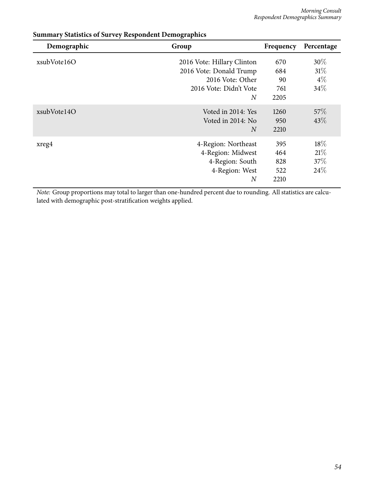| Demographic | Group                                                                                                                 | Frequency                        | Percentage                        |
|-------------|-----------------------------------------------------------------------------------------------------------------------|----------------------------------|-----------------------------------|
| xsubVote16O | 2016 Vote: Hillary Clinton<br>2016 Vote: Donald Trump<br>2016 Vote: Other<br>2016 Vote: Didn't Vote<br>$\overline{N}$ | 670<br>684<br>90<br>761<br>2205  | $30\%$<br>$31\%$<br>$4\%$<br>34\% |
| xsubVote14O | Voted in 2014: Yes<br>Voted in 2014: No<br>$\overline{N}$                                                             | 1260<br>950<br>2210              | 57%<br>43\%                       |
| xreg4       | 4-Region: Northeast<br>4-Region: Midwest<br>4-Region: South<br>4-Region: West<br>$\overline{N}$                       | 395<br>464<br>828<br>522<br>2210 | 18\%<br>21%<br>37\%<br>24\%       |

### **Summary Statistics of Survey Respondent Demographics**

*Note:* Group proportions may total to larger than one-hundred percent due to rounding. All statistics are calculated with demographic post-stratification weights applied.